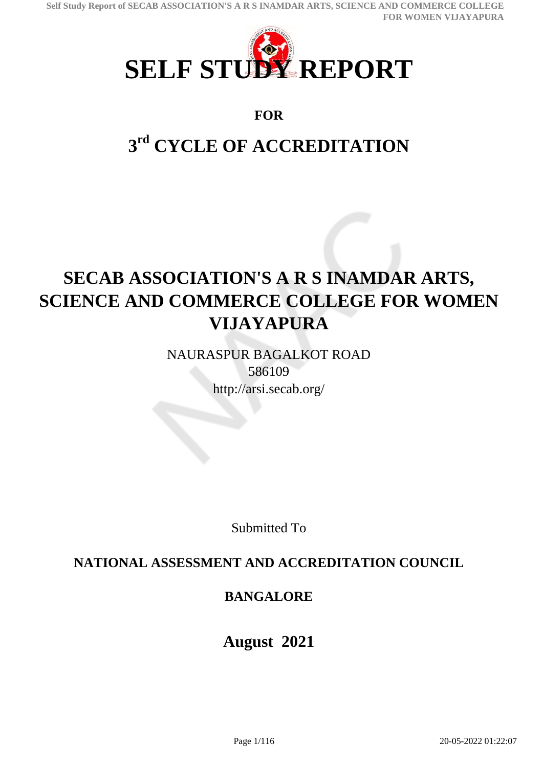

## **FOR**

# **3 rd CYCLE OF ACCREDITATION**

# **SECAB ASSOCIATION'S A R S INAMDAR ARTS, SCIENCE AND COMMERCE COLLEGE FOR WOMEN VIJAYAPURA**

NAURASPUR BAGALKOT ROAD 586109 http://arsi.secab.org/

Submitted To

## **NATIONAL ASSESSMENT AND ACCREDITATION COUNCIL**

## **BANGALORE**

## **August 2021**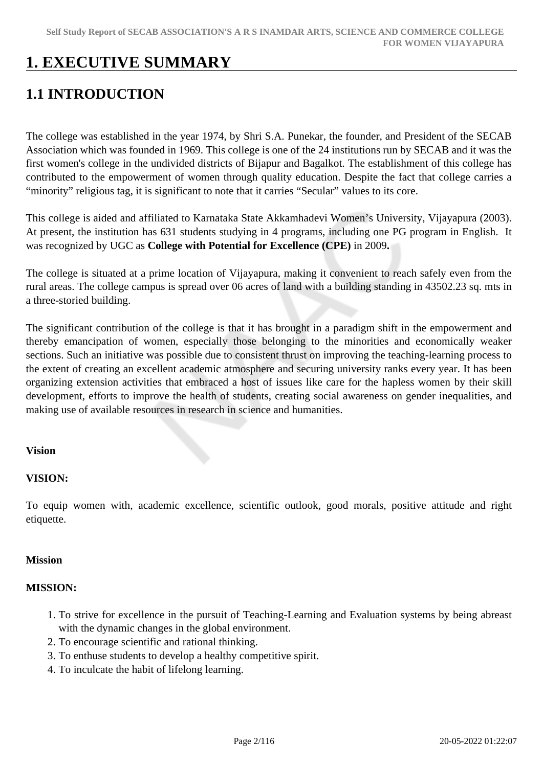## **1. EXECUTIVE SUMMARY**

## **1.1 INTRODUCTION**

The college was established in the year 1974, by Shri S.A. Punekar, the founder, and President of the SECAB Association which was founded in 1969. This college is one of the 24 institutions run by SECAB and it was the first women's college in the undivided districts of Bijapur and Bagalkot. The establishment of this college has contributed to the empowerment of women through quality education. Despite the fact that college carries a "minority" religious tag, it is significant to note that it carries "Secular" values to its core.

This college is aided and affiliated to Karnataka State Akkamhadevi Women's University, Vijayapura (2003). At present, the institution has 631 students studying in 4 programs, including one PG program in English. It was recognized by UGC as **College with Potential for Excellence (CPE)** in 2009**.**

The college is situated at a prime location of Vijayapura, making it convenient to reach safely even from the rural areas. The college campus is spread over 06 acres of land with a building standing in 43502.23 sq. mts in a three-storied building.

The significant contribution of the college is that it has brought in a paradigm shift in the empowerment and thereby emancipation of women, especially those belonging to the minorities and economically weaker sections. Such an initiative was possible due to consistent thrust on improving the teaching-learning process to the extent of creating an excellent academic atmosphere and securing university ranks every year. It has been organizing extension activities that embraced a host of issues like care for the hapless women by their skill development, efforts to improve the health of students, creating social awareness on gender inequalities, and making use of available resources in research in science and humanities.

### **Vision**

### **VISION:**

To equip women with, academic excellence, scientific outlook, good morals, positive attitude and right etiquette.

#### **Mission**

#### **MISSION:**

- 1. To strive for excellence in the pursuit of Teaching-Learning and Evaluation systems by being abreast with the dynamic changes in the global environment.
- 2. To encourage scientific and rational thinking.
- 3. To enthuse students to develop a healthy competitive spirit.
- 4. To inculcate the habit of lifelong learning.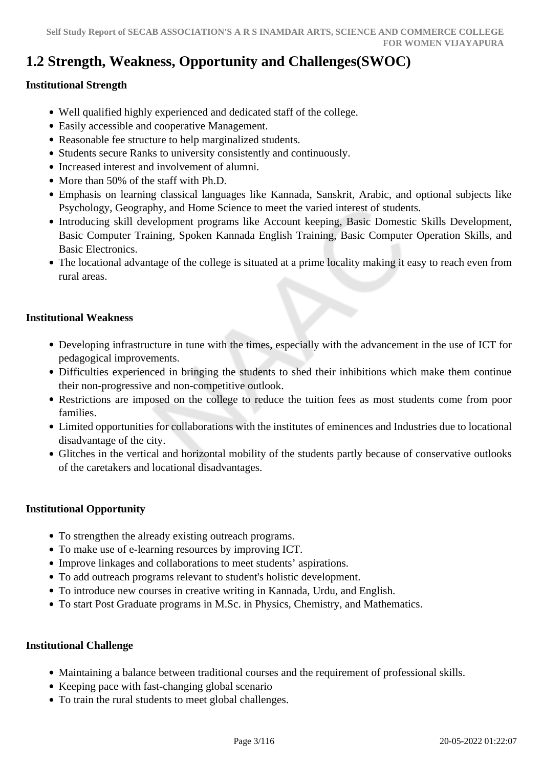## **1.2 Strength, Weakness, Opportunity and Challenges(SWOC)**

## **Institutional Strength**

- Well qualified highly experienced and dedicated staff of the college.
- Easily accessible and cooperative Management.
- Reasonable fee structure to help marginalized students.
- Students secure Ranks to university consistently and continuously.
- Increased interest and involvement of alumni.
- More than 50% of the staff with Ph.D.
- Emphasis on learning classical languages like Kannada, Sanskrit, Arabic, and optional subjects like Psychology, Geography, and Home Science to meet the varied interest of students.
- Introducing skill development programs like Account keeping, Basic Domestic Skills Development, Basic Computer Training, Spoken Kannada English Training, Basic Computer Operation Skills, and Basic Electronics.
- The locational advantage of the college is situated at a prime locality making it easy to reach even from rural areas.

#### **Institutional Weakness**

- Developing infrastructure in tune with the times, especially with the advancement in the use of ICT for pedagogical improvements.
- Difficulties experienced in bringing the students to shed their inhibitions which make them continue their non-progressive and non-competitive outlook.
- Restrictions are imposed on the college to reduce the tuition fees as most students come from poor families.
- Limited opportunities for collaborations with the institutes of eminences and Industries due to locational disadvantage of the city.
- Glitches in the vertical and horizontal mobility of the students partly because of conservative outlooks of the caretakers and locational disadvantages.

### **Institutional Opportunity**

- To strengthen the already existing outreach programs.
- To make use of e-learning resources by improving ICT.
- Improve linkages and collaborations to meet students' aspirations.
- To add outreach programs relevant to student's holistic development.
- To introduce new courses in creative writing in Kannada, Urdu, and English.
- To start Post Graduate programs in M.Sc. in Physics, Chemistry, and Mathematics.

### **Institutional Challenge**

- Maintaining a balance between traditional courses and the requirement of professional skills.
- Keeping pace with fast-changing global scenario
- To train the rural students to meet global challenges.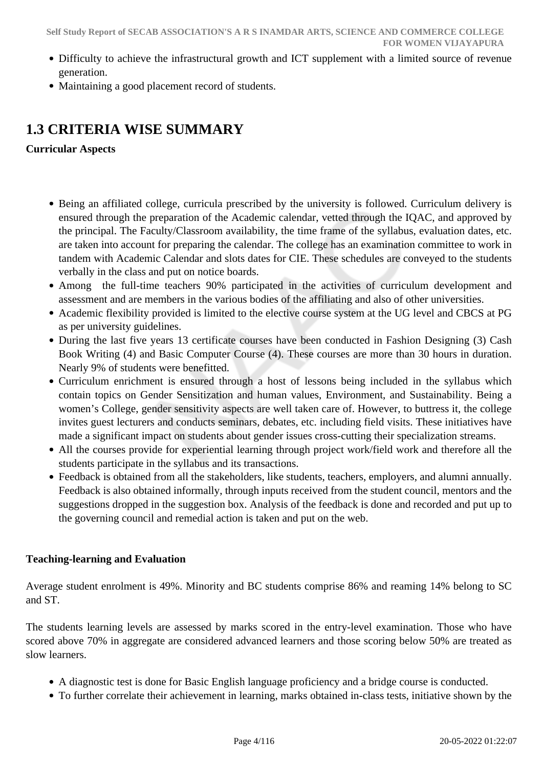- Difficulty to achieve the infrastructural growth and ICT supplement with a limited source of revenue generation.
- Maintaining a good placement record of students.

## **1.3 CRITERIA WISE SUMMARY**

## **Curricular Aspects**

- Being an affiliated college, curricula prescribed by the university is followed. Curriculum delivery is ensured through the preparation of the Academic calendar, vetted through the IQAC, and approved by the principal. The Faculty/Classroom availability, the time frame of the syllabus, evaluation dates, etc. are taken into account for preparing the calendar. The college has an examination committee to work in tandem with Academic Calendar and slots dates for CIE. These schedules are conveyed to the students verbally in the class and put on notice boards.
- Among the full-time teachers 90% participated in the activities of curriculum development and assessment and are members in the various bodies of the affiliating and also of other universities.
- Academic flexibility provided is limited to the elective course system at the UG level and CBCS at PG as per university guidelines.
- During the last five years 13 certificate courses have been conducted in Fashion Designing (3) Cash Book Writing (4) and Basic Computer Course (4). These courses are more than 30 hours in duration. Nearly 9% of students were benefitted.
- Curriculum enrichment is ensured through a host of lessons being included in the syllabus which contain topics on Gender Sensitization and human values, Environment, and Sustainability. Being a women's College, gender sensitivity aspects are well taken care of. However, to buttress it, the college invites guest lecturers and conducts seminars, debates, etc. including field visits. These initiatives have made a significant impact on students about gender issues cross-cutting their specialization streams.
- All the courses provide for experiential learning through project work/field work and therefore all the students participate in the syllabus and its transactions.
- Feedback is obtained from all the stakeholders, like students, teachers, employers, and alumni annually. Feedback is also obtained informally, through inputs received from the student council, mentors and the suggestions dropped in the suggestion box. Analysis of the feedback is done and recorded and put up to the governing council and remedial action is taken and put on the web.

## **Teaching-learning and Evaluation**

Average student enrolment is 49%. Minority and BC students comprise 86% and reaming 14% belong to SC and ST.

The students learning levels are assessed by marks scored in the entry-level examination. Those who have scored above 70% in aggregate are considered advanced learners and those scoring below 50% are treated as slow learners.

- A diagnostic test is done for Basic English language proficiency and a bridge course is conducted.
- To further correlate their achievement in learning, marks obtained in-class tests, initiative shown by the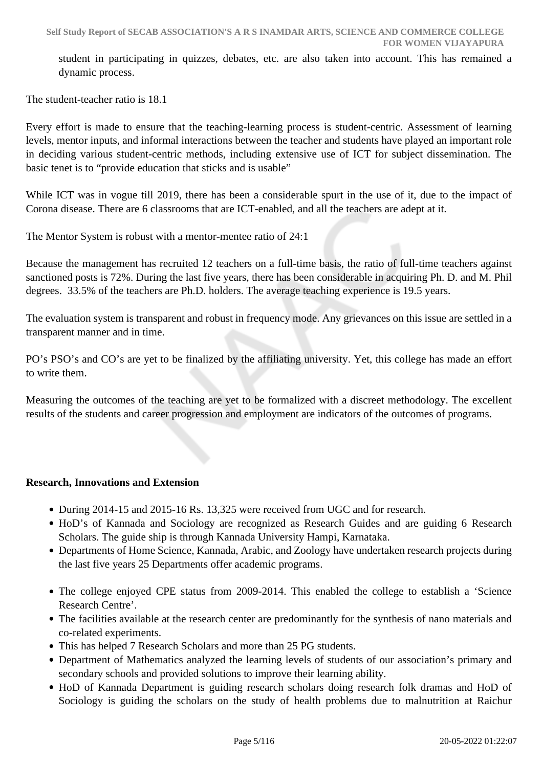student in participating in quizzes, debates, etc. are also taken into account. This has remained a dynamic process.

The student-teacher ratio is 18.1

Every effort is made to ensure that the teaching-learning process is student-centric. Assessment of learning levels, mentor inputs, and informal interactions between the teacher and students have played an important role in deciding various student-centric methods, including extensive use of ICT for subject dissemination. The basic tenet is to "provide education that sticks and is usable"

While ICT was in vogue till 2019, there has been a considerable spurt in the use of it, due to the impact of Corona disease. There are 6 classrooms that are ICT-enabled, and all the teachers are adept at it.

The Mentor System is robust with a mentor-mentee ratio of 24:1

Because the management has recruited 12 teachers on a full-time basis, the ratio of full-time teachers against sanctioned posts is 72%. During the last five years, there has been considerable in acquiring Ph. D. and M. Phil degrees. 33.5% of the teachers are Ph.D. holders. The average teaching experience is 19.5 years.

The evaluation system is transparent and robust in frequency mode. Any grievances on this issue are settled in a transparent manner and in time.

PO's PSO's and CO's are yet to be finalized by the affiliating university. Yet, this college has made an effort to write them.

Measuring the outcomes of the teaching are yet to be formalized with a discreet methodology. The excellent results of the students and career progression and employment are indicators of the outcomes of programs.

### **Research, Innovations and Extension**

- During 2014-15 and 2015-16 Rs. 13,325 were received from UGC and for research.
- HoD's of Kannada and Sociology are recognized as Research Guides and are guiding 6 Research Scholars. The guide ship is through Kannada University Hampi, Karnataka.
- Departments of Home Science, Kannada, Arabic, and Zoology have undertaken research projects during the last five years 25 Departments offer academic programs.
- The college enjoyed CPE status from 2009-2014. This enabled the college to establish a 'Science Research Centre'.
- The facilities available at the research center are predominantly for the synthesis of nano materials and co-related experiments.
- This has helped 7 Research Scholars and more than 25 PG students.
- Department of Mathematics analyzed the learning levels of students of our association's primary and secondary schools and provided solutions to improve their learning ability.
- HoD of Kannada Department is guiding research scholars doing research folk dramas and HoD of Sociology is guiding the scholars on the study of health problems due to malnutrition at Raichur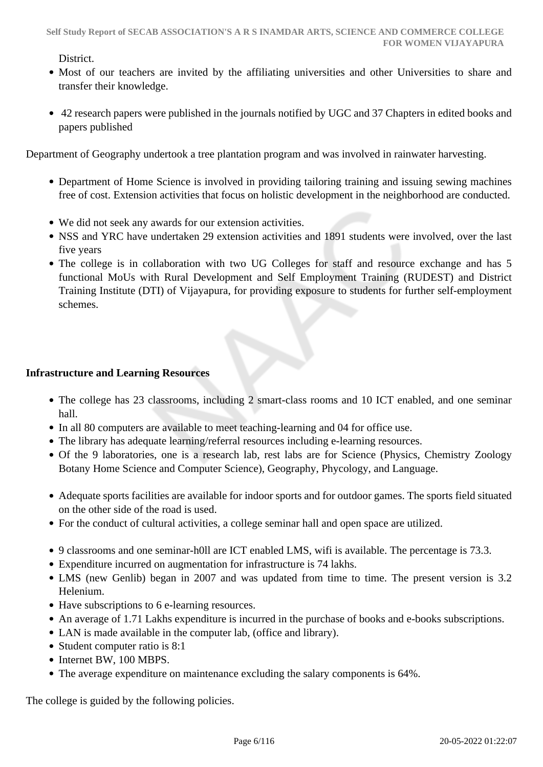District.

- Most of our teachers are invited by the affiliating universities and other Universities to share and transfer their knowledge.
- 42 research papers were published in the journals notified by UGC and 37 Chapters in edited books and papers published

Department of Geography undertook a tree plantation program and was involved in rainwater harvesting.

- Department of Home Science is involved in providing tailoring training and issuing sewing machines free of cost. Extension activities that focus on holistic development in the neighborhood are conducted.
- We did not seek any awards for our extension activities.
- NSS and YRC have undertaken 29 extension activities and 1891 students were involved, over the last five years
- The college is in collaboration with two UG Colleges for staff and resource exchange and has 5 functional MoUs with Rural Development and Self Employment Training (RUDEST) and District Training Institute (DTI) of Vijayapura, for providing exposure to students for further self-employment schemes.

### **Infrastructure and Learning Resources**

- The college has 23 classrooms, including 2 smart-class rooms and 10 ICT enabled, and one seminar hall.
- In all 80 computers are available to meet teaching-learning and 04 for office use.
- The library has adequate learning/referral resources including e-learning resources.
- Of the 9 laboratories, one is a research lab, rest labs are for Science (Physics, Chemistry Zoology Botany Home Science and Computer Science), Geography, Phycology, and Language.
- Adequate sports facilities are available for indoor sports and for outdoor games. The sports field situated on the other side of the road is used.
- For the conduct of cultural activities, a college seminar hall and open space are utilized.
- 9 classrooms and one seminar-h0ll are ICT enabled LMS, wifi is available. The percentage is 73.3.
- Expenditure incurred on augmentation for infrastructure is 74 lakhs.
- LMS (new Genlib) began in 2007 and was updated from time to time. The present version is 3.2 Helenium.
- Have subscriptions to 6 e-learning resources.
- An average of 1.71 Lakhs expenditure is incurred in the purchase of books and e-books subscriptions.
- LAN is made available in the computer lab, (office and library).
- Student computer ratio is  $8:1$
- Internet BW, 100 MBPS.
- The average expenditure on maintenance excluding the salary components is 64%.

The college is guided by the following policies.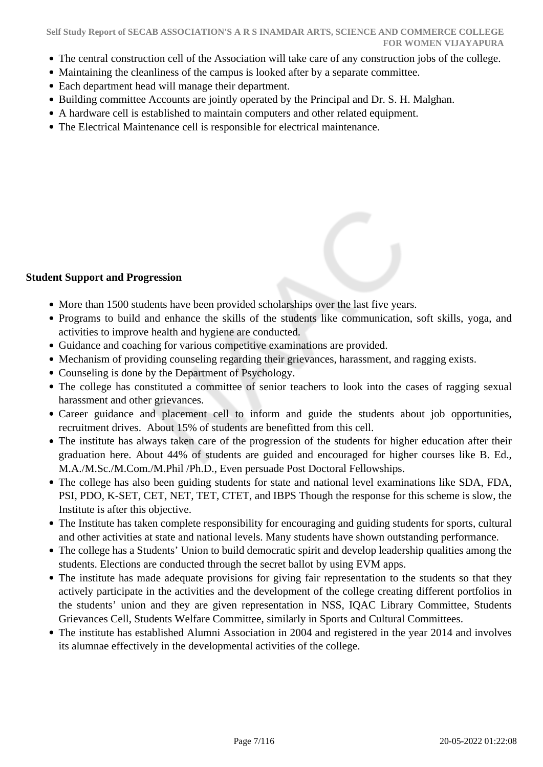- The central construction cell of the Association will take care of any construction jobs of the college.
- Maintaining the cleanliness of the campus is looked after by a separate committee.
- Each department head will manage their department.
- Building committee Accounts are jointly operated by the Principal and Dr. S. H. Malghan.
- A hardware cell is established to maintain computers and other related equipment.
- The Electrical Maintenance cell is responsible for electrical maintenance.

### **Student Support and Progression**

- More than 1500 students have been provided scholarships over the last five years.
- Programs to build and enhance the skills of the students like communication, soft skills, yoga, and activities to improve health and hygiene are conducted.
- Guidance and coaching for various competitive examinations are provided.
- Mechanism of providing counseling regarding their grievances, harassment, and ragging exists.
- Counseling is done by the Department of Psychology.
- The college has constituted a committee of senior teachers to look into the cases of ragging sexual harassment and other grievances.
- Career guidance and placement cell to inform and guide the students about job opportunities, recruitment drives. About 15% of students are benefitted from this cell.
- The institute has always taken care of the progression of the students for higher education after their graduation here. About 44% of students are guided and encouraged for higher courses like B. Ed., M.A./M.Sc./M.Com./M.Phil /Ph.D., Even persuade Post Doctoral Fellowships.
- The college has also been guiding students for state and national level examinations like SDA, FDA, PSI, PDO, K-SET, CET, NET, TET, CTET, and IBPS Though the response for this scheme is slow, the Institute is after this objective.
- The Institute has taken complete responsibility for encouraging and guiding students for sports, cultural and other activities at state and national levels. Many students have shown outstanding performance.
- The college has a Students' Union to build democratic spirit and develop leadership qualities among the students. Elections are conducted through the secret ballot by using EVM apps.
- The institute has made adequate provisions for giving fair representation to the students so that they actively participate in the activities and the development of the college creating different portfolios in the students' union and they are given representation in NSS, IQAC Library Committee, Students Grievances Cell, Students Welfare Committee, similarly in Sports and Cultural Committees.
- The institute has established Alumni Association in 2004 and registered in the year 2014 and involves its alumnae effectively in the developmental activities of the college.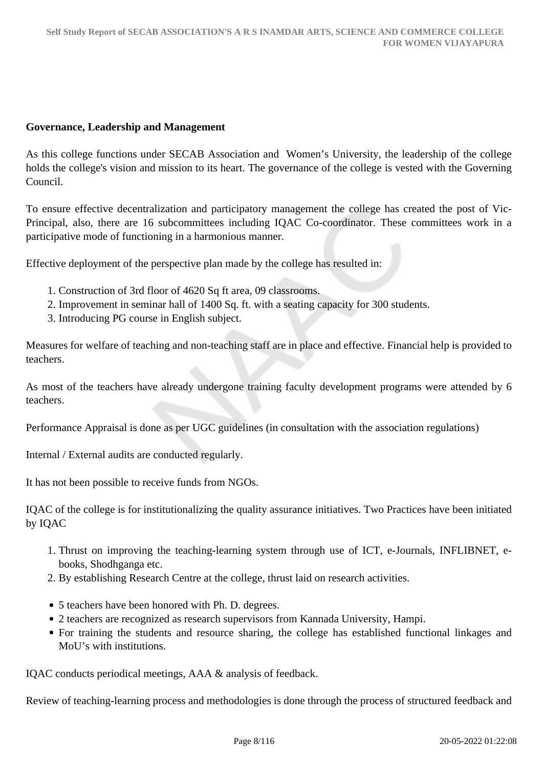#### **Governance, Leadership and Management**

As this college functions under SECAB Association and Women's University, the leadership of the college holds the college's vision and mission to its heart. The governance of the college is vested with the Governing Council.

To ensure effective decentralization and participatory management the college has created the post of Vic-Principal, also, there are 16 subcommittees including IQAC Co-coordinator. These committees work in a participative mode of functioning in a harmonious manner.

Effective deployment of the perspective plan made by the college has resulted in:

- 1. Construction of 3rd floor of 4620 Sq ft area, 09 classrooms.
- 2. Improvement in seminar hall of 1400 Sq. ft. with a seating capacity for 300 students.
- 3. Introducing PG course in English subject.

Measures for welfare of teaching and non-teaching staff are in place and effective. Financial help is provided to teachers.

As most of the teachers have already undergone training faculty development programs were attended by 6 teachers.

Performance Appraisal is done as per UGC guidelines (in consultation with the association regulations)

Internal / External audits are conducted regularly.

It has not been possible to receive funds from NGOs.

IQAC of the college is for institutionalizing the quality assurance initiatives. Two Practices have been initiated by IQAC

- 1. Thrust on improving the teaching-learning system through use of ICT, e-Journals, INFLIBNET, ebooks, Shodhganga etc.
- 2. By establishing Research Centre at the college, thrust laid on research activities.
- 5 teachers have been honored with Ph. D. degrees.
- 2 teachers are recognized as research supervisors from Kannada University, Hampi.
- For training the students and resource sharing, the college has established functional linkages and MoU's with institutions.

IQAC conducts periodical meetings, AAA & analysis of feedback.

Review of teaching-learning process and methodologies is done through the process of structured feedback and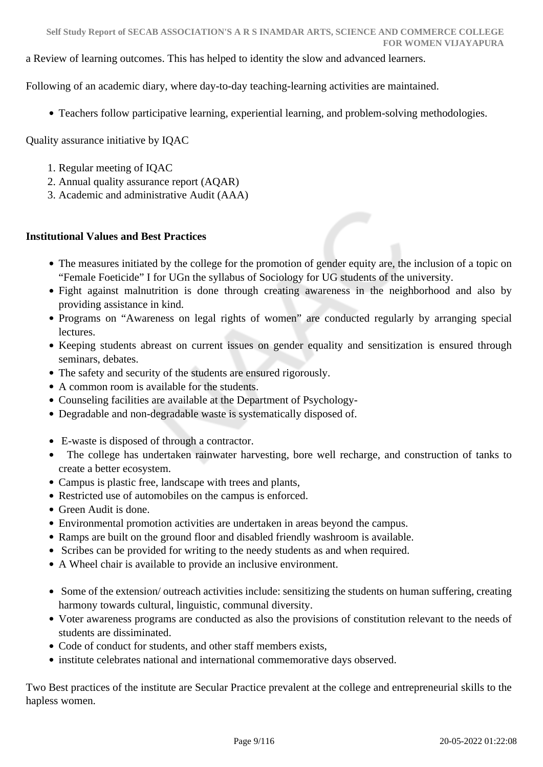a Review of learning outcomes. This has helped to identity the slow and advanced learners.

Following of an academic diary, where day-to-day teaching-learning activities are maintained.

Teachers follow participative learning, experiential learning, and problem-solving methodologies.

Quality assurance initiative by IQAC

- 1. Regular meeting of IQAC
- 2. Annual quality assurance report (AQAR)
- 3. Academic and administrative Audit (AAA)

### **Institutional Values and Best Practices**

- The measures initiated by the college for the promotion of gender equity are, the inclusion of a topic on "Female Foeticide" I for UGn the syllabus of Sociology for UG students of the university.
- Fight against malnutrition is done through creating awareness in the neighborhood and also by providing assistance in kind.
- Programs on "Awareness on legal rights of women" are conducted regularly by arranging special lectures.
- Keeping students abreast on current issues on gender equality and sensitization is ensured through seminars, debates.
- The safety and security of the students are ensured rigorously.
- A common room is available for the students.
- Counseling facilities are available at the Department of Psychology-
- Degradable and non-degradable waste is systematically disposed of.
- E-waste is disposed of through a contractor.
- The college has undertaken rainwater harvesting, bore well recharge, and construction of tanks to create a better ecosystem.
- Campus is plastic free, landscape with trees and plants,
- Restricted use of automobiles on the campus is enforced.
- Green Audit is done.
- Environmental promotion activities are undertaken in areas beyond the campus.
- Ramps are built on the ground floor and disabled friendly washroom is available.
- Scribes can be provided for writing to the needy students as and when required.
- A Wheel chair is available to provide an inclusive environment.
- Some of the extension/ outreach activities include: sensitizing the students on human suffering, creating harmony towards cultural, linguistic, communal diversity.
- Voter awareness programs are conducted as also the provisions of constitution relevant to the needs of students are dissiminated.
- Code of conduct for students, and other staff members exists,
- institute celebrates national and international commemorative days observed.

Two Best practices of the institute are Secular Practice prevalent at the college and entrepreneurial skills to the hapless women.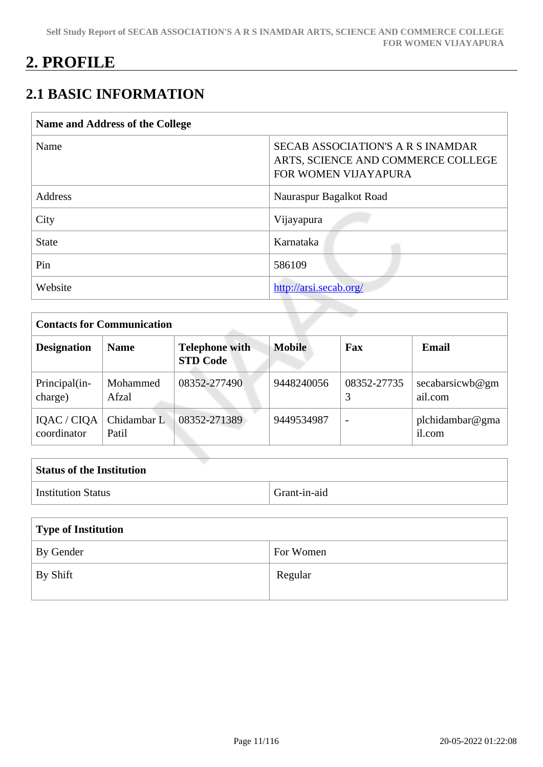## **2. PROFILE**

## **2.1 BASIC INFORMATION**

| <b>SECAB ASSOCIATION'S A R S INAMDAR</b><br>ARTS, SCIENCE AND COMMERCE COLLEGE<br>FOR WOMEN VIJAYAPURA |
|--------------------------------------------------------------------------------------------------------|
| Nauraspur Bagalkot Road                                                                                |
| Vijayapura                                                                                             |
| Karnataka                                                                                              |
| 586109                                                                                                 |
| http://arsi.secab.org/                                                                                 |
|                                                                                                        |

| <b>Contacts for Communication</b> |                      |                                          |               |             |                            |
|-----------------------------------|----------------------|------------------------------------------|---------------|-------------|----------------------------|
| <b>Designation</b>                | <b>Name</b>          | <b>Telephone with</b><br><b>STD Code</b> | <b>Mobile</b> | Fax         | <b>Email</b>               |
| Principal(in-<br>charge)          | Mohammed<br>Afzal    | 08352-277490                             | 9448240056    | 08352-27735 | secabarsicwb@gm<br>ail.com |
| IQAC / CIQA<br>coordinator        | Chidambar L<br>Patil | 08352-271389                             | 9449534987    |             | plchidambar@gma<br>il.com  |

| <b>Status of the Institution</b>                                                      |              |
|---------------------------------------------------------------------------------------|--------------|
| <b>Institution Status</b>                                                             | Grant-in-aid |
| <b>CONTRACTOR</b><br>$\mathbf{a}$ $\mathbf{r}$ $\mathbf{a}$ $\mathbf{r}$ $\mathbf{a}$ |              |

| Type of Institution |           |  |
|---------------------|-----------|--|
| By Gender           | For Women |  |
| By Shift            | Regular   |  |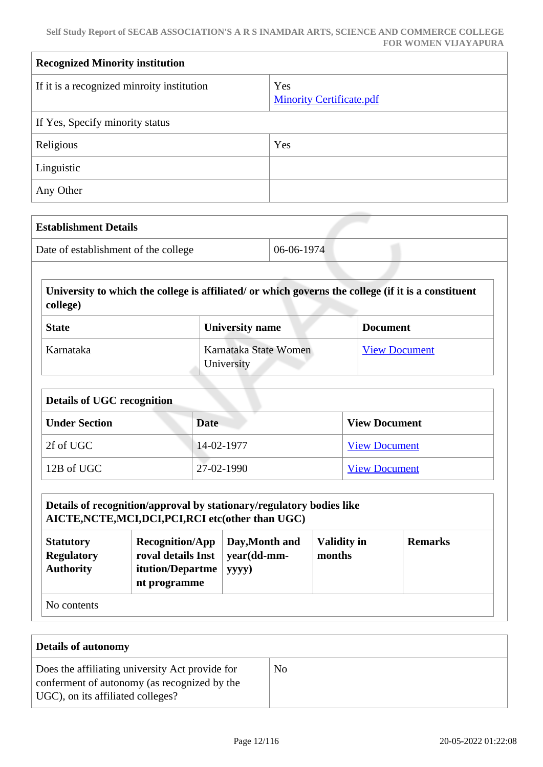| <b>Recognized Minority institution</b>     |                                        |  |
|--------------------------------------------|----------------------------------------|--|
| If it is a recognized minroity institution | Yes<br><b>Minority Certificate.pdf</b> |  |
| If Yes, Specify minority status            |                                        |  |
| Religious                                  | Yes                                    |  |
| Linguistic                                 |                                        |  |
| Any Other                                  |                                        |  |

| <b>Establishment Details</b>         |              |
|--------------------------------------|--------------|
| Date of establishment of the college | $06-06-1974$ |

 **University to which the college is affiliated/ or which governs the college (if it is a constituent college)**

| <b>State</b> | <b>University name</b>              | <b>Document</b>      |
|--------------|-------------------------------------|----------------------|
| Karnataka    | Karnataka State Women<br>University | <b>View Document</b> |

| <b>Details of UGC recognition</b> |            |                      |  |
|-----------------------------------|------------|----------------------|--|
| <b>Under Section</b>              | Date       | <b>View Document</b> |  |
| 2f of UGC                         | 14-02-1977 | <b>View Document</b> |  |
| 12B of UGC                        | 27-02-1990 | <b>View Document</b> |  |

## **Details of recognition/approval by stationary/regulatory bodies like AICTE,NCTE,MCI,DCI,PCI,RCI etc(other than UGC)**

| <b>Statutory</b><br><b>Regulatory</b><br><b>Authority</b> | <b>Recognition/App</b><br>roval details Inst $\vert$ year(dd-mm-<br><b>itution/Departme</b><br>nt programme | Day, Month and<br>yyyy) | <b>Validity in</b><br>months | <b>Remarks</b> |
|-----------------------------------------------------------|-------------------------------------------------------------------------------------------------------------|-------------------------|------------------------------|----------------|
| No contents                                               |                                                                                                             |                         |                              |                |

No contents

| <b>Details of autonomy</b>                                                                                                           |    |  |
|--------------------------------------------------------------------------------------------------------------------------------------|----|--|
| Does the affiliating university Act provide for<br>conferment of autonomy (as recognized by the<br>UGC), on its affiliated colleges? | No |  |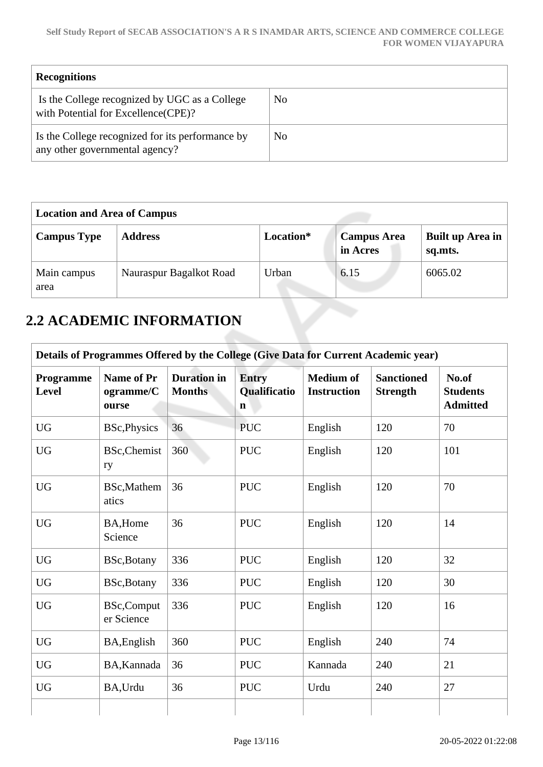| <b>Recognitions</b>                                                                  |    |
|--------------------------------------------------------------------------------------|----|
| Is the College recognized by UGC as a College<br>with Potential for Excellence(CPE)? | No |
| Is the College recognized for its performance by<br>any other governmental agency?   | No |

| <b>Location and Area of Campus</b> |                         |           |                                |                             |
|------------------------------------|-------------------------|-----------|--------------------------------|-----------------------------|
| <b>Campus Type</b>                 | <b>Address</b>          | Location* | <b>Campus Area</b><br>in Acres | Built up Area in<br>sq.mts. |
| Main campus<br>area                | Nauraspur Bagalkot Road | Urban     | 6.15                           | 6065.02                     |

## **2.2 ACADEMIC INFORMATION**

|                           |                                         |                                     |                                             |                                        | Details of Programmes Offered by the College (Give Data for Current Academic year) |                                             |
|---------------------------|-----------------------------------------|-------------------------------------|---------------------------------------------|----------------------------------------|------------------------------------------------------------------------------------|---------------------------------------------|
| Programme<br><b>Level</b> | <b>Name of Pr</b><br>ogramme/C<br>ourse | <b>Duration</b> in<br><b>Months</b> | <b>Entry</b><br>Qualificatio<br>$\mathbf n$ | <b>Medium of</b><br><b>Instruction</b> | <b>Sanctioned</b><br><b>Strength</b>                                               | No.of<br><b>Students</b><br><b>Admitted</b> |
| <b>UG</b>                 | <b>BSc, Physics</b>                     | 36                                  | <b>PUC</b>                                  | English                                | 120                                                                                | 70                                          |
| <b>UG</b>                 | <b>BSc, Chemist</b><br>ry               | 360                                 | <b>PUC</b>                                  | English                                | 120                                                                                | 101                                         |
| <b>UG</b>                 | BSc, Mathem<br>atics                    | 36                                  | <b>PUC</b>                                  | English                                | 120                                                                                | 70                                          |
| <b>UG</b>                 | BA, Home<br>Science                     | 36                                  | <b>PUC</b>                                  | English                                | 120                                                                                | 14                                          |
| <b>UG</b>                 | BSc, Botany                             | 336                                 | <b>PUC</b>                                  | English                                | 120                                                                                | 32                                          |
| <b>UG</b>                 | BSc, Botany                             | 336                                 | <b>PUC</b>                                  | English                                | 120                                                                                | 30                                          |
| <b>UG</b>                 | <b>BSc,Comput</b><br>er Science         | 336                                 | <b>PUC</b>                                  | English                                | 120                                                                                | 16                                          |
| <b>UG</b>                 | BA, English                             | 360                                 | <b>PUC</b>                                  | English                                | 240                                                                                | 74                                          |
| <b>UG</b>                 | BA, Kannada                             | 36                                  | <b>PUC</b>                                  | Kannada                                | 240                                                                                | 21                                          |
| <b>UG</b>                 | BA, Urdu                                | 36                                  | <b>PUC</b>                                  | Urdu                                   | 240                                                                                | 27                                          |
|                           |                                         |                                     |                                             |                                        |                                                                                    |                                             |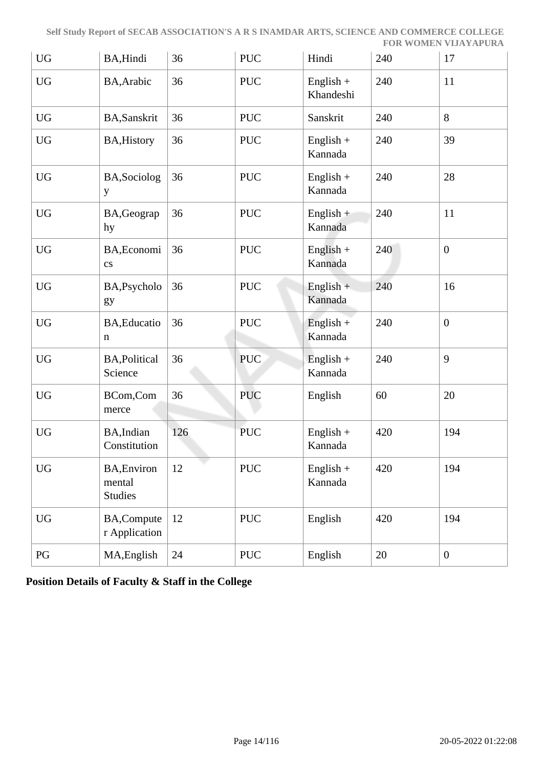| <b>UG</b>        | BA, Hindi                                      | 36  | <b>PUC</b> | Hindi                    | 240 | 17               |
|------------------|------------------------------------------------|-----|------------|--------------------------|-----|------------------|
| <b>UG</b>        | BA, Arabic                                     | 36  | <b>PUC</b> | $English +$<br>Khandeshi | 240 | 11               |
| <b>UG</b>        | BA, Sanskrit                                   | 36  | <b>PUC</b> | Sanskrit                 | 240 | 8                |
| <b>UG</b>        | <b>BA, History</b>                             | 36  | <b>PUC</b> | $English +$<br>Kannada   | 240 | 39               |
| ${\rm U}{\rm G}$ | BA, Sociolog<br>y                              | 36  | <b>PUC</b> | $English +$<br>Kannada   | 240 | 28               |
| <b>UG</b>        | BA, Geograp<br>hy                              | 36  | <b>PUC</b> | English $+$<br>Kannada   | 240 | 11               |
| <b>UG</b>        | BA, Economi<br>$\mathbf{c}\mathbf{s}$          | 36  | <b>PUC</b> | English $+$<br>Kannada   | 240 | $\boldsymbol{0}$ |
| UG               | BA, Psycholo<br>gy                             | 36  | <b>PUC</b> | $English +$<br>Kannada   | 240 | 16               |
| <b>UG</b>        | BA, Educatio<br>$\mathbf n$                    | 36  | <b>PUC</b> | English $+$<br>Kannada   | 240 | $\overline{0}$   |
| <b>UG</b>        | <b>BA, Political</b><br>Science                | 36  | PUC        | $English +$<br>Kannada   | 240 | 9                |
| <b>UG</b>        | BCom,Com<br>merce                              | 36  | <b>PUC</b> | English                  | 60  | 20               |
| <b>UG</b>        | BA, Indian<br>Constitution                     | 126 | <b>PUC</b> | $English +$<br>Kannada   | 420 | 194              |
| <b>UG</b>        | <b>BA, Environ</b><br>mental<br><b>Studies</b> | 12  | <b>PUC</b> | $English +$<br>Kannada   | 420 | 194              |
| <b>UG</b>        | <b>BA,Compute</b><br>r Application             | 12  | <b>PUC</b> | English                  | 420 | 194              |
| PG               | MA, English                                    | 24  | <b>PUC</b> | English                  | 20  | $\boldsymbol{0}$ |

**Position Details of Faculty & Staff in the College**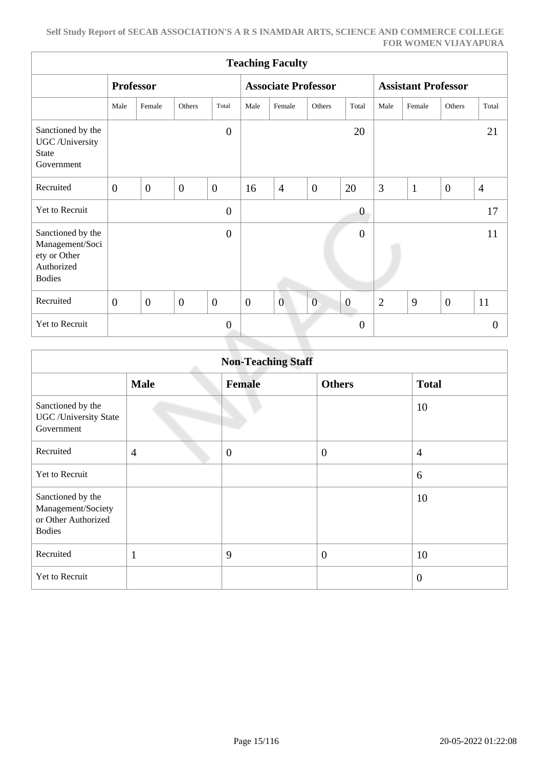|                                                                                     | <b>Teaching Faculty</b> |                  |                |                |                  |                            |                  |                         |                            |              |                  |                |
|-------------------------------------------------------------------------------------|-------------------------|------------------|----------------|----------------|------------------|----------------------------|------------------|-------------------------|----------------------------|--------------|------------------|----------------|
|                                                                                     |                         | <b>Professor</b> |                |                |                  | <b>Associate Professor</b> |                  |                         | <b>Assistant Professor</b> |              |                  |                |
|                                                                                     | Male                    | Female           | Others         | Total          | Male             | Female                     | Others           | Total                   | Male                       | Female       | Others           | Total          |
| Sanctioned by the<br>UGC /University<br><b>State</b><br>Government                  |                         |                  |                | $\overline{0}$ |                  |                            |                  | 20                      |                            |              |                  | 21             |
| Recruited                                                                           | $\boldsymbol{0}$        | $\boldsymbol{0}$ | $\overline{0}$ | $\overline{0}$ | 16               | $\overline{4}$             | $\boldsymbol{0}$ | 20                      | 3                          | $\mathbf{1}$ | $\boldsymbol{0}$ | $\overline{4}$ |
| Yet to Recruit                                                                      |                         |                  |                | $\overline{0}$ |                  |                            |                  | $\boldsymbol{0}$        |                            |              |                  | 17             |
| Sanctioned by the<br>Management/Soci<br>ety or Other<br>Authorized<br><b>Bodies</b> |                         |                  |                | $\overline{0}$ |                  |                            |                  | $\overline{0}$          |                            |              |                  | 11             |
| Recruited                                                                           | $\boldsymbol{0}$        | $\boldsymbol{0}$ | $\overline{0}$ | $\overline{0}$ | $\boldsymbol{0}$ | $\overline{0}$             | $\mathbf{0}$     | $\boldsymbol{0}$        | $\overline{2}$             | 9            | $\overline{0}$   | 11             |
| Yet to Recruit                                                                      |                         |                  |                | $\overline{0}$ |                  |                            |                  | . .<br>$\boldsymbol{0}$ |                            |              |                  | $\theta$       |

|                                                                                 |                | <b>Non-Teaching Staff</b> |                |                |
|---------------------------------------------------------------------------------|----------------|---------------------------|----------------|----------------|
|                                                                                 | <b>Male</b>    | <b>Female</b>             | <b>Others</b>  | <b>Total</b>   |
| Sanctioned by the<br><b>UGC</b> / University State<br>Government                |                |                           |                | 10             |
| Recruited                                                                       | $\overline{4}$ | $\overline{0}$            | $\overline{0}$ | $\overline{4}$ |
| Yet to Recruit                                                                  |                |                           |                | 6              |
| Sanctioned by the<br>Management/Society<br>or Other Authorized<br><b>Bodies</b> |                |                           |                | 10             |
| Recruited                                                                       | $\mathbf{1}$   | 9                         | $\overline{0}$ | 10             |
| Yet to Recruit                                                                  |                |                           |                | $\overline{0}$ |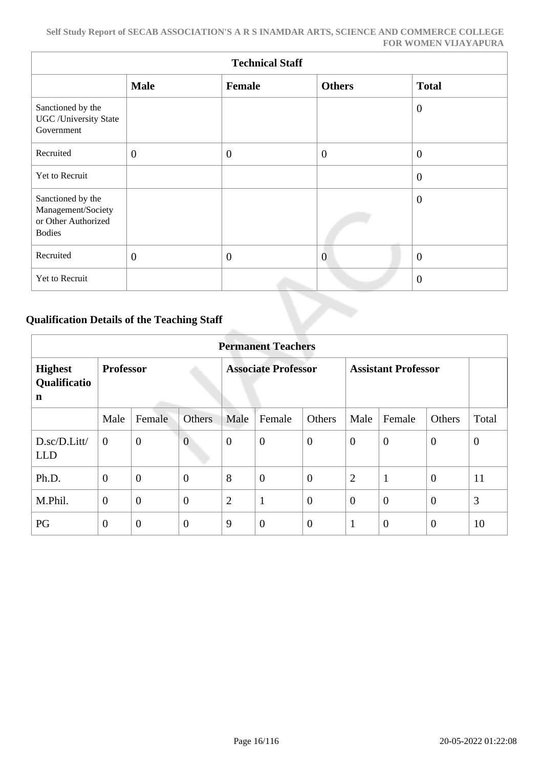|                                                                                 | <b>Technical Staff</b> |              |                |                |  |  |  |  |  |  |  |
|---------------------------------------------------------------------------------|------------------------|--------------|----------------|----------------|--|--|--|--|--|--|--|
|                                                                                 | <b>Male</b>            | Female       | <b>Others</b>  | <b>Total</b>   |  |  |  |  |  |  |  |
| Sanctioned by the<br>UGC/University State<br>Government                         |                        |              |                | $\overline{0}$ |  |  |  |  |  |  |  |
| Recruited                                                                       | $\mathbf{0}$           | $\mathbf{0}$ | $\overline{0}$ | $\overline{0}$ |  |  |  |  |  |  |  |
| Yet to Recruit                                                                  |                        |              |                | $\theta$       |  |  |  |  |  |  |  |
| Sanctioned by the<br>Management/Society<br>or Other Authorized<br><b>Bodies</b> |                        |              |                | $\theta$       |  |  |  |  |  |  |  |
| Recruited                                                                       | $\mathbf{0}$           | $\mathbf{0}$ | $\overline{0}$ | $\theta$       |  |  |  |  |  |  |  |
| Yet to Recruit                                                                  |                        |              |                | $\overline{0}$ |  |  |  |  |  |  |  |

## **Qualification Details of the Teaching Staff**

|                                     | <b>Permanent Teachers</b> |                  |                |                  |                            |                  |                |                            |                  |          |  |  |
|-------------------------------------|---------------------------|------------------|----------------|------------------|----------------------------|------------------|----------------|----------------------------|------------------|----------|--|--|
| <b>Highest</b><br>Qualificatio<br>n | <b>Professor</b>          |                  |                |                  | <b>Associate Professor</b> |                  |                | <b>Assistant Professor</b> |                  |          |  |  |
|                                     | Male                      | Female           | Others         | Male             | Female                     | Others           | Male           | Female                     | Others           | Total    |  |  |
| D.sc/D.Litt/<br><b>LLD</b>          | $\overline{0}$            | $\overline{0}$   | $\overline{0}$ | $\boldsymbol{0}$ | $\overline{0}$             | $\overline{0}$   | $\overline{0}$ | $\overline{0}$             | $\overline{0}$   | $\theta$ |  |  |
| Ph.D.                               | $\theta$                  | $\mathbf{0}$     | $\theta$       | 8                | $\boldsymbol{0}$           | $\overline{0}$   | $\overline{2}$ | $\mathbf{1}$               | $\overline{0}$   | 11       |  |  |
| M.Phil.                             | $\mathbf{0}$              | $\overline{0}$   | $\overline{0}$ | $\overline{2}$   | $\mathbf{1}$               | $\overline{0}$   | $\overline{0}$ | $\overline{0}$             | $\overline{0}$   | 3        |  |  |
| PG                                  | $\mathbf{0}$              | $\boldsymbol{0}$ | $\overline{0}$ | 9                | $\boldsymbol{0}$           | $\boldsymbol{0}$ | п              | $\overline{0}$             | $\boldsymbol{0}$ | 10       |  |  |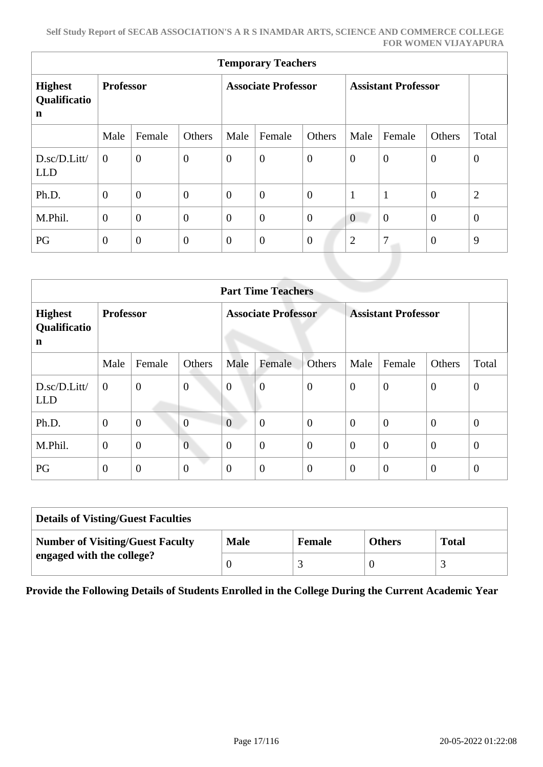| <b>Temporary Teachers</b>                     |                  |                |                |                            |                  |                |                            |                |                |                  |  |  |
|-----------------------------------------------|------------------|----------------|----------------|----------------------------|------------------|----------------|----------------------------|----------------|----------------|------------------|--|--|
| <b>Highest</b><br>Qualificatio<br>$\mathbf n$ | <b>Professor</b> |                |                | <b>Associate Professor</b> |                  |                | <b>Assistant Professor</b> |                |                |                  |  |  |
|                                               | Male             | Female         | Others         | Male                       | Female           | Others         | Male                       | Female         | Others         | Total            |  |  |
| D.sc/D.Litt/<br><b>LLD</b>                    | $\overline{0}$   | $\overline{0}$ | $\overline{0}$ | $\theta$                   | $\boldsymbol{0}$ | $\mathbf{0}$   | $\boldsymbol{0}$           | $\overline{0}$ | $\mathbf{0}$   | $\boldsymbol{0}$ |  |  |
| Ph.D.                                         | $\overline{0}$   | $\overline{0}$ | $\overline{0}$ | $\overline{0}$             | $\overline{0}$   | $\overline{0}$ | $\mathbf{1}$               | $\mathbf{1}$   | $\overline{0}$ | $\overline{2}$   |  |  |
| M.Phil.                                       | $\theta$         | $\overline{0}$ | $\overline{0}$ | $\overline{0}$             | $\overline{0}$   | $\mathbf{0}$   | $\boldsymbol{0}$           | $\overline{0}$ | $\overline{0}$ | $\mathbf{0}$     |  |  |
| PG                                            | $\overline{0}$   | $\overline{0}$ | $\overline{0}$ | $\overline{0}$             | $\boldsymbol{0}$ | $\mathbf{0}$   | $\overline{2}$             | 7              | $\mathbf{0}$   | 9                |  |  |
|                                               |                  |                |                |                            |                  |                |                            |                |                |                  |  |  |

|                                     | <b>Part Time Teachers</b> |                |                |                |                            |                |                |                            |                |                |  |  |
|-------------------------------------|---------------------------|----------------|----------------|----------------|----------------------------|----------------|----------------|----------------------------|----------------|----------------|--|--|
| <b>Highest</b><br>Qualificatio<br>n | <b>Professor</b>          |                |                |                | <b>Associate Professor</b> |                |                | <b>Assistant Professor</b> |                |                |  |  |
|                                     | Male                      | Female         | Others         | Male           | Female                     | <b>Others</b>  | Male           | Female                     | Others         | Total          |  |  |
| D.sc/D.Litt/<br><b>LLD</b>          | $\boldsymbol{0}$          | $\mathbf{0}$   | $\overline{0}$ | $\overline{0}$ | $\overline{0}$             | $\mathbf{0}$   | $\overline{0}$ | $\overline{0}$             | $\overline{0}$ | $\theta$       |  |  |
| Ph.D.                               | $\mathbf{0}$              | $\overline{0}$ | $\overline{0}$ | $\overline{0}$ | $\overline{0}$             | $\overline{0}$ | $\theta$       | $\overline{0}$             | $\theta$       | $\overline{0}$ |  |  |
| M.Phil.                             | $\mathbf{0}$              | $\overline{0}$ | $\overline{0}$ | $\overline{0}$ | $\overline{0}$             | $\overline{0}$ | $\overline{0}$ | $\overline{0}$             | $\overline{0}$ | $\theta$       |  |  |
| PG                                  | $\mathbf{0}$              | $\overline{0}$ | $\overline{0}$ | $\overline{0}$ | $\overline{0}$             | $\overline{0}$ | $\theta$       | $\overline{0}$             | $\overline{0}$ | $\overline{0}$ |  |  |

| <b>Details of Visting/Guest Faculties</b> |             |               |               |              |  |  |  |  |
|-------------------------------------------|-------------|---------------|---------------|--------------|--|--|--|--|
| <b>Number of Visiting/Guest Faculty</b>   | <b>Male</b> | <b>Female</b> | <b>Others</b> | <b>Total</b> |  |  |  |  |
| engaged with the college?                 |             |               |               |              |  |  |  |  |

**Provide the Following Details of Students Enrolled in the College During the Current Academic Year**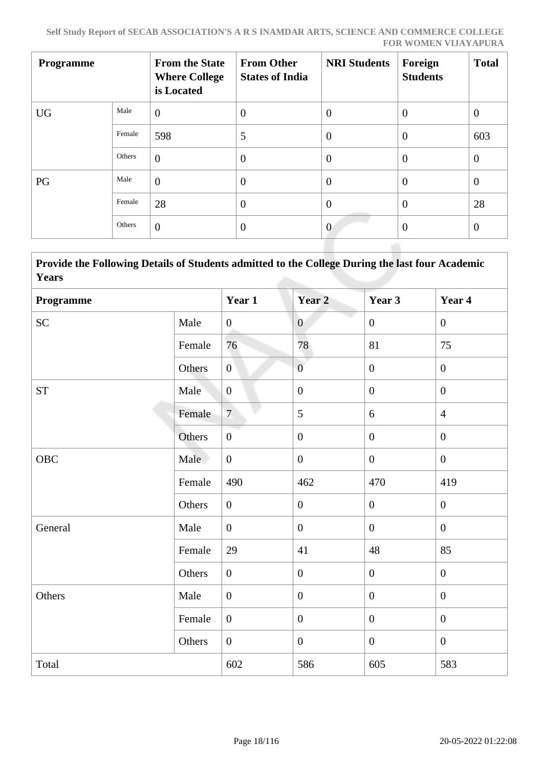| <b>Programme</b> |        | <b>From the State</b><br><b>Where College</b><br>is Located | <b>From Other</b><br><b>States of India</b> | <b>NRI Students</b> | Foreign<br><b>Students</b> | <b>Total</b>   |
|------------------|--------|-------------------------------------------------------------|---------------------------------------------|---------------------|----------------------------|----------------|
| <b>UG</b>        | Male   | $\overline{0}$                                              | $\theta$                                    | $\theta$            | $\overline{0}$             | $\theta$       |
|                  | Female | 598                                                         | 5                                           | $\overline{0}$      | $\overline{0}$             | 603            |
|                  | Others | $\theta$                                                    | $\overline{0}$                              | $\theta$            | $\overline{0}$             | $\overline{0}$ |
| PG               | Male   | $\overline{0}$                                              | $\theta$                                    | $\overline{0}$      | $\overline{0}$             | $\overline{0}$ |
|                  | Female | 28                                                          | $\overline{0}$                              | $\theta$            | $\overline{0}$             | 28             |
|                  | Others | $\overline{0}$                                              | $\overline{0}$                              | $\overline{0}$      | $\overline{0}$             | $\theta$       |

 **Provide the Following Details of Students admitted to the College During the last four Academic Years**

| Programme          |        | Year 1           | Year 2           | Year 3           | Year 4           |
|--------------------|--------|------------------|------------------|------------------|------------------|
| <b>SC</b>          | Male   | $\overline{0}$   | $\overline{0}$   | $\overline{0}$   | $\overline{0}$   |
|                    | Female | 76               | 78               | 81               | 75               |
|                    | Others | $\overline{0}$   | $\overline{0}$   | $\overline{0}$   | $\boldsymbol{0}$ |
| ${\cal S}{\cal T}$ | Male   | $\overline{0}$   | $\boldsymbol{0}$ | $\overline{0}$   | $\boldsymbol{0}$ |
|                    | Female | $\overline{7}$   | 5                | $6\,$            | $\overline{4}$   |
|                    | Others | $\boldsymbol{0}$ | $\boldsymbol{0}$ | $\boldsymbol{0}$ | $\boldsymbol{0}$ |
| OBC                | Male   | $\boldsymbol{0}$ | $\boldsymbol{0}$ | $\overline{0}$   | $\overline{0}$   |
|                    | Female | 490              | 462              | 470              | 419              |
|                    | Others | $\boldsymbol{0}$ | $\boldsymbol{0}$ | $\boldsymbol{0}$ | $\boldsymbol{0}$ |
| General            | Male   | $\overline{0}$   | $\boldsymbol{0}$ | $\overline{0}$   | $\overline{0}$   |
|                    | Female | 29               | 41               | 48               | 85               |
|                    | Others | $\boldsymbol{0}$ | $\overline{0}$   | $\overline{0}$   | $\mathbf{0}$     |
| Others             | Male   | $\boldsymbol{0}$ | $\boldsymbol{0}$ | $\overline{0}$   | $\mathbf{0}$     |
|                    | Female | $\overline{0}$   | $\boldsymbol{0}$ | $\boldsymbol{0}$ | $\boldsymbol{0}$ |
|                    | Others | $\overline{0}$   | $\boldsymbol{0}$ | $\mathbf{0}$     | $\boldsymbol{0}$ |
| Total              |        | 602              | 586              | 605              | 583              |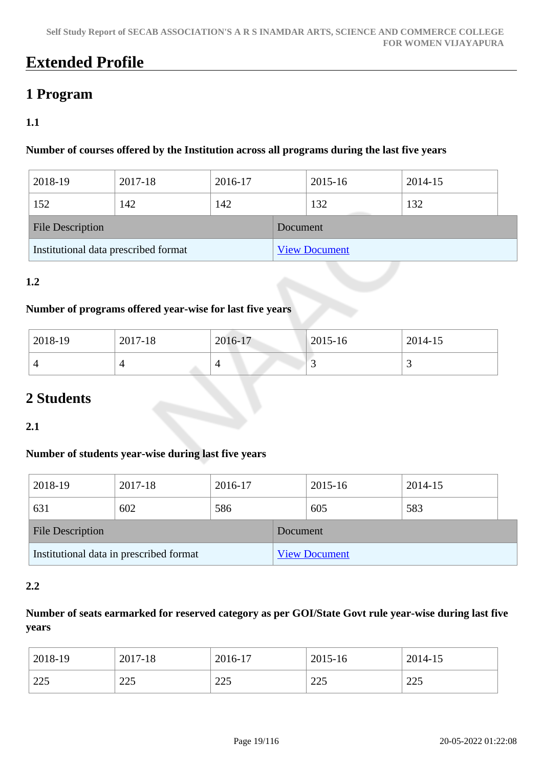## **Extended Profile**

## **1 Program**

## **1.1**

## **Number of courses offered by the Institution across all programs during the last five years**

| 2018-19                              | 2017-18 | 2016-17 |          | 2015-16              | 2014-15 |  |
|--------------------------------------|---------|---------|----------|----------------------|---------|--|
| 152                                  | 142     | 142     |          | 132                  | 132     |  |
| <b>File Description</b>              |         |         | Document |                      |         |  |
| Institutional data prescribed format |         |         |          | <b>View Document</b> |         |  |

## **1.2**

## **Number of programs offered year-wise for last five years**

| 2018-19 | 2017-18 | 2016-17  | $ 2015-16 $ | 2014-15  |
|---------|---------|----------|-------------|----------|
|         |         | $\Delta$ | ັ           | <b>~</b> |

## **2 Students**

## **2.1**

### **Number of students year-wise during last five years**

| 2018-19                                 | 2017-18 | 2016-17 |                      | 2015-16 | 2014-15 |  |
|-----------------------------------------|---------|---------|----------------------|---------|---------|--|
| 631                                     | 602     | 586     |                      | 605     | 583     |  |
| <b>File Description</b>                 |         |         | Document             |         |         |  |
| Institutional data in prescribed format |         |         | <b>View Document</b> |         |         |  |

### **2.2**

## **Number of seats earmarked for reserved category as per GOI/State Govt rule year-wise during last five years**

| 2018-19 | 2017-18 | 2016-17 | 2015-16 | 2014-15 |
|---------|---------|---------|---------|---------|
| 225     | つつく     | つつく     | 225     | 225     |
|         | ل کا ک  | لەكك    | ل کے ک  | لەك     |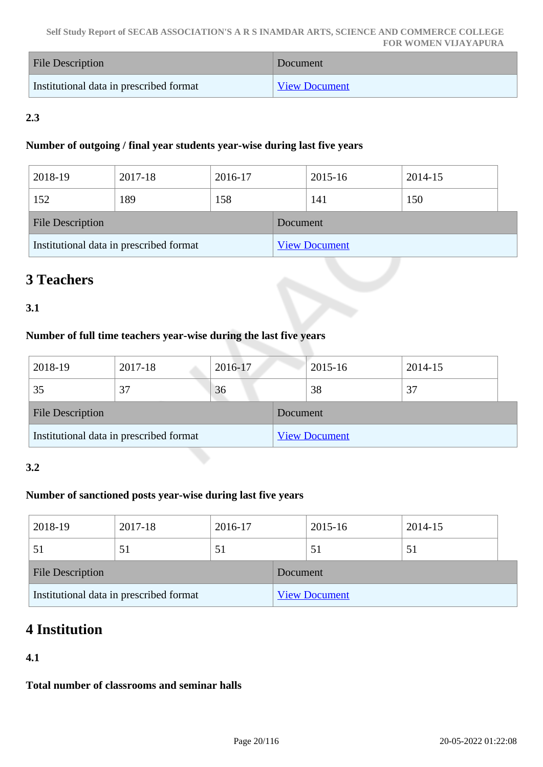| <b>File Description</b>                 | Document             |
|-----------------------------------------|----------------------|
| Institutional data in prescribed format | <b>View Document</b> |

## **2.3**

## **Number of outgoing / final year students year-wise during last five years**

| 2018-19                                 | 2017-18 | 2016-17 |                      | 2015-16 | 2014-15 |  |
|-----------------------------------------|---------|---------|----------------------|---------|---------|--|
| 152                                     | 189     | 158     |                      | 141     | 150     |  |
| <b>File Description</b>                 |         |         | Document             |         |         |  |
| Institutional data in prescribed format |         |         | <b>View Document</b> |         |         |  |

## **3 Teachers**

## **3.1**

## **Number of full time teachers year-wise during the last five years**

| 2018-19                                 | 2017-18 | 2016-17  |                      | 2015-16 | 2014-15 |  |
|-----------------------------------------|---------|----------|----------------------|---------|---------|--|
| 35                                      | 37      | 36       |                      | 38      | 37      |  |
| <b>File Description</b>                 |         | Document |                      |         |         |  |
| Institutional data in prescribed format |         |          | <b>View Document</b> |         |         |  |

## **3.2**

## **Number of sanctioned posts year-wise during last five years**

| 2018-19                                 | 2017-18 | 2016-17  |                      | 2015-16 | 2014-15 |  |
|-----------------------------------------|---------|----------|----------------------|---------|---------|--|
|                                         | 51      | 51       |                      | 51      | 51      |  |
| <b>File Description</b>                 |         | Document |                      |         |         |  |
| Institutional data in prescribed format |         |          | <b>View Document</b> |         |         |  |

## **4 Institution**

## **4.1**

**Total number of classrooms and seminar halls**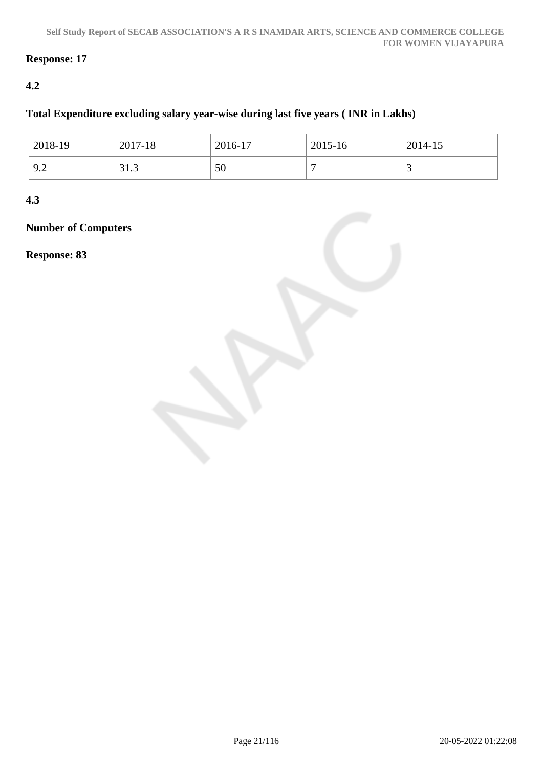## **Response: 17**

## **4.2**

## **Total Expenditure excluding salary year-wise during last five years ( INR in Lakhs)**

| 2018-19                  | 2017-18                                   | 2016-17 | 2015-16 | 2014-15 |
|--------------------------|-------------------------------------------|---------|---------|---------|
| $\alpha$ $\gamma$<br>フ・ム | $\mathbf{\Omega}$<br>$\sqrt{ }$<br>ن. د ر | 50      |         | ້       |

**4.3**

**Number of Computers**

**Response: 83**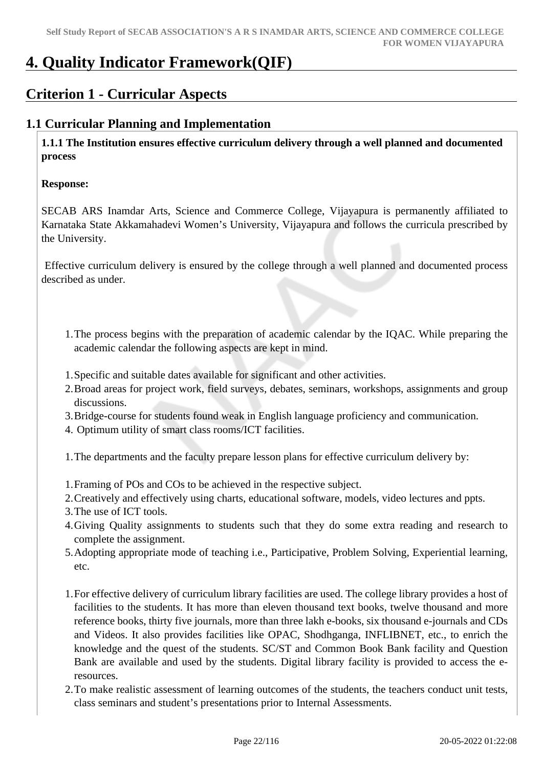## **4. Quality Indicator Framework(QIF)**

## **Criterion 1 - Curricular Aspects**

## **1.1 Curricular Planning and Implementation**

 **1.1.1 The Institution ensures effective curriculum delivery through a well planned and documented process**

## **Response:**

SECAB ARS Inamdar Arts, Science and Commerce College, Vijayapura is permanently affiliated to Karnataka State Akkamahadevi Women's University, Vijayapura and follows the curricula prescribed by the University.

 Effective curriculum delivery is ensured by the college through a well planned and documented process described as under.

- 1.The process begins with the preparation of academic calendar by the IQAC. While preparing the academic calendar the following aspects are kept in mind.
- 1.Specific and suitable dates available for significant and other activities.
- 2.Broad areas for project work, field surveys, debates, seminars, workshops, assignments and group discussions.
- 3.Bridge-course for students found weak in English language proficiency and communication.
- 4. Optimum utility of smart class rooms/ICT facilities.
- 1.The departments and the faculty prepare lesson plans for effective curriculum delivery by:
- 1.Framing of POs and COs to be achieved in the respective subject.
- 2.Creatively and effectively using charts, educational software, models, video lectures and ppts.
- 3.The use of ICT tools.
- 4.Giving Quality assignments to students such that they do some extra reading and research to complete the assignment.
- 5.Adopting appropriate mode of teaching i.e., Participative, Problem Solving, Experiential learning, etc.
- 1.For effective delivery of curriculum library facilities are used. The college library provides a host of facilities to the students. It has more than eleven thousand text books, twelve thousand and more reference books, thirty five journals, more than three lakh e-books, six thousand e-journals and CDs and Videos. It also provides facilities like OPAC, Shodhganga, INFLIBNET, etc., to enrich the knowledge and the quest of the students. SC/ST and Common Book Bank facility and Question Bank are available and used by the students. Digital library facility is provided to access the eresources.
- 2.To make realistic assessment of learning outcomes of the students, the teachers conduct unit tests, class seminars and student's presentations prior to Internal Assessments.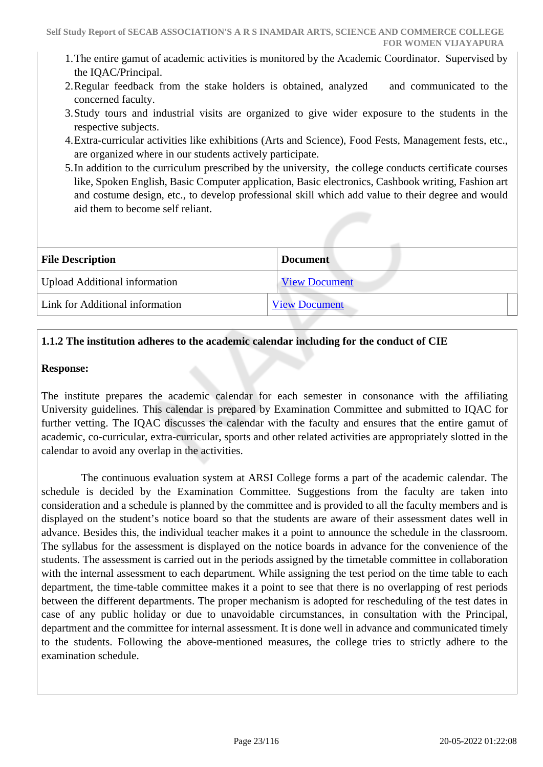- 1.The entire gamut of academic activities is monitored by the Academic Coordinator. Supervised by the IQAC/Principal.
- 2.Regular feedback from the stake holders is obtained, analyzed and communicated to the concerned faculty.
- 3.Study tours and industrial visits are organized to give wider exposure to the students in the respective subjects.
- 4.Extra-curricular activities like exhibitions (Arts and Science), Food Fests, Management fests, etc., are organized where in our students actively participate.
- 5.In addition to the curriculum prescribed by the university, the college conducts certificate courses like, Spoken English, Basic Computer application, Basic electronics, Cashbook writing, Fashion art and costume design, etc., to develop professional skill which add value to their degree and would aid them to become self reliant.

| <b>File Description</b>              | <b>Document</b>      |
|--------------------------------------|----------------------|
| <b>Upload Additional information</b> | <b>View Document</b> |
| Link for Additional information      | <b>View Document</b> |
|                                      |                      |

## **1.1.2 The institution adheres to the academic calendar including for the conduct of CIE**

#### **Response:**

The institute prepares the academic calendar for each semester in consonance with the affiliating University guidelines. This calendar is prepared by Examination Committee and submitted to IQAC for further vetting. The IQAC discusses the calendar with the faculty and ensures that the entire gamut of academic, co-curricular, extra-curricular, sports and other related activities are appropriately slotted in the calendar to avoid any overlap in the activities.

 The continuous evaluation system at ARSI College forms a part of the academic calendar. The schedule is decided by the Examination Committee. Suggestions from the faculty are taken into consideration and a schedule is planned by the committee and is provided to all the faculty members and is displayed on the student's notice board so that the students are aware of their assessment dates well in advance. Besides this, the individual teacher makes it a point to announce the schedule in the classroom. The syllabus for the assessment is displayed on the notice boards in advance for the convenience of the students. The assessment is carried out in the periods assigned by the timetable committee in collaboration with the internal assessment to each department. While assigning the test period on the time table to each department, the time-table committee makes it a point to see that there is no overlapping of rest periods between the different departments. The proper mechanism is adopted for rescheduling of the test dates in case of any public holiday or due to unavoidable circumstances, in consultation with the Principal, department and the committee for internal assessment. It is done well in advance and communicated timely to the students. Following the above-mentioned measures, the college tries to strictly adhere to the examination schedule.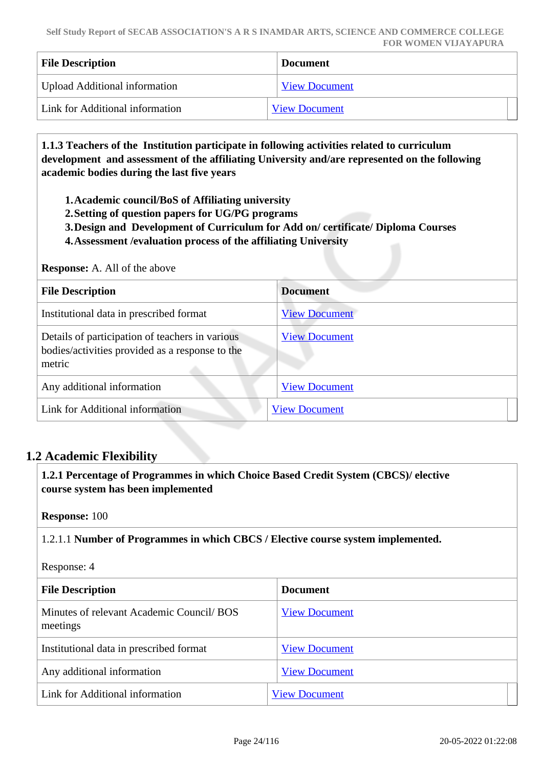| <b>File Description</b>         | <b>Document</b>      |
|---------------------------------|----------------------|
| Upload Additional information   | <b>View Document</b> |
| Link for Additional information | <b>View Document</b> |

 **1.1.3 Teachers of the Institution participate in following activities related to curriculum development and assessment of the affiliating University and/are represented on the following academic bodies during the last five years** 

**1.Academic council/BoS of Affiliating university**

- **2.Setting of question papers for UG/PG programs**
- **3.Design and Development of Curriculum for Add on/ certificate/ Diploma Courses**
- **4.Assessment /evaluation process of the affiliating University**

#### **Response:** A. All of the above

| <b>File Description</b>                                                                                      | <b>Document</b>      |
|--------------------------------------------------------------------------------------------------------------|----------------------|
| Institutional data in prescribed format                                                                      | <b>View Document</b> |
| Details of participation of teachers in various<br>bodies/activities provided as a response to the<br>metric | <b>View Document</b> |
| Any additional information                                                                                   | <b>View Document</b> |
| Link for Additional information                                                                              | <b>View Document</b> |

## **1.2 Academic Flexibility**

 **1.2.1 Percentage of Programmes in which Choice Based Credit System (CBCS)/ elective course system has been implemented** 

**Response:** 100

1.2.1.1 **Number of Programmes in which CBCS / Elective course system implemented.**

Response: 4

| <b>File Description</b>                               | <b>Document</b>      |
|-------------------------------------------------------|----------------------|
| Minutes of relevant Academic Council/ BOS<br>meetings | <b>View Document</b> |
| Institutional data in prescribed format               | <b>View Document</b> |
| Any additional information                            | <b>View Document</b> |
| Link for Additional information                       | <b>View Document</b> |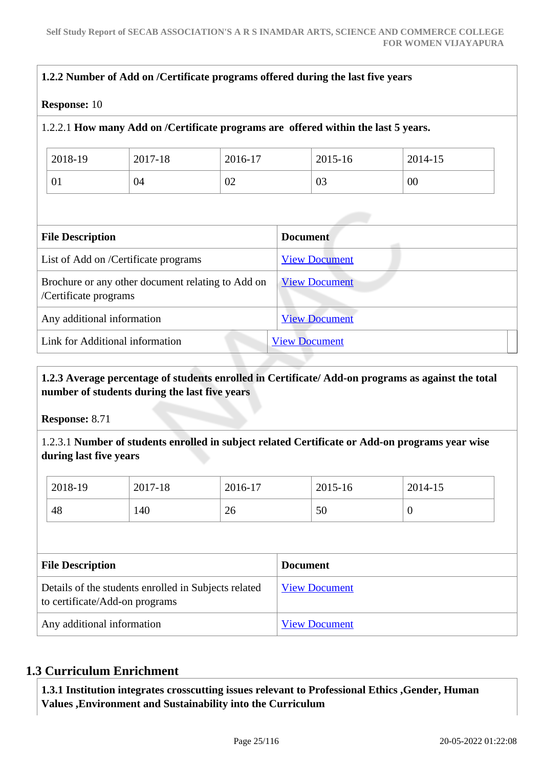| <b>Response: 10</b>        |                                                   |                      |                                                                                    |         |
|----------------------------|---------------------------------------------------|----------------------|------------------------------------------------------------------------------------|---------|
|                            |                                                   |                      | 1.2.2.1 How many Add on /Certificate programs are offered within the last 5 years. |         |
| 2018-19                    | 2017-18                                           | 2016-17              | 2015-16                                                                            | 2014-15 |
| 01                         | 04                                                | 02                   | 03                                                                                 | $00\,$  |
| <b>File Description</b>    |                                                   |                      | <b>Document</b>                                                                    |         |
|                            | List of Add on /Certificate programs              |                      | <b>View Document</b>                                                               |         |
| /Certificate programs      | Brochure or any other document relating to Add on |                      | <b>View Document</b>                                                               |         |
| Any additional information |                                                   | <b>View Document</b> |                                                                                    |         |
|                            |                                                   |                      |                                                                                    |         |

## **1.2.3 Average percentage of students enrolled in Certificate/ Add-on programs as against the total number of students during the last five years**

**Response:** 8.71

1.2.3.1 **Number of students enrolled in subject related Certificate or Add-on programs year wise during last five years**

| 2018-19 | 2017-18 | 2016-17 | 2015-16 | 2014-15 |
|---------|---------|---------|---------|---------|
| 48      | 140     | 26      | 50      | v       |

| <b>File Description</b>                                                                | <b>Document</b>      |
|----------------------------------------------------------------------------------------|----------------------|
| Details of the students enrolled in Subjects related<br>to certificate/Add-on programs | <b>View Document</b> |
| Any additional information                                                             | <b>View Document</b> |

## **1.3 Curriculum Enrichment**

 **1.3.1 Institution integrates crosscutting issues relevant to Professional Ethics ,Gender, Human Values ,Environment and Sustainability into the Curriculum**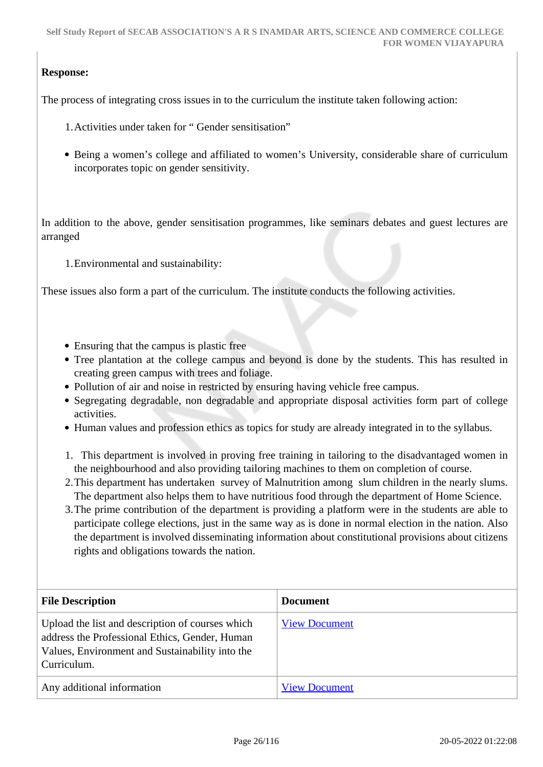## **Response:**

The process of integrating cross issues in to the curriculum the institute taken following action:

- 1.Activities under taken for " Gender sensitisation"
- Being a women's college and affiliated to women's University, considerable share of curriculum incorporates topic on gender sensitivity.

In addition to the above, gender sensitisation programmes, like seminars debates and guest lectures are arranged

1.Environmental and sustainability:

These issues also form a part of the curriculum. The institute conducts the following activities.

- Ensuring that the campus is plastic free
- Tree plantation at the college campus and beyond is done by the students. This has resulted in creating green campus with trees and foliage.
- Pollution of air and noise in restricted by ensuring having vehicle free campus.
- Segregating degradable, non degradable and appropriate disposal activities form part of college activities.
- Human values and profession ethics as topics for study are already integrated in to the syllabus.
- 1. This department is involved in proving free training in tailoring to the disadvantaged women in the neighbourhood and also providing tailoring machines to them on completion of course.
- 2.This department has undertaken survey of Malnutrition among slum children in the nearly slums. The department also helps them to have nutritious food through the department of Home Science.
- 3.The prime contribution of the department is providing a platform were in the students are able to participate college elections, just in the same way as is done in normal election in the nation. Also the department is involved disseminating information about constitutional provisions about citizens rights and obligations towards the nation.

| <b>File Description</b>                                                                                                                                              | <b>Document</b>      |
|----------------------------------------------------------------------------------------------------------------------------------------------------------------------|----------------------|
| Upload the list and description of courses which<br>address the Professional Ethics, Gender, Human<br>Values, Environment and Sustainability into the<br>Curriculum. | <b>View Document</b> |
| Any additional information                                                                                                                                           | <b>View Document</b> |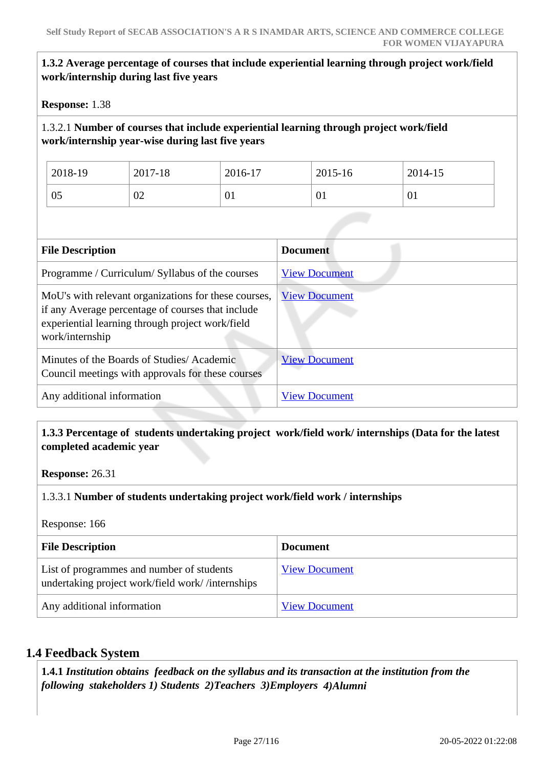## **1.3.2 Average percentage of courses that include experiential learning through project work/field work/internship during last five years**

**Response:** 1.38

## 1.3.2.1 **Number of courses that include experiential learning through project work/field work/internship year-wise during last five years**

| 2018-19 | 2017-18 | 2016-17 | 2015-16 | 2014-15 |
|---------|---------|---------|---------|---------|
| 05      | 02      | 01      | V1      | 01      |

| <b>File Description</b>                                                                                                                                                          | <b>Document</b>      |
|----------------------------------------------------------------------------------------------------------------------------------------------------------------------------------|----------------------|
| Programme / Curriculum/ Syllabus of the courses                                                                                                                                  | <b>View Document</b> |
| MoU's with relevant organizations for these courses,<br>if any Average percentage of courses that include<br>experiential learning through project work/field<br>work/internship | <b>View Document</b> |
| Minutes of the Boards of Studies/Academic<br>Council meetings with approvals for these courses                                                                                   | <b>View Document</b> |
| Any additional information                                                                                                                                                       | <b>View Document</b> |

### **1.3.3 Percentage of students undertaking project work/field work/ internships (Data for the latest completed academic year**

**Response:** 26.31

### 1.3.3.1 **Number of students undertaking project work/field work / internships**

Response: 166

| <b>File Description</b>                                                                       | <b>Document</b>      |
|-----------------------------------------------------------------------------------------------|----------------------|
| List of programmes and number of students<br>undertaking project work/field work//internships | <b>View Document</b> |
| Any additional information                                                                    | <b>View Document</b> |

## **1.4 Feedback System**

 **1.4.1** *Institution obtains feedback on the syllabus and its transaction at the institution from the following stakeholders 1) Students 2)Teachers 3)Employers 4)Alumni*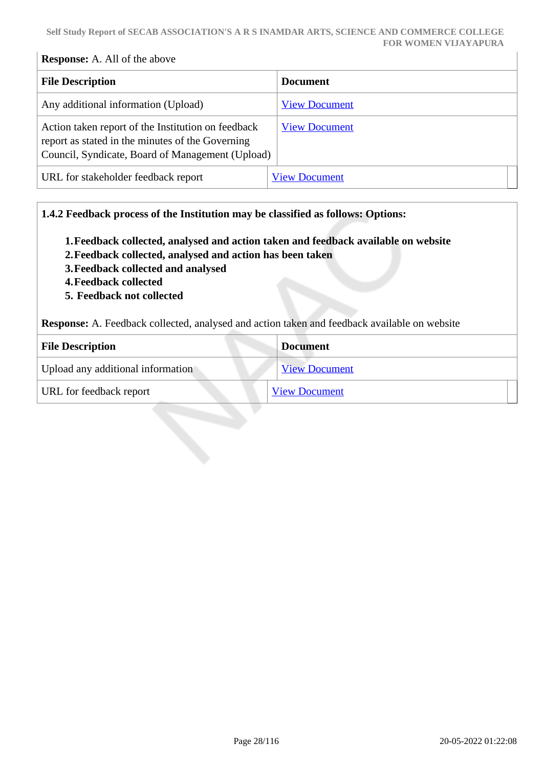## **Response:** A. All of the above

| <b>File Description</b>                                                                                                                                    | <b>Document</b>      |
|------------------------------------------------------------------------------------------------------------------------------------------------------------|----------------------|
| Any additional information (Upload)                                                                                                                        | <b>View Document</b> |
| Action taken report of the Institution on feedback<br>report as stated in the minutes of the Governing<br>Council, Syndicate, Board of Management (Upload) | <b>View Document</b> |
| URL for stakeholder feedback report                                                                                                                        | <b>View Document</b> |

### **1.4.2 Feedback process of the Institution may be classified as follows: Options:**

- **1.Feedback collected, analysed and action taken and feedback available on website**
- **2.Feedback collected, analysed and action has been taken**
- **3.Feedback collected and analysed**
- **4.Feedback collected**
- **5. Feedback not collected**

**Response:** A. Feedback collected, analysed and action taken and feedback available on website

| <b>File Description</b>           | <b>Document</b>      |
|-----------------------------------|----------------------|
| Upload any additional information | <b>View Document</b> |
| URL for feedback report           | <b>View Document</b> |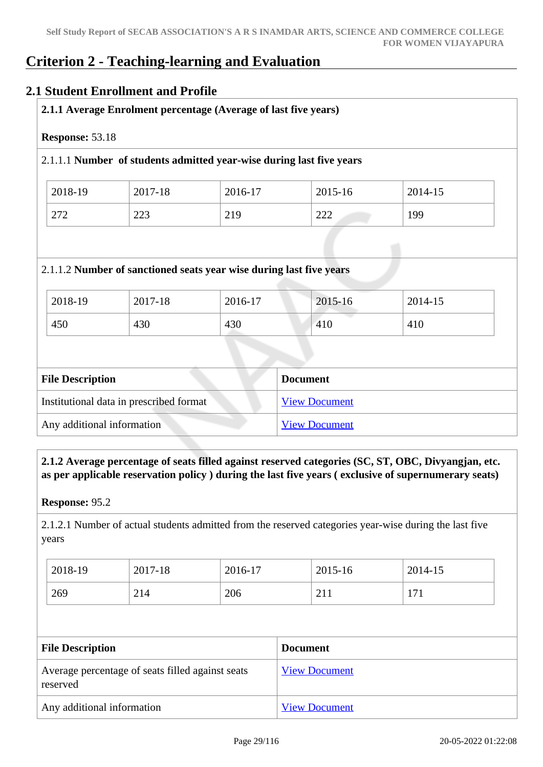## **Criterion 2 - Teaching-learning and Evaluation**

## **2.1 Student Enrollment and Profile**

| 2.1.1 Average Enrolment percentage (Average of last five years) |
|-----------------------------------------------------------------|
|                                                                 |

#### **Response:** 53.18

### 2.1.1.1 **Number of students admitted year-wise during last five years**

| 2018-19 | 2017-18    | 2016-17 | 2015-16    | 2014-15 |
|---------|------------|---------|------------|---------|
| 272     | າາາ<br>223 | 219     | റററ<br>سىس | 199     |

#### 2.1.1.2 **Number of sanctioned seats year wise during last five years**

| 2018-19 | 2017-18 | 2016-17 | 2015-16 | 2014-15 |
|---------|---------|---------|---------|---------|
| 450     | 430     | 430     | 410     | 410     |

| <b>File Description</b>                 | <b>Document</b>      |
|-----------------------------------------|----------------------|
| Institutional data in prescribed format | <b>View Document</b> |
| Any additional information              | <b>View Document</b> |

## **2.1.2 Average percentage of seats filled against reserved categories (SC, ST, OBC, Divyangjan, etc. as per applicable reservation policy ) during the last five years ( exclusive of supernumerary seats)**

**Response:** 95.2

2.1.2.1 Number of actual students admitted from the reserved categories year-wise during the last five years

| 2018-19 | 2017-18 | 2016-17 | 2015-16    | 2014-15     |
|---------|---------|---------|------------|-------------|
| 269     | 214     | 206     | ⌒ 1<br>211 | $-1$<br>111 |

| <b>File Description</b>                                      | <b>Document</b>      |
|--------------------------------------------------------------|----------------------|
| Average percentage of seats filled against seats<br>reserved | <b>View Document</b> |
| Any additional information                                   | <b>View Document</b> |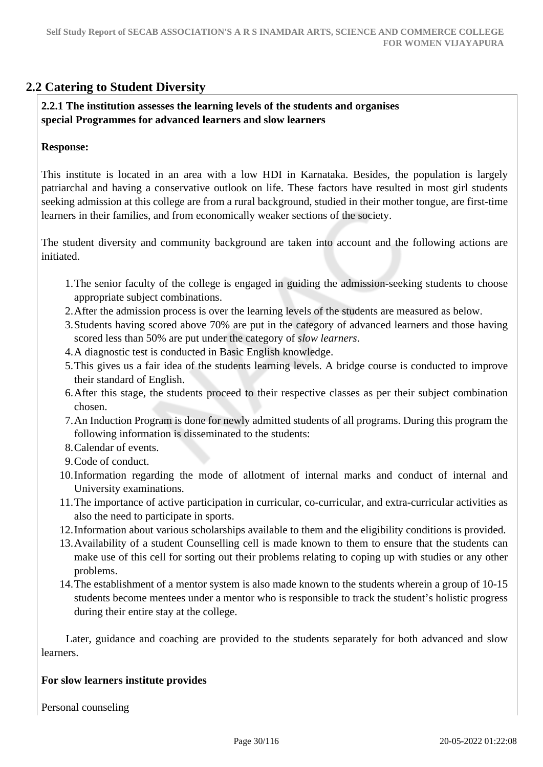## **2.2 Catering to Student Diversity**

## **2.2.1 The institution assesses the learning levels of the students and organises special Programmes for advanced learners and slow learners**

### **Response:**

This institute is located in an area with a low HDI in Karnataka. Besides, the population is largely patriarchal and having a conservative outlook on life. These factors have resulted in most girl students seeking admission at this college are from a rural background, studied in their mother tongue, are first-time learners in their families, and from economically weaker sections of the society.

The student diversity and community background are taken into account and the following actions are initiated.

- 1.The senior faculty of the college is engaged in guiding the admission-seeking students to choose appropriate subject combinations.
- 2.After the admission process is over the learning levels of the students are measured as below.
- 3.Students having scored above 70% are put in the category of advanced learners and those having scored less than 50% are put under the category of *slow learners*.
- 4.A diagnostic test is conducted in Basic English knowledge.
- 5.This gives us a fair idea of the students learning levels. A bridge course is conducted to improve their standard of English.
- 6.After this stage, the students proceed to their respective classes as per their subject combination chosen.
- 7.An Induction Program is done for newly admitted students of all programs. During this program the following information is disseminated to the students:
- 8.Calendar of events.
- 9.Code of conduct.
- 10.Information regarding the mode of allotment of internal marks and conduct of internal and University examinations.
- 11.The importance of active participation in curricular, co-curricular, and extra-curricular activities as also the need to participate in sports.
- 12.Information about various scholarships available to them and the eligibility conditions is provided.
- 13.Availability of a student Counselling cell is made known to them to ensure that the students can make use of this cell for sorting out their problems relating to coping up with studies or any other problems.
- 14.The establishment of a mentor system is also made known to the students wherein a group of 10-15 students become mentees under a mentor who is responsible to track the student's holistic progress during their entire stay at the college.

 Later, guidance and coaching are provided to the students separately for both advanced and slow learners.

## **For slow learners institute provides**

Personal counseling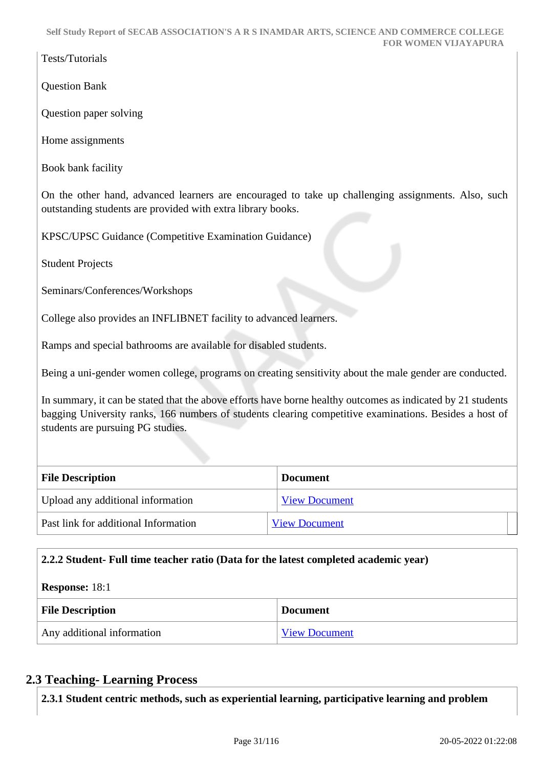Tests/Tutorials

Question Bank

Question paper solving

Home assignments

Book bank facility

On the other hand, advanced learners are encouraged to take up challenging assignments. Also, such outstanding students are provided with extra library books.

KPSC/UPSC Guidance (Competitive Examination Guidance)

Student Projects

Seminars/Conferences/Workshops

College also provides an INFLIBNET facility to advanced learners.

Ramps and special bathrooms are available for disabled students.

Being a uni-gender women college, programs on creating sensitivity about the male gender are conducted.

In summary, it can be stated that the above efforts have borne healthy outcomes as indicated by 21 students bagging University ranks, 166 numbers of students clearing competitive examinations. Besides a host of students are pursuing PG studies.

| <b>File Description</b>              | <b>Document</b>      |  |
|--------------------------------------|----------------------|--|
| Upload any additional information    | <b>View Document</b> |  |
| Past link for additional Information | <b>View Document</b> |  |

## **2.2.2 Student- Full time teacher ratio (Data for the latest completed academic year)**

| <b>Response:</b> 18:1      |                      |  |
|----------------------------|----------------------|--|
| <b>File Description</b>    | <b>Document</b>      |  |
| Any additional information | <b>View Document</b> |  |

## **2.3 Teaching- Learning Process**

**2.3.1 Student centric methods, such as experiential learning, participative learning and problem**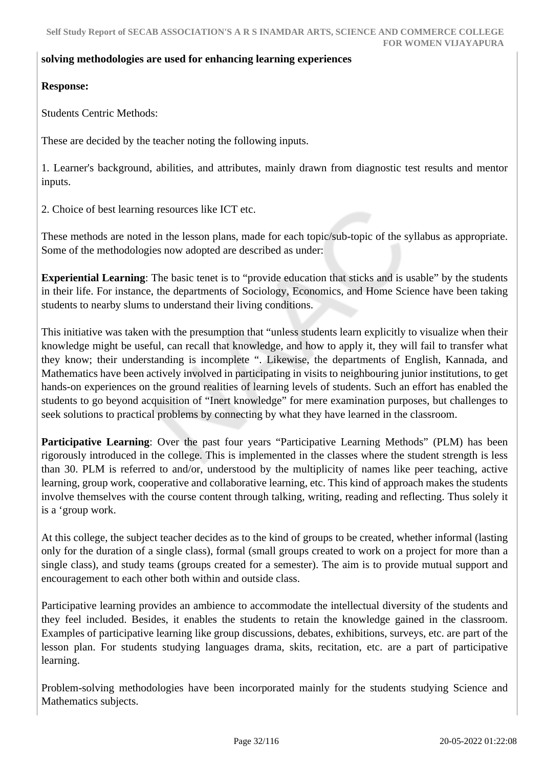#### **solving methodologies are used for enhancing learning experiences**

## **Response:**

Students Centric Methods:

These are decided by the teacher noting the following inputs.

1. Learner's background, abilities, and attributes, mainly drawn from diagnostic test results and mentor inputs.

2. Choice of best learning resources like ICT etc.

These methods are noted in the lesson plans, made for each topic/sub-topic of the syllabus as appropriate. Some of the methodologies now adopted are described as under:

**Experiential Learning**: The basic tenet is to "provide education that sticks and is usable" by the students in their life. For instance, the departments of Sociology, Economics, and Home Science have been taking students to nearby slums to understand their living conditions.

This initiative was taken with the presumption that "unless students learn explicitly to visualize when their knowledge might be useful, can recall that knowledge, and how to apply it, they will fail to transfer what they know; their understanding is incomplete ". Likewise, the departments of English, Kannada, and Mathematics have been actively involved in participating in visits to neighbouring junior institutions, to get hands-on experiences on the ground realities of learning levels of students. Such an effort has enabled the students to go beyond acquisition of "Inert knowledge" for mere examination purposes, but challenges to seek solutions to practical problems by connecting by what they have learned in the classroom.

**Participative Learning**: Over the past four years "Participative Learning Methods" (PLM) has been rigorously introduced in the college. This is implemented in the classes where the student strength is less than 30. PLM is referred to and/or, understood by the multiplicity of names like peer teaching, active learning, group work, cooperative and collaborative learning, etc. This kind of approach makes the students involve themselves with the course content through talking, writing, reading and reflecting. Thus solely it is a 'group work.

At this college, the subject teacher decides as to the kind of groups to be created, whether informal (lasting only for the duration of a single class), formal (small groups created to work on a project for more than a single class), and study teams (groups created for a semester). The aim is to provide mutual support and encouragement to each other both within and outside class.

Participative learning provides an ambience to accommodate the intellectual diversity of the students and they feel included. Besides, it enables the students to retain the knowledge gained in the classroom. Examples of participative learning like group discussions, debates, exhibitions, surveys, etc. are part of the lesson plan. For students studying languages drama, skits, recitation, etc. are a part of participative learning.

Problem-solving methodologies have been incorporated mainly for the students studying Science and Mathematics subjects.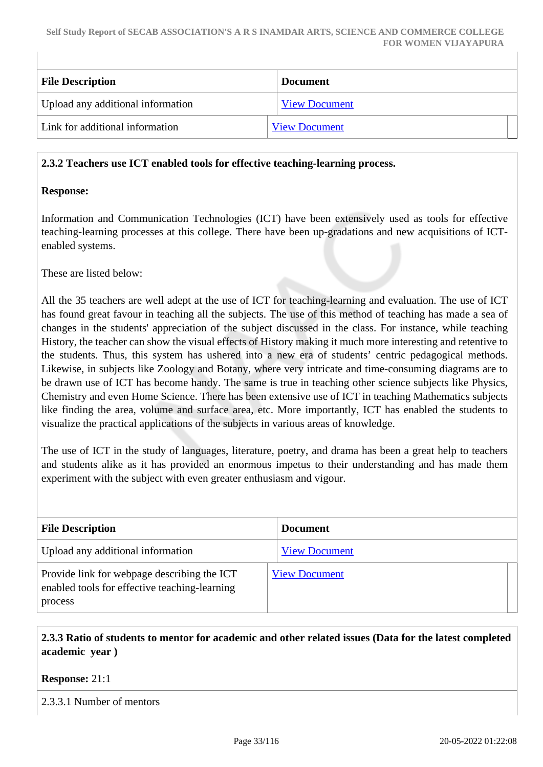| <b>File Description</b>           | <b>Document</b>      |
|-----------------------------------|----------------------|
| Upload any additional information | <b>View Document</b> |
| Link for additional information   | <b>View Document</b> |

#### **2.3.2 Teachers use ICT enabled tools for effective teaching-learning process.**

#### **Response:**

Information and Communication Technologies (ICT) have been extensively used as tools for effective teaching-learning processes at this college. There have been up-gradations and new acquisitions of ICTenabled systems.

These are listed below:

All the 35 teachers are well adept at the use of ICT for teaching-learning and evaluation. The use of ICT has found great favour in teaching all the subjects. The use of this method of teaching has made a sea of changes in the students' appreciation of the subject discussed in the class. For instance, while teaching History, the teacher can show the visual effects of History making it much more interesting and retentive to the students. Thus, this system has ushered into a new era of students' centric pedagogical methods. Likewise, in subjects like Zoology and Botany, where very intricate and time-consuming diagrams are to be drawn use of ICT has become handy. The same is true in teaching other science subjects like Physics, Chemistry and even Home Science. There has been extensive use of ICT in teaching Mathematics subjects like finding the area, volume and surface area, etc. More importantly, ICT has enabled the students to visualize the practical applications of the subjects in various areas of knowledge.

The use of ICT in the study of languages, literature, poetry, and drama has been a great help to teachers and students alike as it has provided an enormous impetus to their understanding and has made them experiment with the subject with even greater enthusiasm and vigour.

| <b>File Description</b>                                                                                 | <b>Document</b>      |
|---------------------------------------------------------------------------------------------------------|----------------------|
| Upload any additional information                                                                       | <b>View Document</b> |
| Provide link for webpage describing the ICT<br>enabled tools for effective teaching-learning<br>process | <b>View Document</b> |

## **2.3.3 Ratio of students to mentor for academic and other related issues (Data for the latest completed academic year )**

#### **Response:** 21:1

2.3.3.1 Number of mentors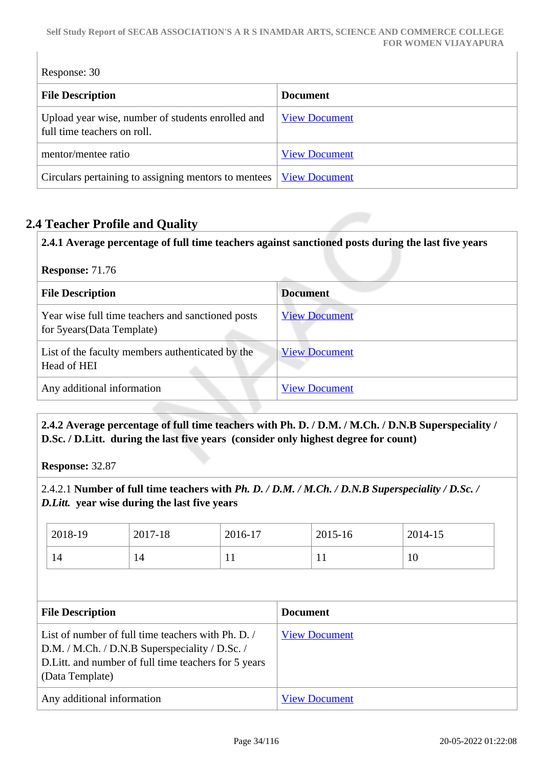#### **Self Study Report of SECAB ASSOCIATION'S A R S INAMDAR ARTS, SCIENCE AND COMMERCE COLLEGE FOR WOMEN VIJAYAPURA**

Response: 30 **File Description Document** Upload year wise, number of students enrolled and full time teachers on roll. [View Document](https://assessmentonline.naac.gov.in/storage/app/hei/SSR/105189/2.3.3_1628331799_4703.pdf) mentor/mentee ratio [View Document](https://assessmentonline.naac.gov.in/storage/app/hei/SSR/105189/2.3.3_1629176728_4703.xlsx) Circulars pertaining to assigning mentors to mentees <u>[View Document](https://assessmentonline.naac.gov.in/storage/app/hei/SSR/105189/2.3.3_1628331822_4703.pdf)</u>

## **2.4 Teacher Profile and Quality**

**2.4.1 Average percentage of full time teachers against sanctioned posts during the last five years**

| <b>Response: 71.76</b>                                                           |                      |  |  |
|----------------------------------------------------------------------------------|----------------------|--|--|
| <b>File Description</b>                                                          | <b>Document</b>      |  |  |
| Year wise full time teachers and sanctioned posts<br>for 5 years (Data Template) | <b>View Document</b> |  |  |
| List of the faculty members authenticated by the<br>Head of HEI                  | <b>View Document</b> |  |  |
| Any additional information                                                       | <b>View Document</b> |  |  |

 **2.4.2 Average percentage of full time teachers with Ph. D. / D.M. / M.Ch. / D.N.B Superspeciality / D.Sc. / D.Litt. during the last five years (consider only highest degree for count)**

**Response:** 32.87

2.4.2.1 **Number of full time teachers with** *Ph. D. / D.M. / M.Ch. / D.N.B Superspeciality / D.Sc. / D.Litt.* **year wise during the last five years**

|                                                                                                                                                                                  | 2018-19 | 2017-18              | 2016-17              |  | $2015 - 16$ | 2014-15 |
|----------------------------------------------------------------------------------------------------------------------------------------------------------------------------------|---------|----------------------|----------------------|--|-------------|---------|
|                                                                                                                                                                                  | 14      | 14                   | 11                   |  | 11          | 10      |
|                                                                                                                                                                                  |         |                      |                      |  |             |         |
| <b>File Description</b>                                                                                                                                                          |         |                      | <b>Document</b>      |  |             |         |
| List of number of full time teachers with Ph. D. /<br>D.M. / M.Ch. / D.N.B Superspeciality / D.Sc. /<br>D. Litt. and number of full time teachers for 5 years<br>(Data Template) |         | <b>View Document</b> |                      |  |             |         |
| Any additional information                                                                                                                                                       |         |                      | <b>View Document</b> |  |             |         |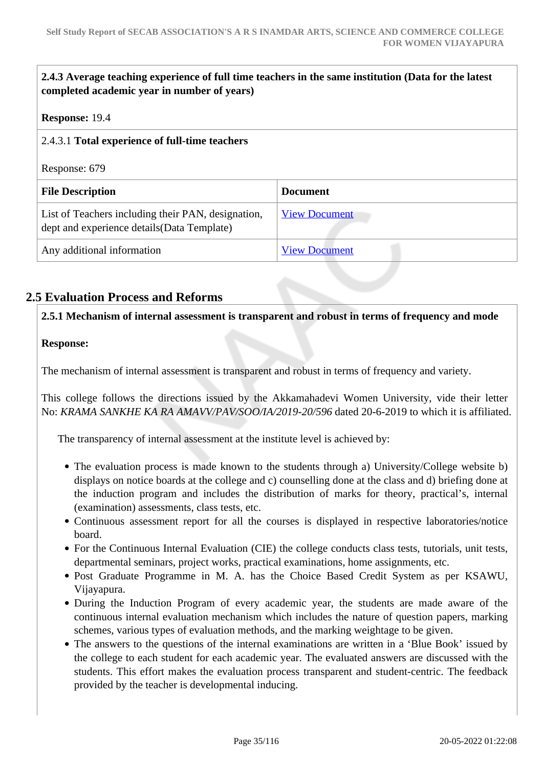| 2.4.3 Average teaching experience of full time teachers in the same institution (Data for the latest<br>completed academic year in number of years) |                      |
|-----------------------------------------------------------------------------------------------------------------------------------------------------|----------------------|
| Response: 19.4                                                                                                                                      |                      |
| 2.4.3.1 Total experience of full-time teachers                                                                                                      |                      |
| Response: 679                                                                                                                                       |                      |
| <b>File Description</b>                                                                                                                             | <b>Document</b>      |
| List of Teachers including their PAN, designation,<br>dept and experience details (Data Template)                                                   | <b>View Document</b> |
| Any additional information                                                                                                                          | <b>View Document</b> |

## **2.5 Evaluation Process and Reforms**

**2.5.1 Mechanism of internal assessment is transparent and robust in terms of frequency and mode**

## **Response:**

The mechanism of internal assessment is transparent and robust in terms of frequency and variety.

This college follows the directions issued by the Akkamahadevi Women University, vide their letter No: *KRAMA SANKHE KA RA AMAVV/PAV/SOO/IA/2019-20/596* dated 20-6-2019 to which it is affiliated.

The transparency of internal assessment at the institute level is achieved by:

- The evaluation process is made known to the students through a) University/College website b) displays on notice boards at the college and c) counselling done at the class and d) briefing done at the induction program and includes the distribution of marks for theory, practical's, internal (examination) assessments, class tests, etc.
- Continuous assessment report for all the courses is displayed in respective laboratories/notice board.
- For the Continuous Internal Evaluation (CIE) the college conducts class tests, tutorials, unit tests, departmental seminars, project works, practical examinations, home assignments, etc.
- Post Graduate Programme in M. A. has the Choice Based Credit System as per KSAWU, Vijayapura.
- During the Induction Program of every academic year, the students are made aware of the continuous internal evaluation mechanism which includes the nature of question papers, marking schemes, various types of evaluation methods, and the marking weightage to be given.
- The answers to the questions of the internal examinations are written in a 'Blue Book' issued by the college to each student for each academic year. The evaluated answers are discussed with the students. This effort makes the evaluation process transparent and student-centric. The feedback provided by the teacher is developmental inducing.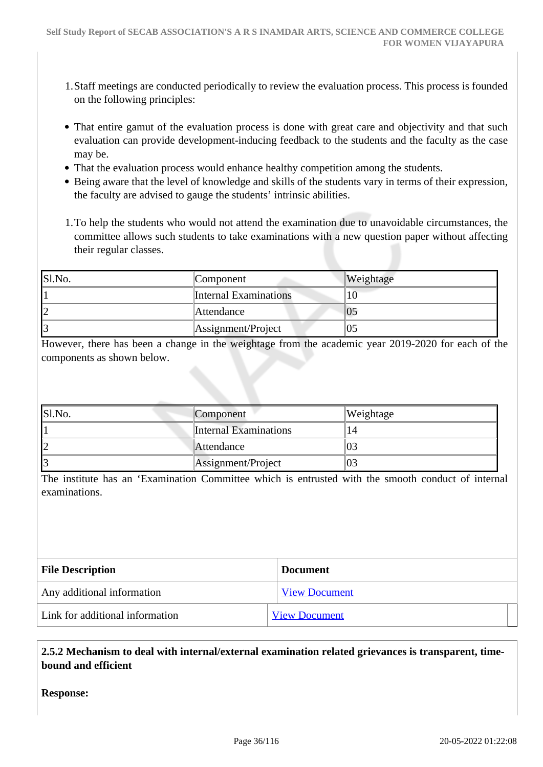- 1.Staff meetings are conducted periodically to review the evaluation process. This process is founded on the following principles:
- That entire gamut of the evaluation process is done with great care and objectivity and that such evaluation can provide development-inducing feedback to the students and the faculty as the case may be.
- That the evaluation process would enhance healthy competition among the students.
- Being aware that the level of knowledge and skills of the students vary in terms of their expression, the faculty are advised to gauge the students' intrinsic abilities.
- 1.To help the students who would not attend the examination due to unavoidable circumstances, the committee allows such students to take examinations with a new question paper without affecting their regular classes.

| Sl.No. | Component                    | Weightage |
|--------|------------------------------|-----------|
|        | <b>Internal Examinations</b> | 10        |
|        | Attendance                   | Už        |
|        | Assignment/Project           | 05        |

However, there has been a change in the weightage from the academic year 2019-2020 for each of the components as shown below.

| S1.No. | Component                    | Weightage      |
|--------|------------------------------|----------------|
|        | <b>Internal Examinations</b> |                |
|        | Attendance                   | 03             |
|        | Assignment/Project           | 0 <sup>2</sup> |

The institute has an 'Examination Committee which is entrusted with the smooth conduct of internal examinations.

| <b>File Description</b>         | <b>Document</b>      |
|---------------------------------|----------------------|
| Any additional information      | <b>View Document</b> |
| Link for additional information | <b>View Document</b> |

 **2.5.2 Mechanism to deal with internal/external examination related grievances is transparent, timebound and efficient** 

**Response:**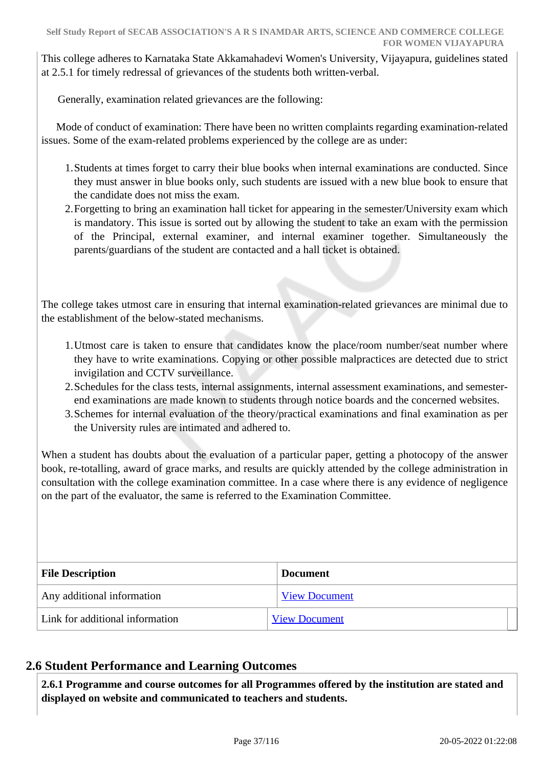This college adheres to Karnataka State Akkamahadevi Women's University, Vijayapura, guidelines stated at 2.5.1 for timely redressal of grievances of the students both written-verbal.

Generally, examination related grievances are the following:

 Mode of conduct of examination: There have been no written complaints regarding examination-related issues. Some of the exam-related problems experienced by the college are as under:

- 1.Students at times forget to carry their blue books when internal examinations are conducted. Since they must answer in blue books only, such students are issued with a new blue book to ensure that the candidate does not miss the exam.
- 2.Forgetting to bring an examination hall ticket for appearing in the semester/University exam which is mandatory. This issue is sorted out by allowing the student to take an exam with the permission of the Principal, external examiner, and internal examiner together. Simultaneously the parents/guardians of the student are contacted and a hall ticket is obtained.

The college takes utmost care in ensuring that internal examination-related grievances are minimal due to the establishment of the below-stated mechanisms.

- 1.Utmost care is taken to ensure that candidates know the place/room number/seat number where they have to write examinations. Copying or other possible malpractices are detected due to strict invigilation and CCTV surveillance.
- 2.Schedules for the class tests, internal assignments, internal assessment examinations, and semesterend examinations are made known to students through notice boards and the concerned websites.
- 3.Schemes for internal evaluation of the theory/practical examinations and final examination as per the University rules are intimated and adhered to.

When a student has doubts about the evaluation of a particular paper, getting a photocopy of the answer book, re-totalling, award of grace marks, and results are quickly attended by the college administration in consultation with the college examination committee. In a case where there is any evidence of negligence on the part of the evaluator, the same is referred to the Examination Committee.

| <b>File Description</b>         | <b>Document</b>      |
|---------------------------------|----------------------|
| Any additional information      | <b>View Document</b> |
| Link for additional information | <b>View Document</b> |

# **2.6 Student Performance and Learning Outcomes**

 **2.6.1 Programme and course outcomes for all Programmes offered by the institution are stated and displayed on website and communicated to teachers and students.**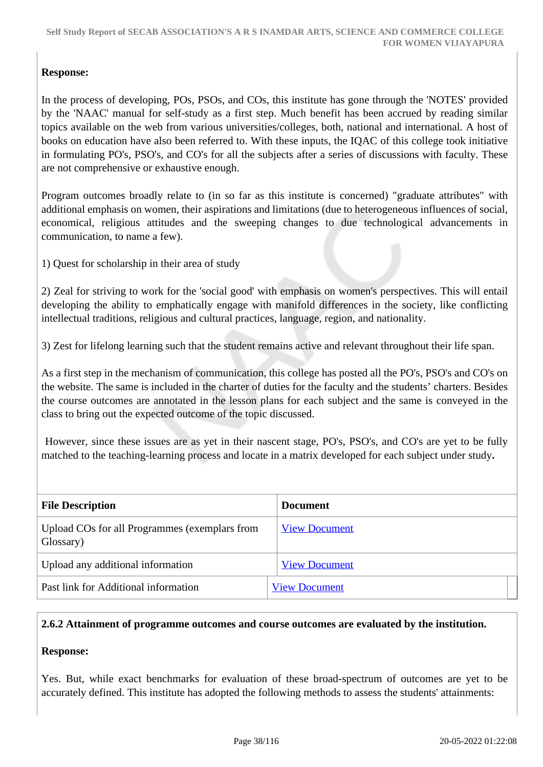# **Response:**

In the process of developing, POs, PSOs, and COs, this institute has gone through the 'NOTES' provided by the 'NAAC' manual for self-study as a first step. Much benefit has been accrued by reading similar topics available on the web from various universities/colleges, both, national and international. A host of books on education have also been referred to. With these inputs, the IQAC of this college took initiative in formulating PO's, PSO's, and CO's for all the subjects after a series of discussions with faculty. These are not comprehensive or exhaustive enough.

Program outcomes broadly relate to (in so far as this institute is concerned) "graduate attributes" with additional emphasis on women, their aspirations and limitations (due to heterogeneous influences of social, economical, religious attitudes and the sweeping changes to due technological advancements in communication, to name a few).

1) Quest for scholarship in their area of study

2) Zeal for striving to work for the 'social good' with emphasis on women's perspectives. This will entail developing the ability to emphatically engage with manifold differences in the society, like conflicting intellectual traditions, religious and cultural practices, language, region, and nationality.

3) Zest for lifelong learning such that the student remains active and relevant throughout their life span.

As a first step in the mechanism of communication, this college has posted all the PO's, PSO's and CO's on the website. The same is included in the charter of duties for the faculty and the students' charters. Besides the course outcomes are annotated in the lesson plans for each subject and the same is conveyed in the class to bring out the expected outcome of the topic discussed.

 However, since these issues are as yet in their nascent stage, PO's, PSO's, and CO's are yet to be fully matched to the teaching-learning process and locate in a matrix developed for each subject under study**.**

| <b>File Description</b>                                    | Document             |
|------------------------------------------------------------|----------------------|
| Upload COs for all Programmes (exemplars from<br>Glossary) | <b>View Document</b> |
| Upload any additional information                          | <b>View Document</b> |
| Past link for Additional information                       | <b>View Document</b> |

#### **2.6.2 Attainment of programme outcomes and course outcomes are evaluated by the institution.**

#### **Response:**

Yes. But, while exact benchmarks for evaluation of these broad-spectrum of outcomes are yet to be accurately defined. This institute has adopted the following methods to assess the students' attainments: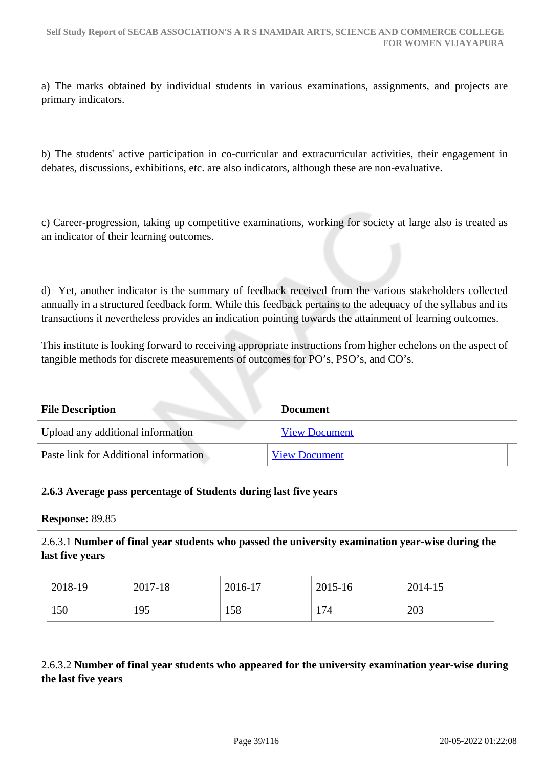a) The marks obtained by individual students in various examinations, assignments, and projects are primary indicators.

b) The students' active participation in co-curricular and extracurricular activities, their engagement in debates, discussions, exhibitions, etc. are also indicators, although these are non-evaluative.

c) Career-progression, taking up competitive examinations, working for society at large also is treated as an indicator of their learning outcomes.

d) Yet, another indicator is the summary of feedback received from the various stakeholders collected annually in a structured feedback form. While this feedback pertains to the adequacy of the syllabus and its transactions it nevertheless provides an indication pointing towards the attainment of learning outcomes.

This institute is looking forward to receiving appropriate instructions from higher echelons on the aspect of tangible methods for discrete measurements of outcomes for PO's, PSO's, and CO's.

| <b>File Description</b>               | <b>Document</b>      |
|---------------------------------------|----------------------|
| Upload any additional information     | <b>View Document</b> |
| Paste link for Additional information | <b>View Document</b> |

#### **2.6.3 Average pass percentage of Students during last five years**

**Response:** 89.85

2.6.3.1 **Number of final year students who passed the university examination year-wise during the last five years**

| 2018-19 | 2017-18 | 2016-17 | 2015-16 | 2014-15 |
|---------|---------|---------|---------|---------|
| 150     | 195     | 158     | 174     | 203     |

2.6.3.2 **Number of final year students who appeared for the university examination year-wise during the last five years**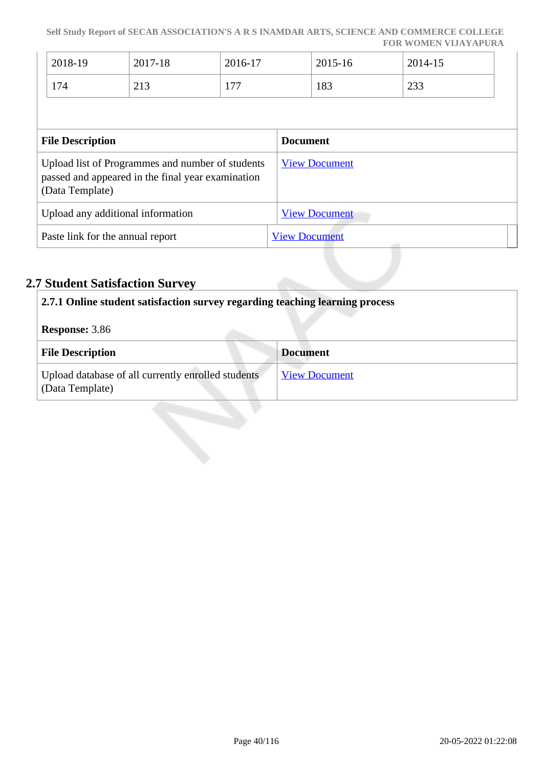| 2018-19 | 2017-18                        | 2016-17 | 2015-16 | 2014-15       |
|---------|--------------------------------|---------|---------|---------------|
| 174     | $\bigcap$ 1 $\bigcap$<br>ل 1 ک | 177     | 183     | $\cap$<br>دد∠ |

| <b>File Description</b>                                                                                                  | <b>Document</b>      |
|--------------------------------------------------------------------------------------------------------------------------|----------------------|
| Upload list of Programmes and number of students<br>passed and appeared in the final year examination<br>(Data Template) | <b>View Document</b> |
| Upload any additional information                                                                                        | <b>View Document</b> |
| Paste link for the annual report                                                                                         | <b>View Document</b> |

# **2.7 Student Satisfaction Survey**

| 2.7.1 Online student satisfaction survey regarding teaching learning process |                      |  |
|------------------------------------------------------------------------------|----------------------|--|
| <b>Response: 3.86</b>                                                        |                      |  |
| <b>File Description</b>                                                      | <b>Document</b>      |  |
| Upload database of all currently enrolled students<br>(Data Template)        | <b>View Document</b> |  |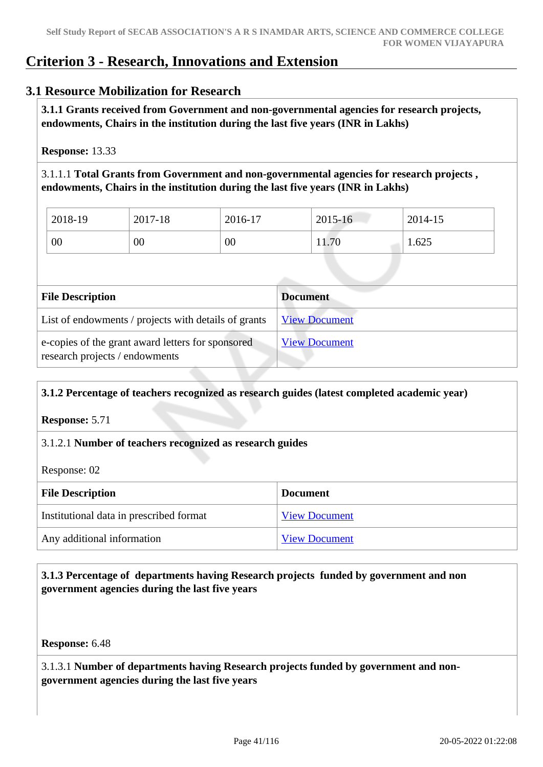# **Criterion 3 - Research, Innovations and Extension**

# **3.1 Resource Mobilization for Research**

 **3.1.1 Grants received from Government and non-governmental agencies for research projects, endowments, Chairs in the institution during the last five years (INR in Lakhs)** 

**Response:** 13.33

3.1.1.1 **Total Grants from Government and non-governmental agencies for research projects , endowments, Chairs in the institution during the last five years (INR in Lakhs)**

| 2018-19 | 2017-18 | 2016-17 | 2015-16 | 2014-15 |
|---------|---------|---------|---------|---------|
| 00      | 00      | 00      | 11.70   | 1.625   |

| <b>File Description</b>                                                             | <b>Document</b>      |
|-------------------------------------------------------------------------------------|----------------------|
| List of endowments / projects with details of grants                                | <b>View Document</b> |
| e-copies of the grant award letters for sponsored<br>research projects / endowments | <b>View Document</b> |

# **3.1.2 Percentage of teachers recognized as research guides (latest completed academic year)**

**Response:** 5.71

#### 3.1.2.1 **Number of teachers recognized as research guides**

Response: 02

| <b>File Description</b>                 | <b>Document</b>      |
|-----------------------------------------|----------------------|
| Institutional data in prescribed format | <b>View Document</b> |
| Any additional information              | <b>View Document</b> |

# **3.1.3 Percentage of departments having Research projects funded by government and non government agencies during the last five years**

**Response:** 6.48

3.1.3.1 **Number of departments having Research projects funded by government and nongovernment agencies during the last five years**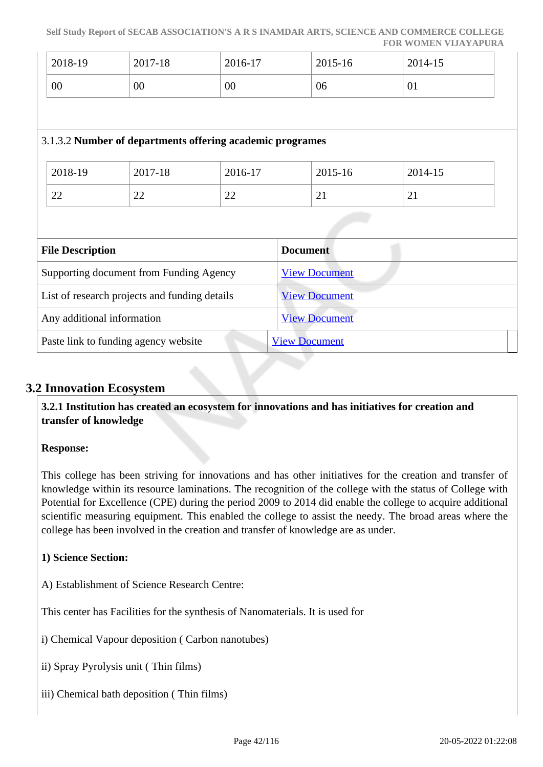#### **Self Study Report of SECAB ASSOCIATION'S A R S INAMDAR ARTS, SCIENCE AND COMMERCE COLLEGE FOR WOMEN VIJAYAPURA**

| 2018-19                                       | 2017-18                              | 2016-17                                                   | 2015-16              | 2014-15 |
|-----------------------------------------------|--------------------------------------|-----------------------------------------------------------|----------------------|---------|
| 00                                            | $00\,$                               | 00                                                        | 06                   | 01      |
|                                               |                                      |                                                           |                      |         |
|                                               |                                      | 3.1.3.2 Number of departments offering academic programes |                      |         |
| 2018-19                                       | 2017-18                              | 2016-17                                                   | 2015-16              | 2014-15 |
| 22                                            | 22                                   | 22                                                        | 21                   | 21      |
|                                               |                                      |                                                           |                      |         |
| <b>File Description</b>                       |                                      |                                                           | <b>Document</b>      |         |
| Supporting document from Funding Agency       |                                      |                                                           | <b>View Document</b> |         |
| List of research projects and funding details |                                      |                                                           | <b>View Document</b> |         |
| Any additional information                    |                                      |                                                           | <b>View Document</b> |         |
|                                               | Paste link to funding agency website |                                                           | <b>View Document</b> |         |

# **3.2 Innovation Ecosystem**

 **3.2.1 Institution has created an ecosystem for innovations and has initiatives for creation and transfer of knowledge**

#### **Response:**

This college has been striving for innovations and has other initiatives for the creation and transfer of knowledge within its resource laminations. The recognition of the college with the status of College with Potential for Excellence (CPE) during the period 2009 to 2014 did enable the college to acquire additional scientific measuring equipment. This enabled the college to assist the needy. The broad areas where the college has been involved in the creation and transfer of knowledge are as under.

#### **1) Science Section:**

A) Establishment of Science Research Centre:

This center has Facilities for the synthesis of Nanomaterials. It is used for

i) Chemical Vapour deposition ( Carbon nanotubes)

- ii) Spray Pyrolysis unit ( Thin films)
- iii) Chemical bath deposition ( Thin films)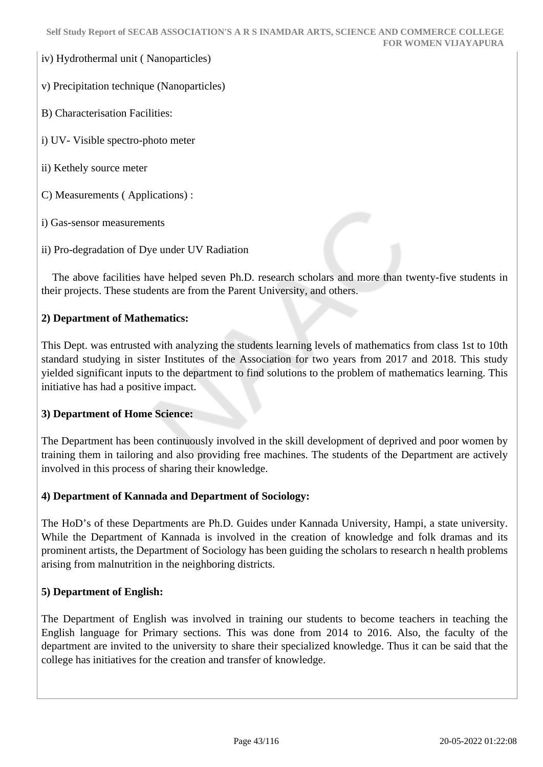iv) Hydrothermal unit ( Nanoparticles)

v) Precipitation technique (Nanoparticles)

B) Characterisation Facilities:

i) UV- Visible spectro-photo meter

ii) Kethely source meter

C) Measurements ( Applications) :

i) Gas-sensor measurements

ii) Pro-degradation of Dye under UV Radiation

 The above facilities have helped seven Ph.D. research scholars and more than twenty-five students in their projects. These students are from the Parent University, and others.

## **2) Department of Mathematics:**

This Dept. was entrusted with analyzing the students learning levels of mathematics from class 1st to 10th standard studying in sister Institutes of the Association for two years from 2017 and 2018. This study yielded significant inputs to the department to find solutions to the problem of mathematics learning. This initiative has had a positive impact.

#### **3) Department of Home Science:**

The Department has been continuously involved in the skill development of deprived and poor women by training them in tailoring and also providing free machines. The students of the Department are actively involved in this process of sharing their knowledge.

#### **4) Department of Kannada and Department of Sociology:**

The HoD's of these Departments are Ph.D. Guides under Kannada University, Hampi, a state university. While the Department of Kannada is involved in the creation of knowledge and folk dramas and its prominent artists, the Department of Sociology has been guiding the scholars to research n health problems arising from malnutrition in the neighboring districts.

#### **5) Department of English:**

The Department of English was involved in training our students to become teachers in teaching the English language for Primary sections. This was done from 2014 to 2016. Also, the faculty of the department are invited to the university to share their specialized knowledge. Thus it can be said that the college has initiatives for the creation and transfer of knowledge.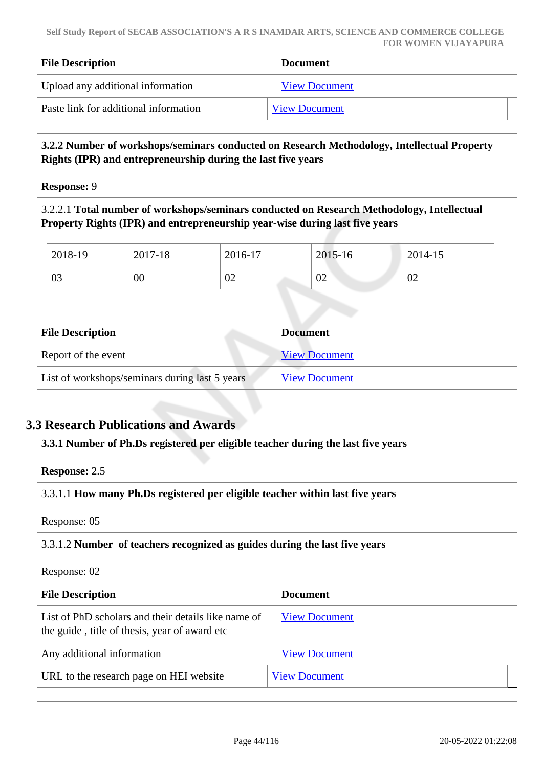| <b>File Description</b>               | <b>Document</b>      |
|---------------------------------------|----------------------|
| Upload any additional information     | <b>View Document</b> |
| Paste link for additional information | <b>View Document</b> |

#### **3.2.2 Number of workshops/seminars conducted on Research Methodology, Intellectual Property Rights (IPR) and entrepreneurship during the last five years**

**Response:** 9

3.2.2.1 **Total number of workshops/seminars conducted on Research Methodology, Intellectual Property Rights (IPR) and entrepreneurship year-wise during last five years** 

| 2018-19 | 2017-18 | 2016-17 | 2015-16 | $12014 - 15$ |
|---------|---------|---------|---------|--------------|
| 03      | 00      | 02      | 02      | 02           |
|         |         |         |         |              |

| <b>File Description</b>                        | <b>Document</b>      |
|------------------------------------------------|----------------------|
| Report of the event                            | <b>View Document</b> |
| List of workshops/seminars during last 5 years | <b>View Document</b> |

# **3.3 Research Publications and Awards**

| 3.3.1 Number of Ph.Ds registered per eligible teacher during the last five years                     |                      |
|------------------------------------------------------------------------------------------------------|----------------------|
| <b>Response: 2.5</b>                                                                                 |                      |
| 3.3.1.1 How many Ph.Ds registered per eligible teacher within last five years                        |                      |
| Response: 05                                                                                         |                      |
| 3.3.1.2 Number of teachers recognized as guides during the last five years                           |                      |
| Response: 02                                                                                         |                      |
| <b>File Description</b>                                                                              | <b>Document</b>      |
| List of PhD scholars and their details like name of<br>the guide, title of thesis, year of award etc | <b>View Document</b> |
| Any additional information                                                                           | <b>View Document</b> |
| URL to the research page on HEI website                                                              | <b>View Document</b> |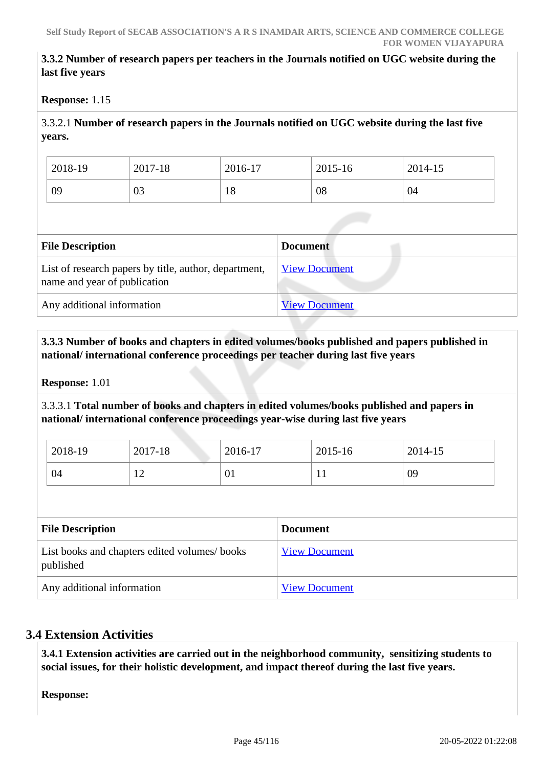## **3.3.2 Number of research papers per teachers in the Journals notified on UGC website during the last five years**

#### **Response:** 1.15

3.3.2.1 **Number of research papers in the Journals notified on UGC website during the last five years.**

| 2018-19 | 2017-18 | 2016-17 | 2015-16 | 2014-15 |
|---------|---------|---------|---------|---------|
| 09      | 03      | 18      | 08      | 04      |

| <b>File Description</b>                                                               | <b>Document</b>      |
|---------------------------------------------------------------------------------------|----------------------|
| List of research papers by title, author, department,<br>name and year of publication | <b>View Document</b> |
| Any additional information                                                            | <b>View Document</b> |

#### **3.3.3 Number of books and chapters in edited volumes/books published and papers published in national/ international conference proceedings per teacher during last five years**

**Response:** 1.01

3.3.3.1 **Total number of books and chapters in edited volumes/books published and papers in national/ international conference proceedings year-wise during last five years**

| 2018-19 | 2017-18        | 2016-17 | 2015-16      | 2014-15 |
|---------|----------------|---------|--------------|---------|
| 04      | $\overline{1}$ | 01      | $\mathbf{r}$ | 09      |

| <b>File Description</b>                                   | <b>Document</b>      |
|-----------------------------------------------------------|----------------------|
| List books and chapters edited volumes/books<br>published | <b>View Document</b> |
| Any additional information                                | <b>View Document</b> |

# **3.4 Extension Activities**

 **3.4.1 Extension activities are carried out in the neighborhood community, sensitizing students to social issues, for their holistic development, and impact thereof during the last five years.**

**Response:**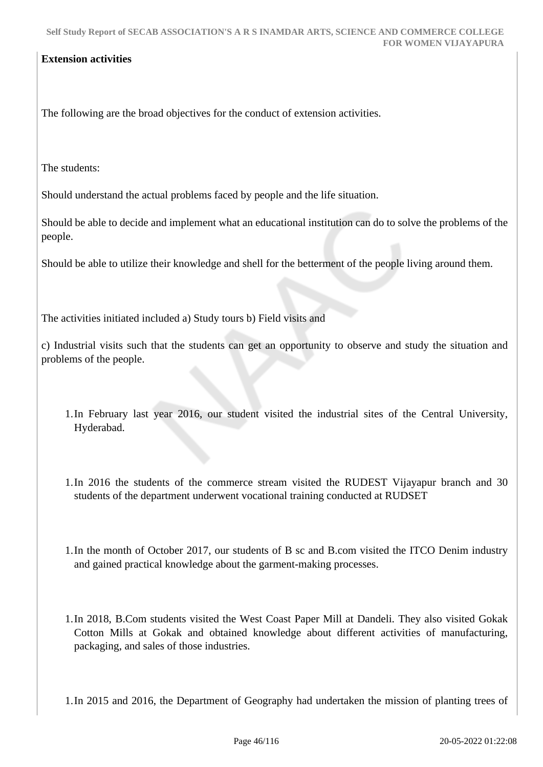#### **Extension activities**

The following are the broad objectives for the conduct of extension activities.

The students:

Should understand the actual problems faced by people and the life situation.

Should be able to decide and implement what an educational institution can do to solve the problems of the people.

Should be able to utilize their knowledge and shell for the betterment of the people living around them.

The activities initiated included a) Study tours b) Field visits and

c) Industrial visits such that the students can get an opportunity to observe and study the situation and problems of the people.

- 1.In February last year 2016, our student visited the industrial sites of the Central University, Hyderabad.
- 1.In 2016 the students of the commerce stream visited the RUDEST Vijayapur branch and 30 students of the department underwent vocational training conducted at RUDSET
- 1.In the month of October 2017, our students of B sc and B.com visited the ITCO Denim industry and gained practical knowledge about the garment-making processes.
- 1.In 2018, B.Com students visited the West Coast Paper Mill at Dandeli. They also visited Gokak Cotton Mills at Gokak and obtained knowledge about different activities of manufacturing, packaging, and sales of those industries.

1.In 2015 and 2016, the Department of Geography had undertaken the mission of planting trees of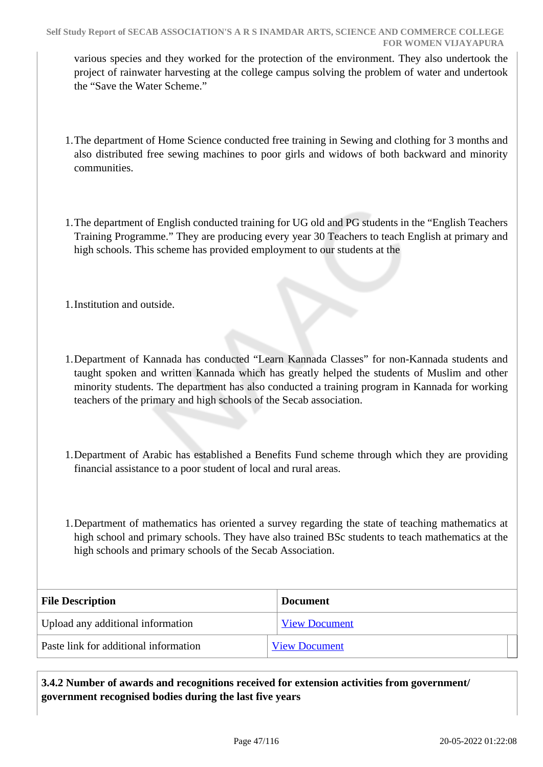various species and they worked for the protection of the environment. They also undertook the project of rainwater harvesting at the college campus solving the problem of water and undertook the "Save the Water Scheme."

- 1.The department of Home Science conducted free training in Sewing and clothing for 3 months and also distributed free sewing machines to poor girls and widows of both backward and minority communities.
- 1.The department of English conducted training for UG old and PG students in the "English Teachers Training Programme." They are producing every year 30 Teachers to teach English at primary and high schools. This scheme has provided employment to our students at the
- 1.Institution and outside.
- 1.Department of Kannada has conducted "Learn Kannada Classes" for non-Kannada students and taught spoken and written Kannada which has greatly helped the students of Muslim and other minority students. The department has also conducted a training program in Kannada for working teachers of the primary and high schools of the Secab association.
- 1.Department of Arabic has established a Benefits Fund scheme through which they are providing financial assistance to a poor student of local and rural areas.
- 1.Department of mathematics has oriented a survey regarding the state of teaching mathematics at high school and primary schools. They have also trained BSc students to teach mathematics at the high schools and primary schools of the Secab Association.

| <b>File Description</b>               | <b>Document</b>      |
|---------------------------------------|----------------------|
| Upload any additional information     | <b>View Document</b> |
| Paste link for additional information | <b>View Document</b> |

 **3.4.2 Number of awards and recognitions received for extension activities from government/ government recognised bodies during the last five years**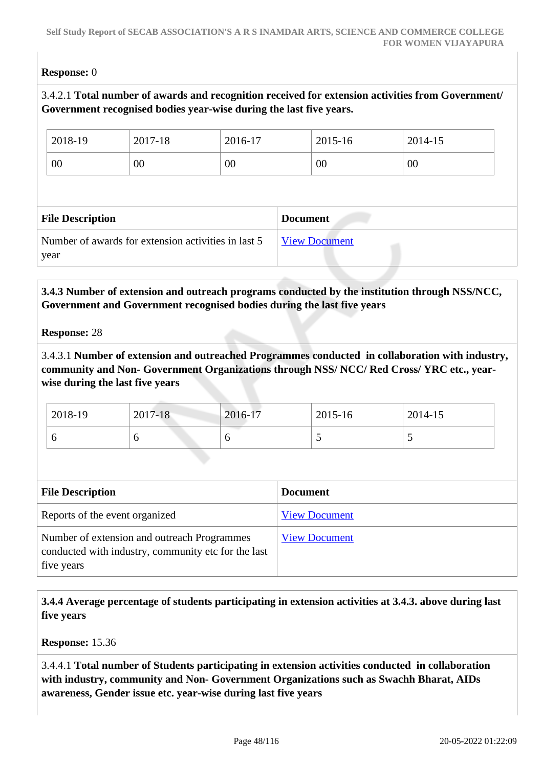## **Response:** 0

# 3.4.2.1 **Total number of awards and recognition received for extension activities from Government/ Government recognised bodies year-wise during the last five years.**

| 2018-19                 | 2017-18 | 2016-17 |                 | 2015-16 | 2014-15 |  |
|-------------------------|---------|---------|-----------------|---------|---------|--|
| 00                      | 00      | $00\,$  |                 | 00      | 00      |  |
|                         |         |         |                 |         |         |  |
|                         |         |         |                 |         |         |  |
| <b>File Description</b> |         |         | <b>Document</b> |         |         |  |

 **3.4.3 Number of extension and outreach programs conducted by the institution through NSS/NCC, Government and Government recognised bodies during the last five years**

#### **Response:** 28

3.4.3.1 **Number of extension and outreached Programmes conducted in collaboration with industry, community and Non- Government Organizations through NSS/ NCC/ Red Cross/ YRC etc., yearwise during the last five years**

| $12018-19$ | 2017-18 | 2016-17 | 2015-16 | 2014-15                  |
|------------|---------|---------|---------|--------------------------|
|            |         | v       |         | $\overline{\phantom{0}}$ |

| <b>File Description</b>                                                                                          | <b>Document</b>      |
|------------------------------------------------------------------------------------------------------------------|----------------------|
| Reports of the event organized                                                                                   | <b>View Document</b> |
| Number of extension and outreach Programmes<br>conducted with industry, community etc for the last<br>five years | <b>View Document</b> |

 **3.4.4 Average percentage of students participating in extension activities at 3.4.3. above during last five years**

**Response:** 15.36

3.4.4.1 **Total number of Students participating in extension activities conducted in collaboration with industry, community and Non- Government Organizations such as Swachh Bharat, AIDs awareness, Gender issue etc. year-wise during last five years**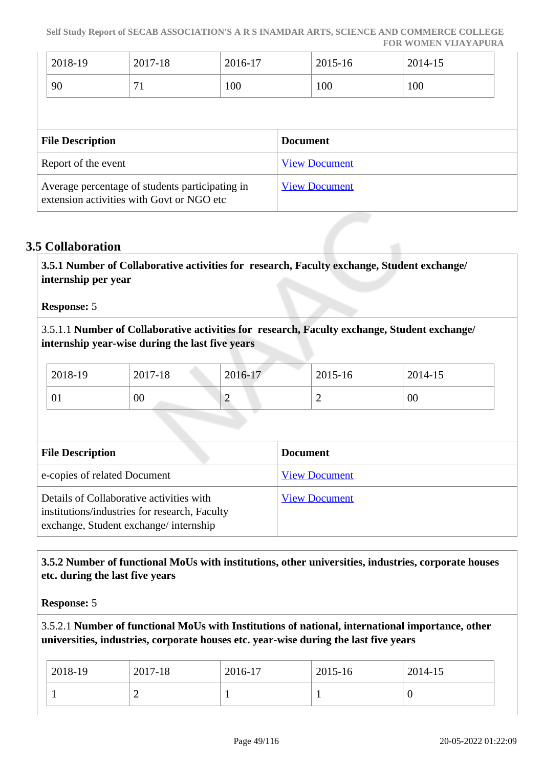**Self Study Report of SECAB ASSOCIATION'S A R S INAMDAR ARTS, SCIENCE AND COMMERCE COLLEGE FOR WOMEN VIJAYAPURA**

| 2018-19                 | 2017-18 | 2016-17 |                 | 2015-16              | 2014-15 |  |
|-------------------------|---------|---------|-----------------|----------------------|---------|--|
| 90                      | 71      | 100     |                 | 100                  | 100     |  |
|                         |         |         |                 |                      |         |  |
|                         |         |         |                 |                      |         |  |
| <b>File Description</b> |         |         | <b>Document</b> |                      |         |  |
| Report of the event     |         |         |                 | <b>View Document</b> |         |  |

## **3.5 Collaboration**

 **3.5.1 Number of Collaborative activities for research, Faculty exchange, Student exchange/ internship per year**

#### **Response:** 5

3.5.1.1 **Number of Collaborative activities for research, Faculty exchange, Student exchange/ internship year-wise during the last five years**

| 2018-19 | 2017-18 | 2016-17 | 2015-16 | 2014-15 |
|---------|---------|---------|---------|---------|
| 01      | 00      | -       | -       | 00      |

| <b>File Description</b>                                                                                                            | <b>Document</b>      |
|------------------------------------------------------------------------------------------------------------------------------------|----------------------|
| e-copies of related Document                                                                                                       | <b>View Document</b> |
| Details of Collaborative activities with<br>institutions/industries for research, Faculty<br>exchange, Student exchange/internship | <b>View Document</b> |

## **3.5.2 Number of functional MoUs with institutions, other universities, industries, corporate houses etc. during the last five years**

**Response:** 5

# 3.5.2.1 **Number of functional MoUs with Institutions of national, international importance, other universities, industries, corporate houses etc. year-wise during the last five years**

| $2018-19$ | 2017-18 | 2016-17 | $2015 - 16$ | $2014 - 15$ |
|-----------|---------|---------|-------------|-------------|
|           | ∼       |         |             | U           |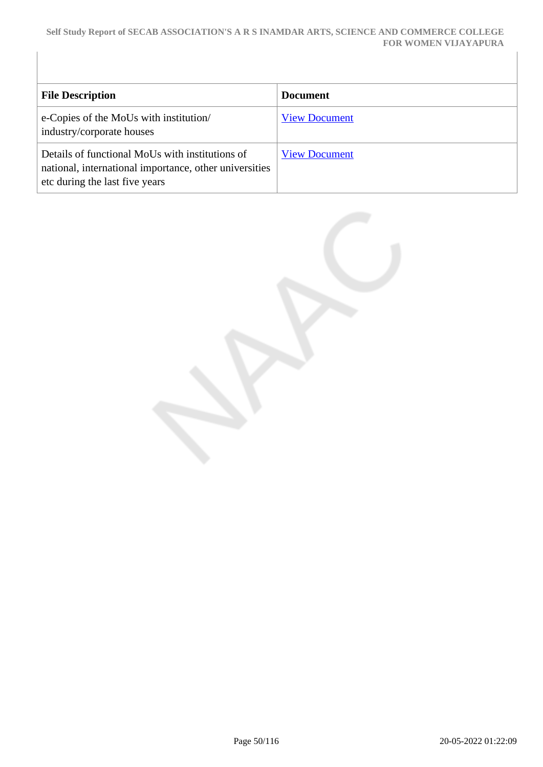#### **Self Study Report of SECAB ASSOCIATION'S A R S INAMDAR ARTS, SCIENCE AND COMMERCE COLLEGE FOR WOMEN VIJAYAPURA**

| <b>File Description</b>                                                                                                                     | <b>Document</b>      |
|---------------------------------------------------------------------------------------------------------------------------------------------|----------------------|
| e-Copies of the MoUs with institution/<br>industry/corporate houses                                                                         | <b>View Document</b> |
| Details of functional MoUs with institutions of<br>national, international importance, other universities<br>etc during the last five years | <b>View Document</b> |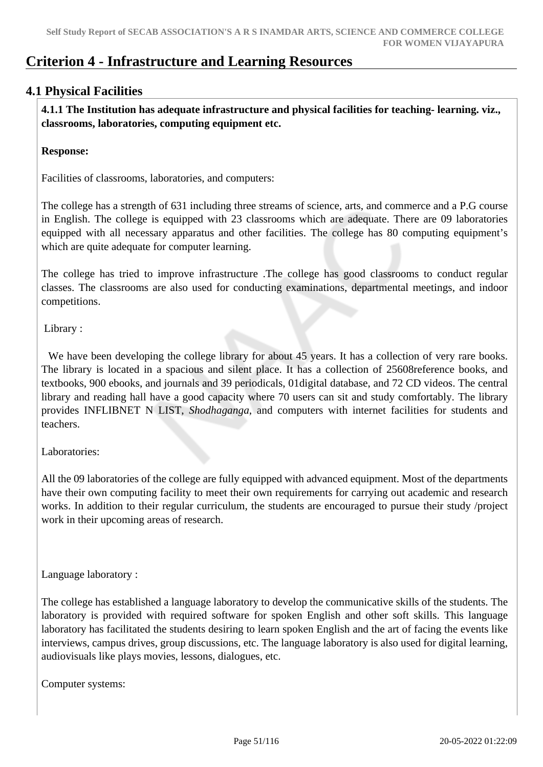# **Criterion 4 - Infrastructure and Learning Resources**

# **4.1 Physical Facilities**

 **4.1.1 The Institution has adequate infrastructure and physical facilities for teaching- learning. viz., classrooms, laboratories, computing equipment etc.** 

#### **Response:**

Facilities of classrooms, laboratories, and computers:

The college has a strength of 631 including three streams of science, arts, and commerce and a P.G course in English. The college is equipped with 23 classrooms which are adequate. There are 09 laboratories equipped with all necessary apparatus and other facilities. The college has 80 computing equipment's which are quite adequate for computer learning.

The college has tried to improve infrastructure .The college has good classrooms to conduct regular classes. The classrooms are also used for conducting examinations, departmental meetings, and indoor competitions.

Library :

We have been developing the college library for about 45 years. It has a collection of very rare books. The library is located in a spacious and silent place. It has a collection of 25608reference books, and textbooks, 900 ebooks, and journals and 39 periodicals, 01digital database, and 72 CD videos. The central library and reading hall have a good capacity where 70 users can sit and study comfortably. The library provides INFLIBNET N LIST, *Shodhaganga*, and computers with internet facilities for students and teachers.

#### Laboratories:

All the 09 laboratories of the college are fully equipped with advanced equipment. Most of the departments have their own computing facility to meet their own requirements for carrying out academic and research works. In addition to their regular curriculum, the students are encouraged to pursue their study /project work in their upcoming areas of research.

Language laboratory :

The college has established a language laboratory to develop the communicative skills of the students. The laboratory is provided with required software for spoken English and other soft skills. This language laboratory has facilitated the students desiring to learn spoken English and the art of facing the events like interviews, campus drives, group discussions, etc. The language laboratory is also used for digital learning, audiovisuals like plays movies, lessons, dialogues, etc.

Computer systems: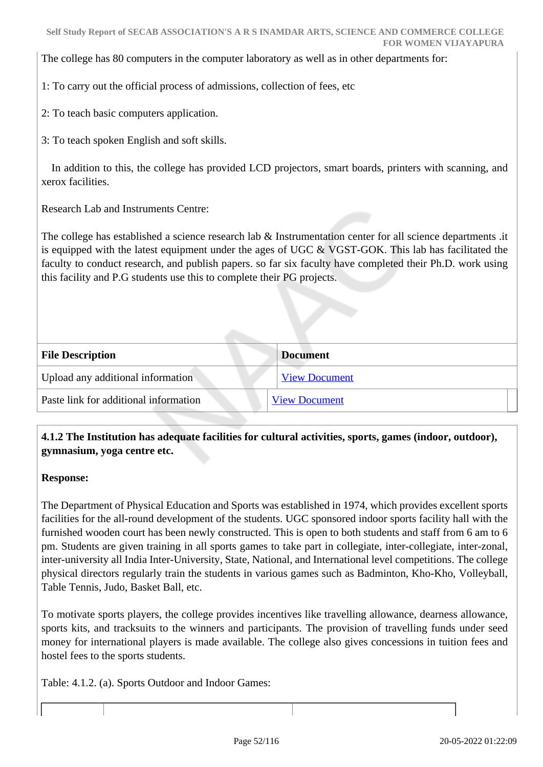The college has 80 computers in the computer laboratory as well as in other departments for:

1: To carry out the official process of admissions, collection of fees, etc

2: To teach basic computers application.

3: To teach spoken English and soft skills.

 In addition to this, the college has provided LCD projectors, smart boards, printers with scanning, and xerox facilities.

Research Lab and Instruments Centre:

The college has established a science research lab & Instrumentation center for all science departments .it is equipped with the latest equipment under the ages of UGC  $\&$  VGST-GOK. This lab has facilitated the faculty to conduct research, and publish papers. so far six faculty have completed their Ph.D. work using this facility and P.G students use this to complete their PG projects.

| <b>File Description</b>               | <b>Document</b>      |
|---------------------------------------|----------------------|
| Upload any additional information     | <b>View Document</b> |
| Paste link for additional information | <b>View Document</b> |

# **4.1.2 The Institution has adequate facilities for cultural activities, sports, games (indoor, outdoor), gymnasium, yoga centre etc.**

#### **Response:**

The Department of Physical Education and Sports was established in 1974, which provides excellent sports facilities for the all-round development of the students. UGC sponsored indoor sports facility hall with the furnished wooden court has been newly constructed. This is open to both students and staff from 6 am to 6 pm. Students are given training in all sports games to take part in collegiate, inter-collegiate, inter-zonal, inter-university all India Inter-University, State, National, and International level competitions. The college physical directors regularly train the students in various games such as Badminton, Kho-Kho, Volleyball, Table Tennis, Judo, Basket Ball, etc.

To motivate sports players, the college provides incentives like travelling allowance, dearness allowance, sports kits, and tracksuits to the winners and participants. The provision of travelling funds under seed money for international players is made available. The college also gives concessions in tuition fees and hostel fees to the sports students.

Table: 4.1.2. (a). Sports Outdoor and Indoor Games: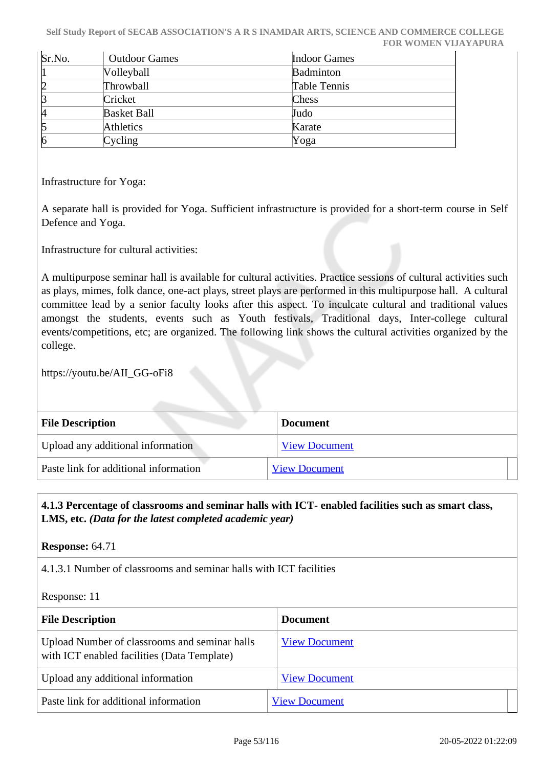**Self Study Report of SECAB ASSOCIATION'S A R S INAMDAR ARTS, SCIENCE AND COMMERCE COLLEGE FOR WOMEN VIJAYAPURA**

| Sr.No.     | <b>Outdoor Games</b> | <b>Indoor Games</b> |
|------------|----------------------|---------------------|
| 11         | Volleyball           | <b>Badminton</b>    |
| þ          | Throwball            | Table Tennis        |
| ß          | Cricket              | Chess               |
| k          | <b>Basket Ball</b>   | Judo                |
| 5          | Athletics            | Karate              |
| $\sqrt{6}$ | Cycling              | Yoga                |

Infrastructure for Yoga:

A separate hall is provided for Yoga. Sufficient infrastructure is provided for a short-term course in Self Defence and Yoga.

Infrastructure for cultural activities:

A multipurpose seminar hall is available for cultural activities. Practice sessions of cultural activities such as plays, mimes, folk dance, one-act plays, street plays are performed in this multipurpose hall. A cultural committee lead by a senior faculty looks after this aspect. To inculcate cultural and traditional values amongst the students, events such as Youth festivals, Traditional days, Inter-college cultural events/competitions, etc; are organized. The following link shows the cultural activities organized by the college.

https://youtu.be/AII\_GG-oFi8

| <b>File Description</b>               | <b>Document</b>      |  |
|---------------------------------------|----------------------|--|
| Upload any additional information     | <b>View Document</b> |  |
| Paste link for additional information | <b>View Document</b> |  |

# **4.1.3 Percentage of classrooms and seminar halls with ICT- enabled facilities such as smart class, LMS, etc.** *(Data for the latest completed academic year)*

**Response:** 64.71

4.1.3.1 Number of classrooms and seminar halls with ICT facilities

Response: 11

| <b>File Description</b>                                                                      | <b>Document</b>      |
|----------------------------------------------------------------------------------------------|----------------------|
| Upload Number of classrooms and seminar halls<br>with ICT enabled facilities (Data Template) | <b>View Document</b> |
| Upload any additional information                                                            | <b>View Document</b> |
| Paste link for additional information                                                        | <b>View Document</b> |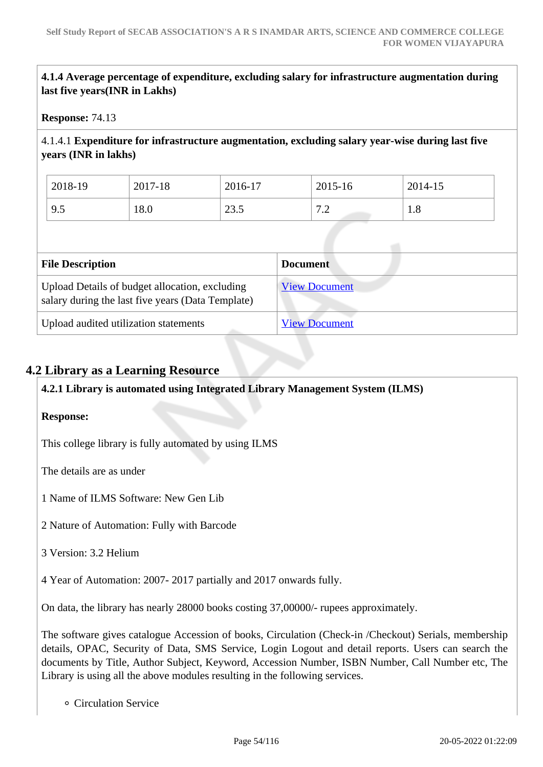**4.1.4 Average percentage of expenditure, excluding salary for infrastructure augmentation during last five years(INR in Lakhs)**

#### **Response:** 74.13

4.1.4.1 **Expenditure for infrastructure augmentation, excluding salary year-wise during last five years (INR in lakhs)**

| 2018-19          | 2017-18 | 2016-17      | 2015-16               | 2014-15 |
|------------------|---------|--------------|-----------------------|---------|
| $Q \leq$<br>ر. ر | 18.0    | 235<br>ن قاب | $\sqrt{2}$<br>$\cdot$ | 1.0     |

| <b>File Description</b>                                                                             | <b>Document</b>      |
|-----------------------------------------------------------------------------------------------------|----------------------|
| Upload Details of budget allocation, excluding<br>salary during the last five years (Data Template) | <b>View Document</b> |
| Upload audited utilization statements                                                               | <b>View Document</b> |

# **4.2 Library as a Learning Resource**

**4.2.1 Library is automated using Integrated Library Management System (ILMS)**

#### **Response:**

This college library is fully automated by using ILMS

The details are as under

1 Name of ILMS Software: New Gen Lib

2 Nature of Automation: Fully with Barcode

3 Version: 3.2 Helium

4 Year of Automation: 2007- 2017 partially and 2017 onwards fully.

On data, the library has nearly 28000 books costing 37,00000/- rupees approximately.

The software gives catalogue Accession of books, Circulation (Check-in /Checkout) Serials, membership details, OPAC, Security of Data, SMS Service, Login Logout and detail reports. Users can search the documents by Title, Author Subject, Keyword, Accession Number, ISBN Number, Call Number etc, The Library is using all the above modules resulting in the following services.

Circulation Service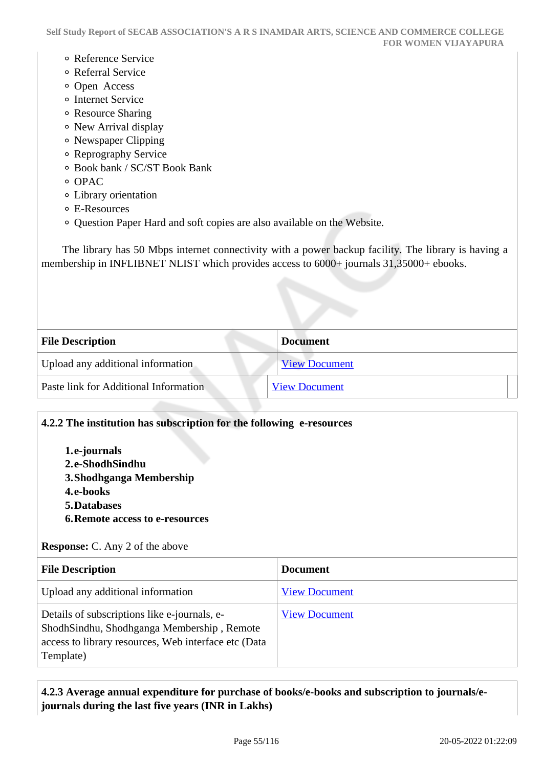- Reference Service
- Referral Service
- Open Access
- o Internet Service
- Resource Sharing
- New Arrival display
- Newspaper Clipping
- Reprography Service
- Book bank / SC/ST Book Bank
- o OPAC
- Library orientation
- E-Resources
- Question Paper Hard and soft copies are also available on the Website.

 The library has 50 Mbps internet connectivity with a power backup facility. The library is having a membership in INFLIBNET NLIST which provides access to 6000+ journals 31,35000+ ebooks.

| <b>File Description</b>               | <b>Document</b>      |  |
|---------------------------------------|----------------------|--|
| Upload any additional information     | <b>View Document</b> |  |
| Paste link for Additional Information | <b>View Document</b> |  |
|                                       |                      |  |

| 4.2.2 The institution has subscription for the following e-resources                                                                                            |                      |  |
|-----------------------------------------------------------------------------------------------------------------------------------------------------------------|----------------------|--|
| 1.e-journals<br>2.e-ShodhSindhu<br>3. Shodhganga Membership<br>4.e-books<br><b>5. Databases</b>                                                                 |                      |  |
| <b>6. Remote access to e-resources</b>                                                                                                                          |                      |  |
| <b>Response:</b> C. Any 2 of the above                                                                                                                          |                      |  |
| <b>File Description</b><br><b>Document</b>                                                                                                                      |                      |  |
| Upload any additional information                                                                                                                               | <b>View Document</b> |  |
| Details of subscriptions like e-journals, e-<br>ShodhSindhu, Shodhganga Membership, Remote<br>access to library resources, Web interface etc (Data<br>Template) | <b>View Document</b> |  |

 **4.2.3 Average annual expenditure for purchase of books/e-books and subscription to journals/ejournals during the last five years (INR in Lakhs)**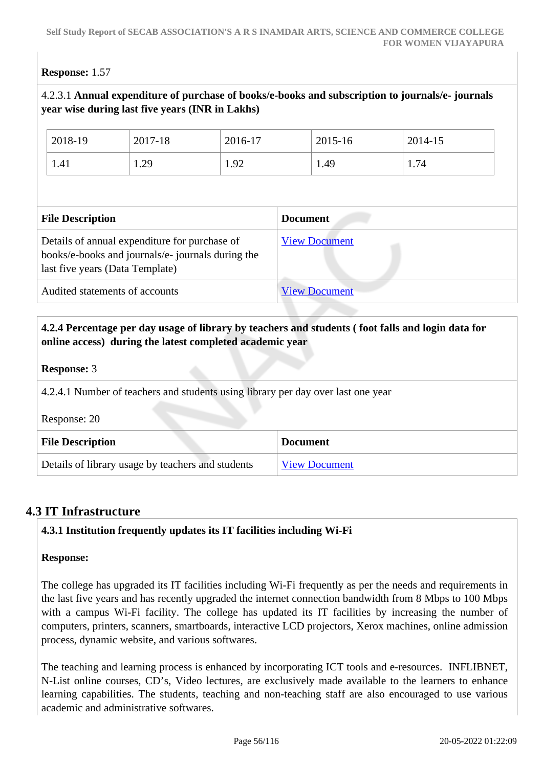# **Response:** 1.57

# 4.2.3.1 **Annual expenditure of purchase of books/e-books and subscription to journals/e- journals year wise during last five years (INR in Lakhs)**

| 2018-19                 | 2017-18 | 2016-17 | 2015-16         | 2014-15 |  |
|-------------------------|---------|---------|-----------------|---------|--|
| 1.41                    | 1.29    | 1.92    | 1.49            | 1.74    |  |
|                         |         |         |                 |         |  |
|                         |         |         |                 |         |  |
| <b>File Description</b> |         |         | <b>Document</b> |         |  |

# Audited statements of accounts [View Document](https://assessmentonline.naac.gov.in/storage/app/hei/SSR/105189/4.2.3_1628333779_4703.pdf)

# **4.2.4 Percentage per day usage of library by teachers and students ( foot falls and login data for online access) during the latest completed academic year**

#### **Response:** 3

4.2.4.1 Number of teachers and students using library per day over last one year

Response: 20

| <b>File Description</b>                           | <b>Document</b>      |
|---------------------------------------------------|----------------------|
| Details of library usage by teachers and students | <b>View Document</b> |

# **4.3 IT Infrastructure**

# **4.3.1 Institution frequently updates its IT facilities including Wi-Fi**

#### **Response:**

The college has upgraded its IT facilities including Wi-Fi frequently as per the needs and requirements in the last five years and has recently upgraded the internet connection bandwidth from 8 Mbps to 100 Mbps with a campus Wi-Fi facility. The college has updated its IT facilities by increasing the number of computers, printers, scanners, smartboards, interactive LCD projectors, Xerox machines, online admission process, dynamic website, and various softwares.

The teaching and learning process is enhanced by incorporating ICT tools and e-resources. INFLIBNET, N-List online courses, CD's, Video lectures, are exclusively made available to the learners to enhance learning capabilities. The students, teaching and non-teaching staff are also encouraged to use various academic and administrative softwares.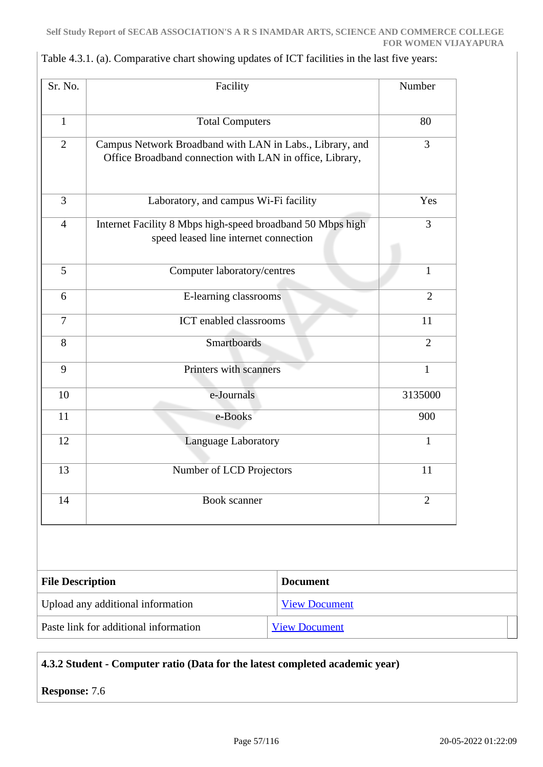| Sr. No.        | Facility                                                                                                             | Number         |
|----------------|----------------------------------------------------------------------------------------------------------------------|----------------|
| $\mathbf{1}$   | <b>Total Computers</b>                                                                                               | 80             |
| $\overline{2}$ | Campus Network Broadband with LAN in Labs., Library, and<br>Office Broadband connection with LAN in office, Library, | $\overline{3}$ |
| $\overline{3}$ | Laboratory, and campus Wi-Fi facility                                                                                | Yes            |
| $\overline{4}$ | Internet Facility 8 Mbps high-speed broadband 50 Mbps high<br>speed leased line internet connection                  | 3              |
| 5              | Computer laboratory/centres                                                                                          | $\mathbf{1}$   |
| 6              | E-learning classrooms                                                                                                | $\overline{2}$ |
| $\overline{7}$ | <b>ICT</b> enabled classrooms                                                                                        | 11             |
| 8              | <b>Smartboards</b>                                                                                                   | $\overline{2}$ |
| 9              | Printers with scanners                                                                                               | $\mathbf{1}$   |
| 10             | e-Journals                                                                                                           | 3135000        |
| 11             | e-Books                                                                                                              | 900            |
| 12             | Language Laboratory                                                                                                  | $\mathbf{1}$   |
| 13             | Number of LCD Projectors                                                                                             | 11             |
| 14             | <b>Book</b> scanner                                                                                                  | $\overline{2}$ |

| Table 4.3.1. (a). Comparative chart showing updates of ICT facilities in the last five years: |  |  |  |
|-----------------------------------------------------------------------------------------------|--|--|--|
|-----------------------------------------------------------------------------------------------|--|--|--|

| <b>File Description</b>               | <b>Document</b>      |
|---------------------------------------|----------------------|
| Upload any additional information     | <b>View Document</b> |
| Paste link for additional information | <b>View Document</b> |

# **4.3.2 Student - Computer ratio (Data for the latest completed academic year)**

**Response:** 7.6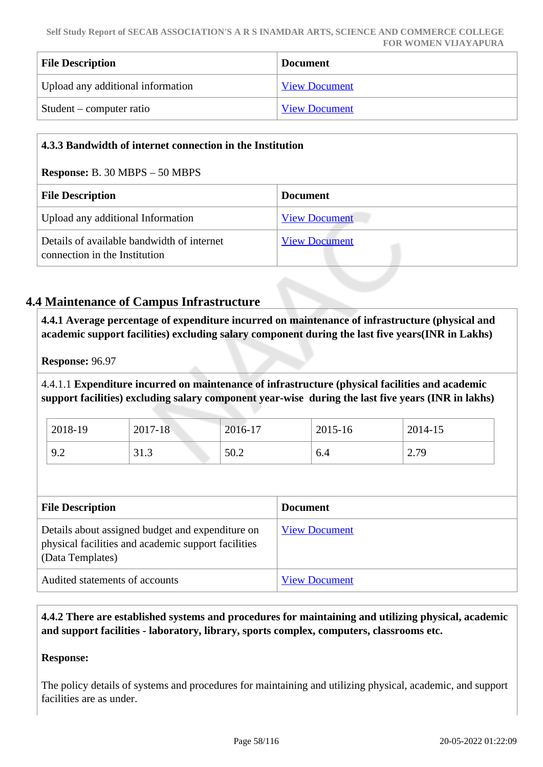| <b>File Description</b>           | <b>Document</b>      |
|-----------------------------------|----------------------|
| Upload any additional information | <b>View Document</b> |
| Student – computer ratio          | <b>View Document</b> |

| 4.3.3 Bandwidth of internet connection in the Institution                   |                      |  |
|-----------------------------------------------------------------------------|----------------------|--|
| <b>Response:</b> B. 30 MBPS $-50$ MBPS                                      |                      |  |
| <b>File Description</b>                                                     | <b>Document</b>      |  |
| Upload any additional Information                                           | <b>View Document</b> |  |
| Details of available bandwidth of internet<br>connection in the Institution | <b>View Document</b> |  |

# **4.4 Maintenance of Campus Infrastructure**

 **4.4.1 Average percentage of expenditure incurred on maintenance of infrastructure (physical and academic support facilities) excluding salary component during the last five years(INR in Lakhs)**

**Response:** 96.97

4.4.1.1 **Expenditure incurred on maintenance of infrastructure (physical facilities and academic support facilities) excluding salary component year-wise during the last five years (INR in lakhs)**

| 2018-19 | $2017 - 18$ | 2016-17 | 2015-16 | 2014-15 |
|---------|-------------|---------|---------|---------|
| 9.2     | 31.3        | 50.2    | 0.4     | 2.79    |

| <b>File Description</b>                                                                                                     | <b>Document</b>      |
|-----------------------------------------------------------------------------------------------------------------------------|----------------------|
| Details about assigned budget and expenditure on<br>physical facilities and academic support facilities<br>(Data Templates) | <b>View Document</b> |
| Audited statements of accounts                                                                                              | <b>View Document</b> |

 **4.4.2 There are established systems and procedures for maintaining and utilizing physical, academic and support facilities - laboratory, library, sports complex, computers, classrooms etc.**

#### **Response:**

The policy details of systems and procedures for maintaining and utilizing physical, academic, and support facilities are as under.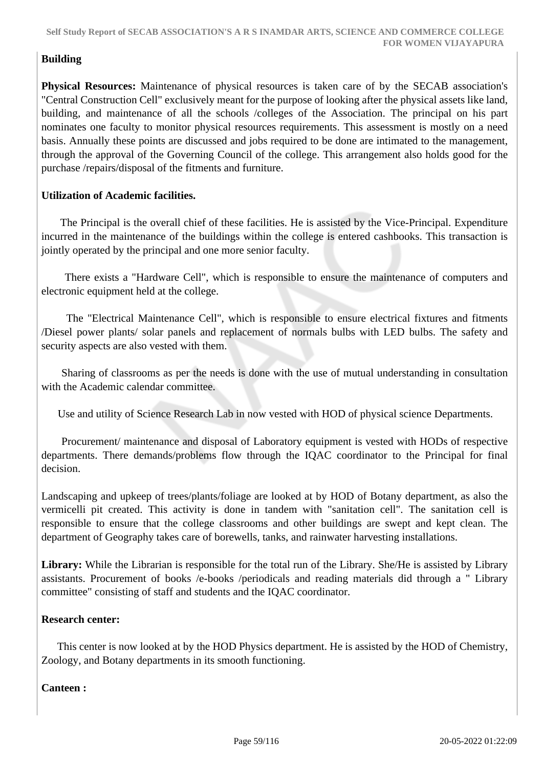# **Building**

**Physical Resources:** Maintenance of physical resources is taken care of by the SECAB association's "Central Construction Cell" exclusively meant for the purpose of looking after the physical assets like land, building, and maintenance of all the schools /colleges of the Association. The principal on his part nominates one faculty to monitor physical resources requirements. This assessment is mostly on a need basis. Annually these points are discussed and jobs required to be done are intimated to the management, through the approval of the Governing Council of the college. This arrangement also holds good for the purchase /repairs/disposal of the fitments and furniture.

## **Utilization of Academic facilities.**

 The Principal is the overall chief of these facilities. He is assisted by the Vice-Principal. Expenditure incurred in the maintenance of the buildings within the college is entered cashbooks. This transaction is jointly operated by the principal and one more senior faculty.

 There exists a "Hardware Cell", which is responsible to ensure the maintenance of computers and electronic equipment held at the college.

 The "Electrical Maintenance Cell", which is responsible to ensure electrical fixtures and fitments /Diesel power plants/ solar panels and replacement of normals bulbs with LED bulbs. The safety and security aspects are also vested with them.

 Sharing of classrooms as per the needs is done with the use of mutual understanding in consultation with the Academic calendar committee.

Use and utility of Science Research Lab in now vested with HOD of physical science Departments.

 Procurement/ maintenance and disposal of Laboratory equipment is vested with HODs of respective departments. There demands/problems flow through the IQAC coordinator to the Principal for final decision.

Landscaping and upkeep of trees/plants/foliage are looked at by HOD of Botany department, as also the vermicelli pit created. This activity is done in tandem with "sanitation cell". The sanitation cell is responsible to ensure that the college classrooms and other buildings are swept and kept clean. The department of Geography takes care of borewells, tanks, and rainwater harvesting installations.

**Library:** While the Librarian is responsible for the total run of the Library. She/He is assisted by Library assistants. Procurement of books /e-books /periodicals and reading materials did through a " Library committee" consisting of staff and students and the IQAC coordinator.

#### **Research center:**

 This center is now looked at by the HOD Physics department. He is assisted by the HOD of Chemistry, Zoology, and Botany departments in its smooth functioning.

#### **Canteen :**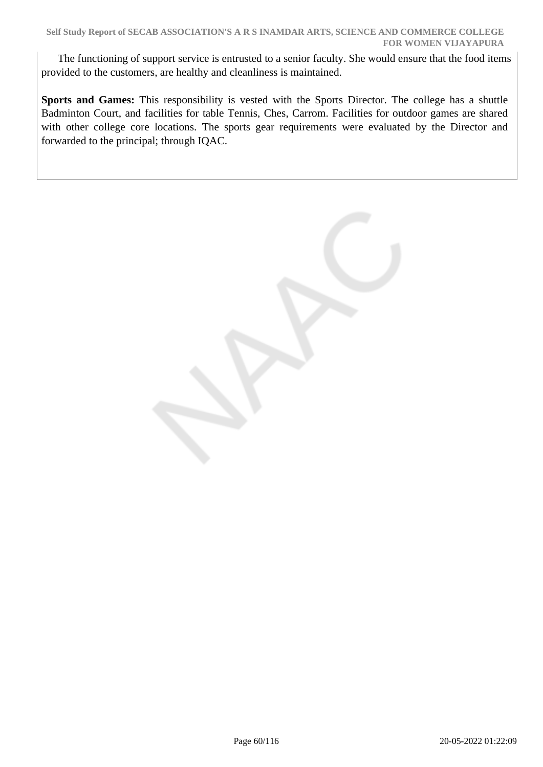The functioning of support service is entrusted to a senior faculty. She would ensure that the food items provided to the customers, are healthy and cleanliness is maintained.

**Sports and Games:** This responsibility is vested with the Sports Director. The college has a shuttle Badminton Court, and facilities for table Tennis, Ches, Carrom. Facilities for outdoor games are shared with other college core locations. The sports gear requirements were evaluated by the Director and forwarded to the principal; through IQAC.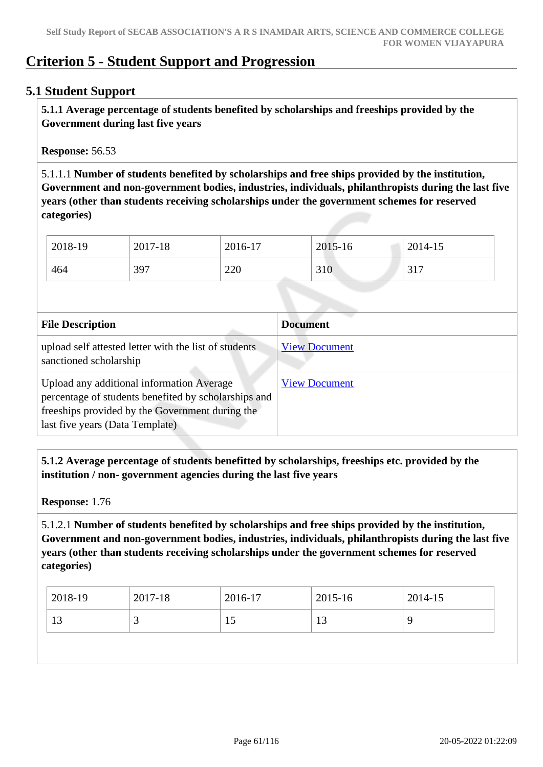# **Criterion 5 - Student Support and Progression**

# **5.1 Student Support**

 **5.1.1 Average percentage of students benefited by scholarships and freeships provided by the Government during last five years** 

**Response:** 56.53

5.1.1.1 **Number of students benefited by scholarships and free ships provided by the institution, Government and non-government bodies, industries, individuals, philanthropists during the last five years (other than students receiving scholarships under the government schemes for reserved categories)** 

| 2018-19 | 2017-18 | 2016-17 | 2015-16 | 2014-15 |
|---------|---------|---------|---------|---------|
| 464     | 397     | 220     | 310     | 317     |

| <b>File Description</b>                                                                                                                                                                 | <b>Document</b>      |
|-----------------------------------------------------------------------------------------------------------------------------------------------------------------------------------------|----------------------|
| upload self attested letter with the list of students<br>sanctioned scholarship                                                                                                         | <b>View Document</b> |
| Upload any additional information Average<br>percentage of students benefited by scholarships and<br>freeships provided by the Government during the<br>last five years (Data Template) | <b>View Document</b> |

 **5.1.2 Average percentage of students benefitted by scholarships, freeships etc. provided by the institution / non- government agencies during the last five years**

**Response:** 1.76

5.1.2.1 **Number of students benefited by scholarships and free ships provided by the institution, Government and non-government bodies, industries, individuals, philanthropists during the last five years (other than students receiving scholarships under the government schemes for reserved categories)** 

| 2018-19  | 2017-18 | 2016-17 | 2015-16      | $2014 - 15$ |
|----------|---------|---------|--------------|-------------|
| 12<br>IJ |         | 1 J     | $\sim$<br>⊥ື |             |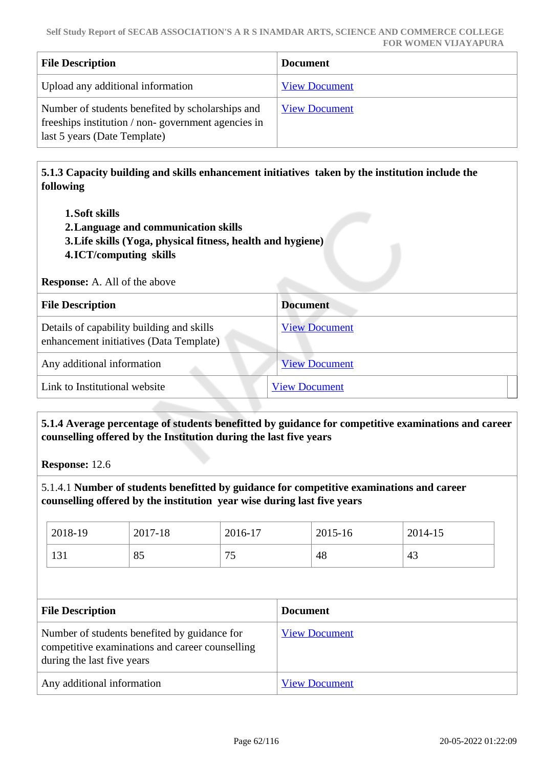| <b>File Description</b>                                                                                                                | <b>Document</b>      |
|----------------------------------------------------------------------------------------------------------------------------------------|----------------------|
| Upload any additional information                                                                                                      | <b>View Document</b> |
| Number of students benefited by scholarships and<br>freeships institution / non-government agencies in<br>last 5 years (Date Template) | <b>View Document</b> |

 **5.1.3 Capacity building and skills enhancement initiatives taken by the institution include the following**

- **1.Soft skills**
- **2.Language and communication skills**
- **3.Life skills (Yoga, physical fitness, health and hygiene)**
- **4.ICT/computing skills**

**Response:** A. All of the above

| <b>File Description</b>                                                              | <b>Document</b>      |
|--------------------------------------------------------------------------------------|----------------------|
| Details of capability building and skills<br>enhancement initiatives (Data Template) | <b>View Document</b> |
| Any additional information                                                           | <b>View Document</b> |
| Link to Institutional website                                                        | <b>View Document</b> |

 **5.1.4 Average percentage of students benefitted by guidance for competitive examinations and career counselling offered by the Institution during the last five years**

**Response:** 12.6

5.1.4.1 **Number of students benefitted by guidance for competitive examinations and career counselling offered by the institution year wise during last five years**

| 2018-19 | 2017-18 | 2016-17   | 2015-16 | 2014-15 |
|---------|---------|-----------|---------|---------|
| 131     | 85      | 75<br>ر ر | 48      | 43      |

| <b>File Description</b>                                                                                                       | <b>Document</b>      |
|-------------------------------------------------------------------------------------------------------------------------------|----------------------|
| Number of students benefited by guidance for<br>competitive examinations and career counselling<br>during the last five years | <b>View Document</b> |
| Any additional information                                                                                                    | <b>View Document</b> |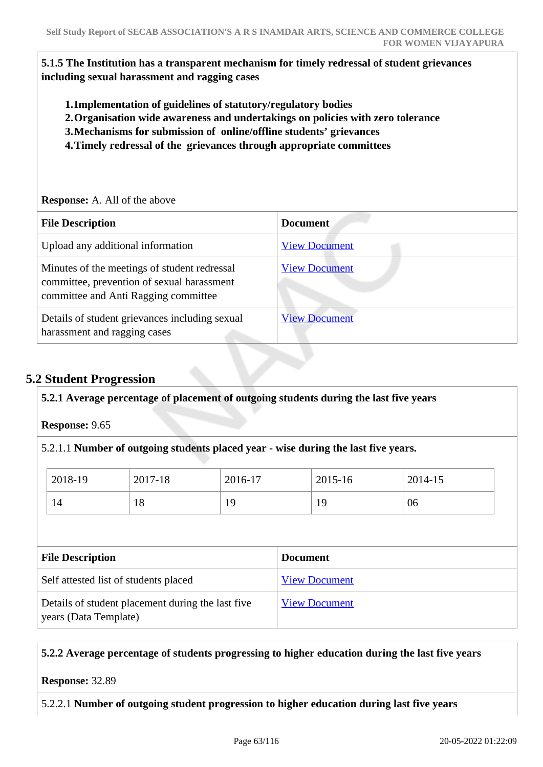**5.1.5 The Institution has a transparent mechanism for timely redressal of student grievances including sexual harassment and ragging cases**

- **1.Implementation of guidelines of statutory/regulatory bodies**
- **2.Organisation wide awareness and undertakings on policies with zero tolerance**
- **3.Mechanisms for submission of online/offline students' grievances**
- **4.Timely redressal of the grievances through appropriate committees**

**Response:** A. All of the above

| <b>File Description</b>                                                                                                            | <b>Document</b>      |
|------------------------------------------------------------------------------------------------------------------------------------|----------------------|
| Upload any additional information                                                                                                  | <b>View Document</b> |
| Minutes of the meetings of student redressal<br>committee, prevention of sexual harassment<br>committee and Anti Ragging committee | <b>View Document</b> |
| Details of student grievances including sexual<br>harassment and ragging cases                                                     | <b>View Document</b> |

# **5.2 Student Progression**

**5.2.1 Average percentage of placement of outgoing students during the last five years**

**Response:** 9.65

5.2.1.1 **Number of outgoing students placed year - wise during the last five years.**

| 2018-19 | 2017-18 | 2016-17 | 2015-16 | 2014-15 |
|---------|---------|---------|---------|---------|
| 14      | 1 O     | 19      | 19      | 06      |

| <b>File Description</b>                                                    | <b>Document</b>      |
|----------------------------------------------------------------------------|----------------------|
| Self attested list of students placed                                      | <b>View Document</b> |
| Details of student placement during the last five<br>years (Data Template) | <b>View Document</b> |

#### **5.2.2 Average percentage of students progressing to higher education during the last five years**

**Response:** 32.89

5.2.2.1 **Number of outgoing student progression to higher education during last five years**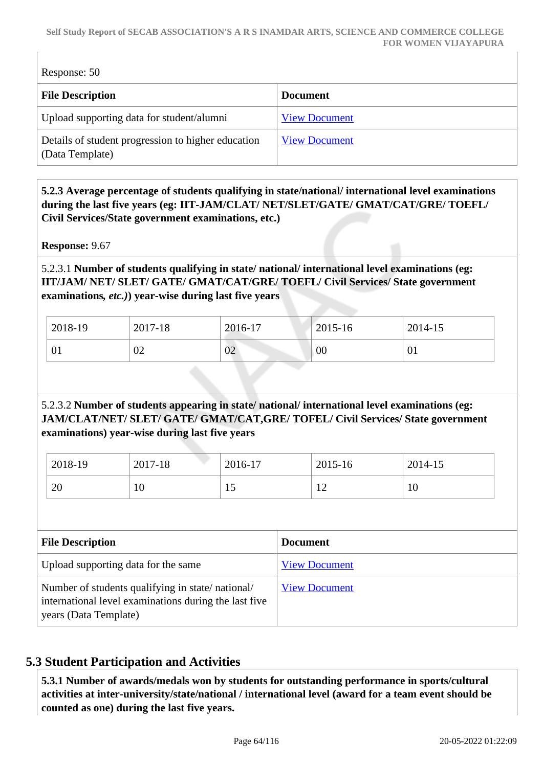Response: 50

| <b>File Description</b>                                               | <b>Document</b>      |
|-----------------------------------------------------------------------|----------------------|
| Upload supporting data for student/alumni                             | <b>View Document</b> |
| Details of student progression to higher education<br>(Data Template) | <b>View Document</b> |

 **5.2.3 Average percentage of students qualifying in state/national/ international level examinations during the last five years (eg: IIT-JAM/CLAT/ NET/SLET/GATE/ GMAT/CAT/GRE/ TOEFL/ Civil Services/State government examinations, etc.)**

**Response:** 9.67

5.2.3.1 **Number of students qualifying in state/ national/ international level examinations (eg: IIT/JAM/ NET/ SLET/ GATE/ GMAT/CAT/GRE/ TOEFL/ Civil Services/ State government examinations***, etc.)***) year-wise during last five years**

| 2018-19 | 2017-18      | 2016-17 | $2015 - 16$ | 2014-15        |
|---------|--------------|---------|-------------|----------------|
| 01      | $\cap$<br>υ∠ | 02      | 00          | 0 <sub>1</sub> |

# 5.2.3.2 **Number of students appearing in state/ national/ international level examinations (eg: JAM/CLAT/NET/ SLET/ GATE/ GMAT/CAT,GRE/ TOFEL/ Civil Services/ State government examinations) year-wise during last five years**

| 2018-19 | 2017-18 | 2016-17 | 2015-16 | 2014-15 |
|---------|---------|---------|---------|---------|
| 20      | ιv      | ⊥ັ      | ∸       | 10      |

| <b>File Description</b>                                                                                                            | <b>Document</b>      |
|------------------------------------------------------------------------------------------------------------------------------------|----------------------|
| Upload supporting data for the same                                                                                                | <b>View Document</b> |
| Number of students qualifying in state/national/<br>international level examinations during the last five<br>years (Data Template) | <b>View Document</b> |

# **5.3 Student Participation and Activities**

 **5.3.1 Number of awards/medals won by students for outstanding performance in sports/cultural activities at inter-university/state/national / international level (award for a team event should be counted as one) during the last five years.**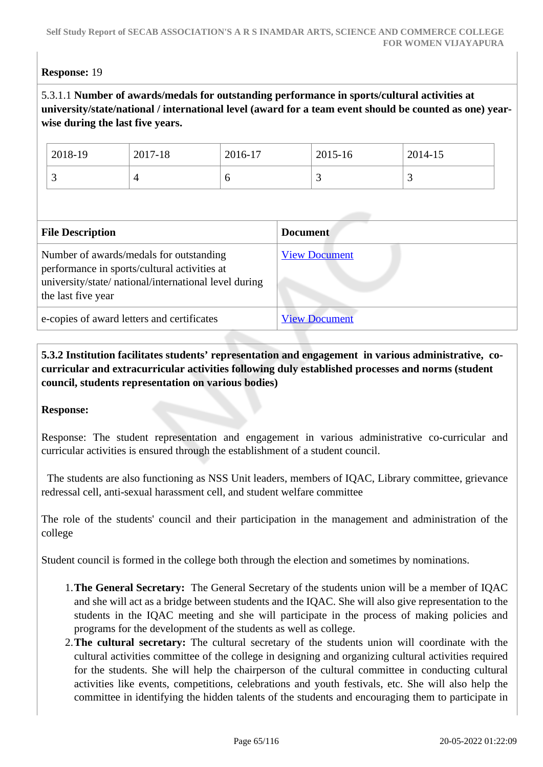## **Response:** 19

## 5.3.1.1 **Number of awards/medals for outstanding performance in sports/cultural activities at university/state/national / international level (award for a team event should be counted as one) yearwise during the last five years.**

| 2018-19 | 2017-18 | 2016-17 | 2015-16 | 2014-15  |
|---------|---------|---------|---------|----------|
| ັ       | ∸       | υ       | ັ       | <u>ب</u> |

| <b>File Description</b>                                                                                                                                                | <b>Document</b>      |
|------------------------------------------------------------------------------------------------------------------------------------------------------------------------|----------------------|
| Number of awards/medals for outstanding<br>performance in sports/cultural activities at<br>university/state/ national/international level during<br>the last five year | <b>View Document</b> |
| e-copies of award letters and certificates                                                                                                                             | <b>View Document</b> |

 **5.3.2 Institution facilitates students' representation and engagement in various administrative, cocurricular and extracurricular activities following duly established processes and norms (student council, students representation on various bodies)** 

#### **Response:**

Response: The student representation and engagement in various administrative co-curricular and curricular activities is ensured through the establishment of a student council.

 The students are also functioning as NSS Unit leaders, members of IQAC, Library committee, grievance redressal cell, anti-sexual harassment cell, and student welfare committee

The role of the students' council and their participation in the management and administration of the college

Student council is formed in the college both through the election and sometimes by nominations.

- 1.**The General Secretary:** The General Secretary of the students union will be a member of IQAC and she will act as a bridge between students and the IQAC. She will also give representation to the students in the IQAC meeting and she will participate in the process of making policies and programs for the development of the students as well as college.
- 2.**The cultural secretary:** The cultural secretary of the students union will coordinate with the cultural activities committee of the college in designing and organizing cultural activities required for the students. She will help the chairperson of the cultural committee in conducting cultural activities like events, competitions, celebrations and youth festivals, etc. She will also help the committee in identifying the hidden talents of the students and encouraging them to participate in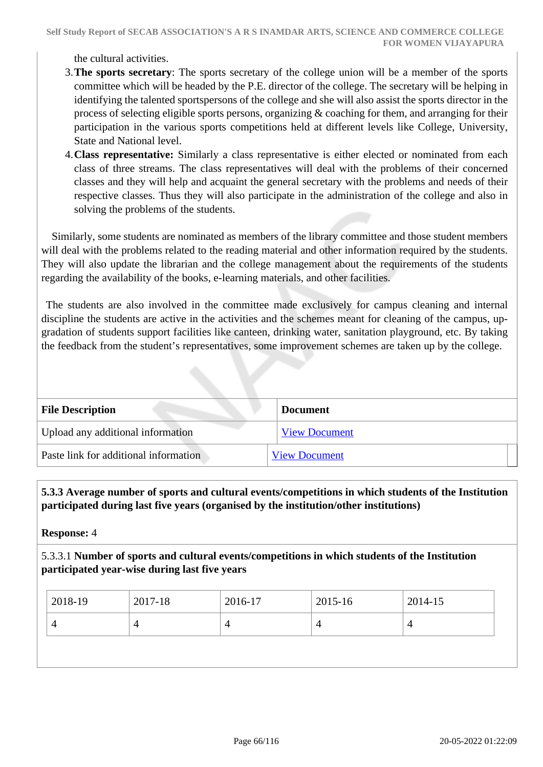the cultural activities.

- 3.**The sports secretary**: The sports secretary of the college union will be a member of the sports committee which will be headed by the P.E. director of the college. The secretary will be helping in identifying the talented sportspersons of the college and she will also assist the sports director in the process of selecting eligible sports persons, organizing & coaching for them, and arranging for their participation in the various sports competitions held at different levels like College, University, State and National level.
- 4.**Class representative:** Similarly a class representative is either elected or nominated from each class of three streams. The class representatives will deal with the problems of their concerned classes and they will help and acquaint the general secretary with the problems and needs of their respective classes. Thus they will also participate in the administration of the college and also in solving the problems of the students.

 Similarly, some students are nominated as members of the library committee and those student members will deal with the problems related to the reading material and other information required by the students. They will also update the librarian and the college management about the requirements of the students regarding the availability of the books, e-learning materials, and other facilities.

 The students are also involved in the committee made exclusively for campus cleaning and internal discipline the students are active in the activities and the schemes meant for cleaning of the campus, upgradation of students support facilities like canteen, drinking water, sanitation playground, etc. By taking the feedback from the student's representatives, some improvement schemes are taken up by the college.

| <b>File Description</b>               | <b>Document</b>      |
|---------------------------------------|----------------------|
| Upload any additional information     | <b>View Document</b> |
| Paste link for additional information | <b>View Document</b> |

 **5.3.3 Average number of sports and cultural events/competitions in which students of the Institution participated during last five years (organised by the institution/other institutions)**

**Response:** 4

5.3.3.1 **Number of sports and cultural events/competitions in which students of the Institution participated year-wise during last five years**

| 2018-19 | 2017-18 | 2016-17 | 2015-16 | 2014-15 |
|---------|---------|---------|---------|---------|
|         |         |         | 4       |         |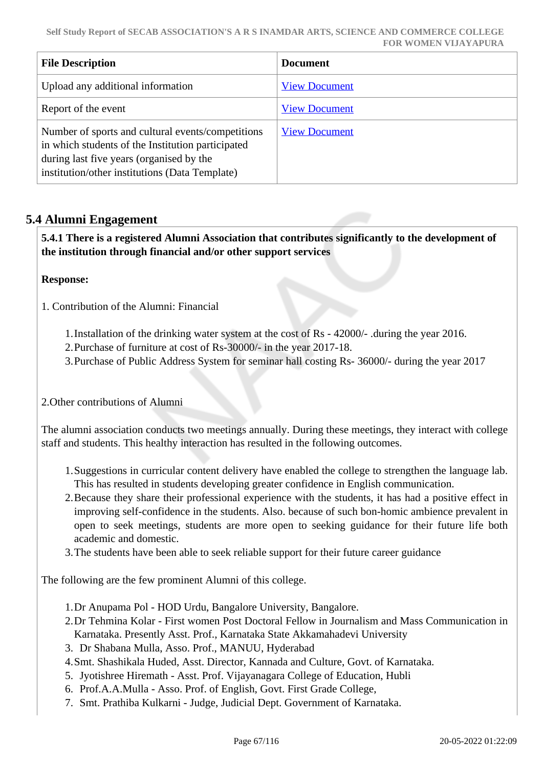| <b>File Description</b>                                                                                                                                                                              | <b>Document</b>      |
|------------------------------------------------------------------------------------------------------------------------------------------------------------------------------------------------------|----------------------|
| Upload any additional information                                                                                                                                                                    | <b>View Document</b> |
| Report of the event                                                                                                                                                                                  | <b>View Document</b> |
| Number of sports and cultural events/competitions<br>in which students of the Institution participated<br>during last five years (organised by the<br>institution/other institutions (Data Template) | <b>View Document</b> |

# **5.4 Alumni Engagement**

 **5.4.1 There is a registered Alumni Association that contributes significantly to the development of the institution through financial and/or other support services**

**Response:** 

1. Contribution of the Alumni: Financial

- 1.Installation of the drinking water system at the cost of Rs 42000/- .during the year 2016.
- 2.Purchase of furniture at cost of Rs-30000/- in the year 2017-18.
- 3.Purchase of Public Address System for seminar hall costing Rs- 36000/- during the year 2017

2.Other contributions of Alumni

The alumni association conducts two meetings annually. During these meetings, they interact with college staff and students. This healthy interaction has resulted in the following outcomes.

- 1.Suggestions in curricular content delivery have enabled the college to strengthen the language lab. This has resulted in students developing greater confidence in English communication.
- 2.Because they share their professional experience with the students, it has had a positive effect in improving self-confidence in the students. Also. because of such bon-homic ambience prevalent in open to seek meetings, students are more open to seeking guidance for their future life both academic and domestic.
- 3.The students have been able to seek reliable support for their future career guidance

The following are the few prominent Alumni of this college.

- 1.Dr Anupama Pol HOD Urdu, Bangalore University, Bangalore.
- 2.Dr Tehmina Kolar First women Post Doctoral Fellow in Journalism and Mass Communication in Karnataka. Presently Asst. Prof., Karnataka State Akkamahadevi University
- 3. Dr Shabana Mulla, Asso. Prof., MANUU, Hyderabad
- 4.Smt. Shashikala Huded, Asst. Director, Kannada and Culture, Govt. of Karnataka.
- 5. Jyotishree Hiremath Asst. Prof. Vijayanagara College of Education, Hubli
- 6. Prof.A.A.Mulla Asso. Prof. of English, Govt. First Grade College,
- 7. Smt. Prathiba Kulkarni Judge, Judicial Dept. Government of Karnataka.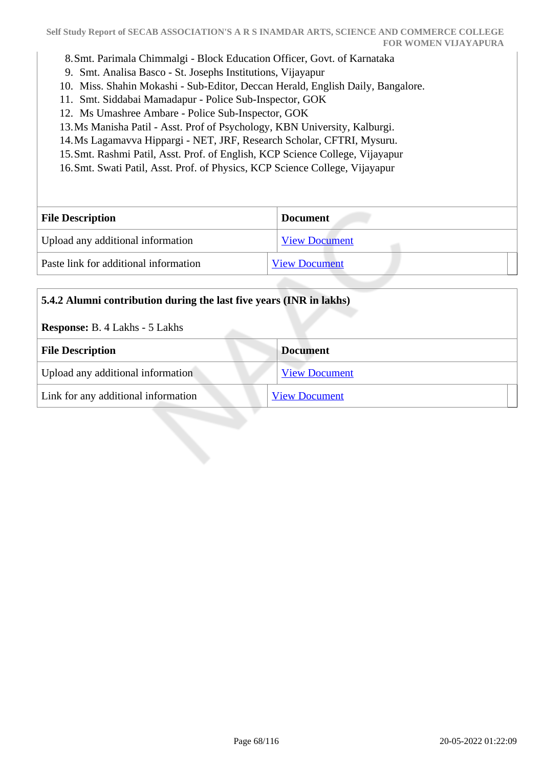- 8.Smt. Parimala Chimmalgi Block Education Officer, Govt. of Karnataka
- 9. Smt. Analisa Basco St. Josephs Institutions, Vijayapur
- 10. Miss. Shahin Mokashi Sub-Editor, Deccan Herald, English Daily, Bangalore.
- 11. Smt. Siddabai Mamadapur Police Sub-Inspector, GOK
- 12. Ms Umashree Ambare Police Sub-Inspector, GOK
- 13.Ms Manisha Patil Asst. Prof of Psychology, KBN University, Kalburgi.
- 14.Ms Lagamavva Hippargi NET, JRF, Research Scholar, CFTRI, Mysuru.
- 15.Smt. Rashmi Patil, Asst. Prof. of English, KCP Science College, Vijayapur
- 16.Smt. Swati Patil, Asst. Prof. of Physics, KCP Science College, Vijayapur

| <b>File Description</b>               | <b>Document</b>      |
|---------------------------------------|----------------------|
| Upload any additional information     | <b>View Document</b> |
| Paste link for additional information | <b>View Document</b> |

| 5.4.2 Alumni contribution during the last five years (INR in lakhs)<br><b>Response:</b> B. 4 Lakhs - 5 Lakhs |                      |  |
|--------------------------------------------------------------------------------------------------------------|----------------------|--|
|                                                                                                              |                      |  |
| <b>File Description</b>                                                                                      | <b>Document</b>      |  |
| Upload any additional information                                                                            | <b>View Document</b> |  |
| Link for any additional information                                                                          | <b>View Document</b> |  |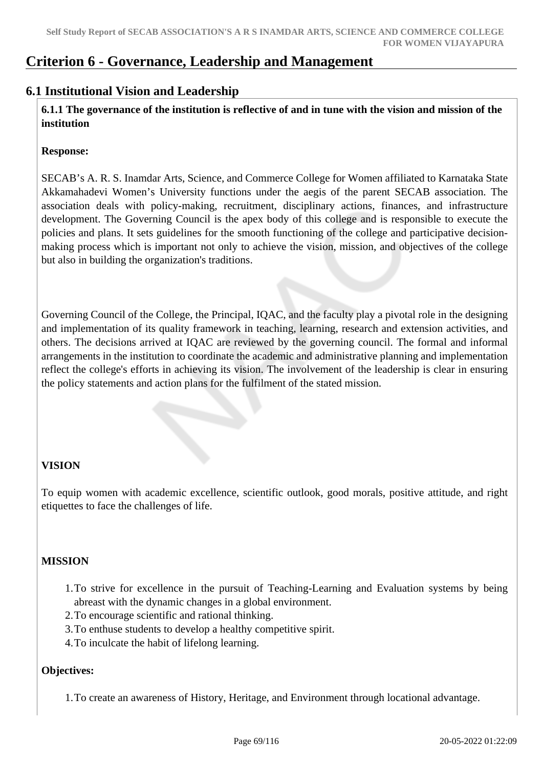# **Criterion 6 - Governance, Leadership and Management**

# **6.1 Institutional Vision and Leadership**

 **6.1.1 The governance of the institution is reflective of and in tune with the vision and mission of the institution**

#### **Response:**

SECAB's A. R. S. Inamdar Arts, Science, and Commerce College for Women affiliated to Karnataka State Akkamahadevi Women's University functions under the aegis of the parent SECAB association. The association deals with policy-making, recruitment, disciplinary actions, finances, and infrastructure development. The Governing Council is the apex body of this college and is responsible to execute the policies and plans. It sets guidelines for the smooth functioning of the college and participative decisionmaking process which is important not only to achieve the vision, mission, and objectives of the college but also in building the organization's traditions.

Governing Council of the College, the Principal, IQAC, and the faculty play a pivotal role in the designing and implementation of its quality framework in teaching, learning, research and extension activities, and others. The decisions arrived at IQAC are reviewed by the governing council. The formal and informal arrangements in the institution to coordinate the academic and administrative planning and implementation reflect the college's efforts in achieving its vision. The involvement of the leadership is clear in ensuring the policy statements and action plans for the fulfilment of the stated mission.

# **VISION**

To equip women with academic excellence, scientific outlook, good morals, positive attitude, and right etiquettes to face the challenges of life.

# **MISSION**

- 1.To strive for excellence in the pursuit of Teaching-Learning and Evaluation systems by being abreast with the dynamic changes in a global environment.
- 2.To encourage scientific and rational thinking.
- 3.To enthuse students to develop a healthy competitive spirit.
- 4.To inculcate the habit of lifelong learning.

#### **Objectives:**

1.To create an awareness of History, Heritage, and Environment through locational advantage.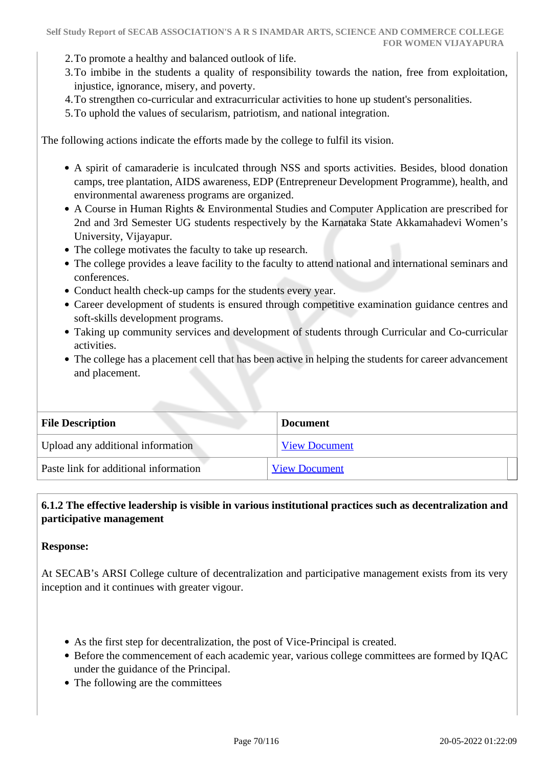- 2.To promote a healthy and balanced outlook of life.
- 3.To imbibe in the students a quality of responsibility towards the nation, free from exploitation, injustice, ignorance, misery, and poverty.
- 4.To strengthen co-curricular and extracurricular activities to hone up student's personalities.
- 5.To uphold the values of secularism, patriotism, and national integration.

The following actions indicate the efforts made by the college to fulfil its vision.

- A spirit of camaraderie is inculcated through NSS and sports activities. Besides, blood donation camps, tree plantation, AIDS awareness, EDP (Entrepreneur Development Programme), health, and environmental awareness programs are organized.
- A Course in Human Rights & Environmental Studies and Computer Application are prescribed for 2nd and 3rd Semester UG students respectively by the Karnataka State Akkamahadevi Women's University, Vijayapur.
- The college motivates the faculty to take up research.
- The college provides a leave facility to the faculty to attend national and international seminars and conferences.
- Conduct health check-up camps for the students every year.
- Career development of students is ensured through competitive examination guidance centres and soft-skills development programs.
- Taking up community services and development of students through Curricular and Co-curricular activities.
- The college has a placement cell that has been active in helping the students for career advancement and placement.

| <b>File Description</b>               | <b>Document</b>      |
|---------------------------------------|----------------------|
| Upload any additional information     | <b>View Document</b> |
| Paste link for additional information | <b>View Document</b> |

# **6.1.2 The effective leadership is visible in various institutional practices such as decentralization and participative management**

#### **Response:**

At SECAB's ARSI College culture of decentralization and participative management exists from its very inception and it continues with greater vigour.

- As the first step for decentralization, the post of Vice-Principal is created.
- Before the commencement of each academic year, various college committees are formed by IQAC under the guidance of the Principal.
- The following are the committees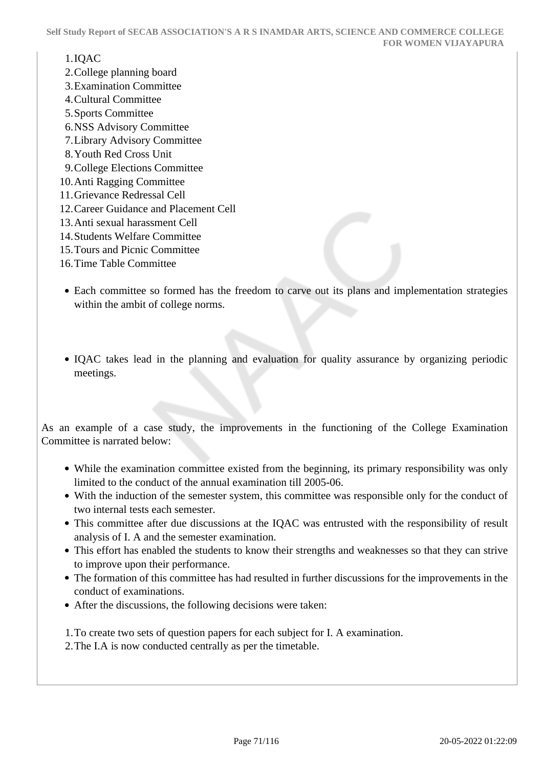#### 1.IQAC

- 2.College planning board
- 3.Examination Committee
- 4.Cultural Committee
- 5.Sports Committee
- 6.NSS Advisory Committee
- 7.Library Advisory Committee
- 8.Youth Red Cross Unit
- 9.College Elections Committee
- 10.Anti Ragging Committee
- 11.Grievance Redressal Cell
- 12.Career Guidance and Placement Cell
- 13.Anti sexual harassment Cell
- 14.Students Welfare Committee
- 15.Tours and Picnic Committee
- 16.Time Table Committee
- Each committee so formed has the freedom to carve out its plans and implementation strategies within the ambit of college norms.
- IQAC takes lead in the planning and evaluation for quality assurance by organizing periodic meetings.

As an example of a case study, the improvements in the functioning of the College Examination Committee is narrated below:

- While the examination committee existed from the beginning, its primary responsibility was only limited to the conduct of the annual examination till 2005-06.
- With the induction of the semester system, this committee was responsible only for the conduct of two internal tests each semester.
- This committee after due discussions at the IQAC was entrusted with the responsibility of result analysis of I. A and the semester examination.
- This effort has enabled the students to know their strengths and weaknesses so that they can strive to improve upon their performance.
- The formation of this committee has had resulted in further discussions for the improvements in the conduct of examinations.
- After the discussions, the following decisions were taken:

1.To create two sets of question papers for each subject for I. A examination.

2.The I.A is now conducted centrally as per the timetable.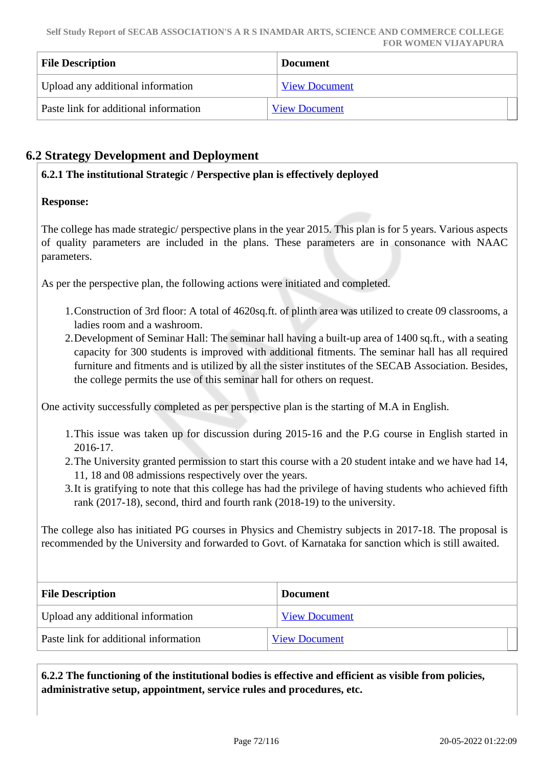| <b>File Description</b>               | <b>Document</b>      |
|---------------------------------------|----------------------|
| Upload any additional information     | <b>View Document</b> |
| Paste link for additional information | <b>View Document</b> |

# **6.2 Strategy Development and Deployment**

#### **6.2.1 The institutional Strategic / Perspective plan is effectively deployed**

#### **Response:**

The college has made strategic/ perspective plans in the year 2015. This plan is for 5 years. Various aspects of quality parameters are included in the plans. These parameters are in consonance with NAAC parameters.

As per the perspective plan, the following actions were initiated and completed.

- 1.Construction of 3rd floor: A total of 4620sq.ft. of plinth area was utilized to create 09 classrooms, a ladies room and a washroom.
- 2.Development of Seminar Hall: The seminar hall having a built-up area of 1400 sq.ft., with a seating capacity for 300 students is improved with additional fitments. The seminar hall has all required furniture and fitments and is utilized by all the sister institutes of the SECAB Association. Besides, the college permits the use of this seminar hall for others on request.

One activity successfully completed as per perspective plan is the starting of M.A in English.

- 1.This issue was taken up for discussion during 2015-16 and the P.G course in English started in 2016-17.
- 2.The University granted permission to start this course with a 20 student intake and we have had 14, 11, 18 and 08 admissions respectively over the years.
- 3.It is gratifying to note that this college has had the privilege of having students who achieved fifth rank (2017-18), second, third and fourth rank (2018-19) to the university.

The college also has initiated PG courses in Physics and Chemistry subjects in 2017-18. The proposal is recommended by the University and forwarded to Govt. of Karnataka for sanction which is still awaited.

| <b>File Description</b>               | <b>Document</b>      |
|---------------------------------------|----------------------|
| Upload any additional information     | <b>View Document</b> |
| Paste link for additional information | <b>View Document</b> |

 **6.2.2 The functioning of the institutional bodies is effective and efficient as visible from policies, administrative setup, appointment, service rules and procedures, etc.**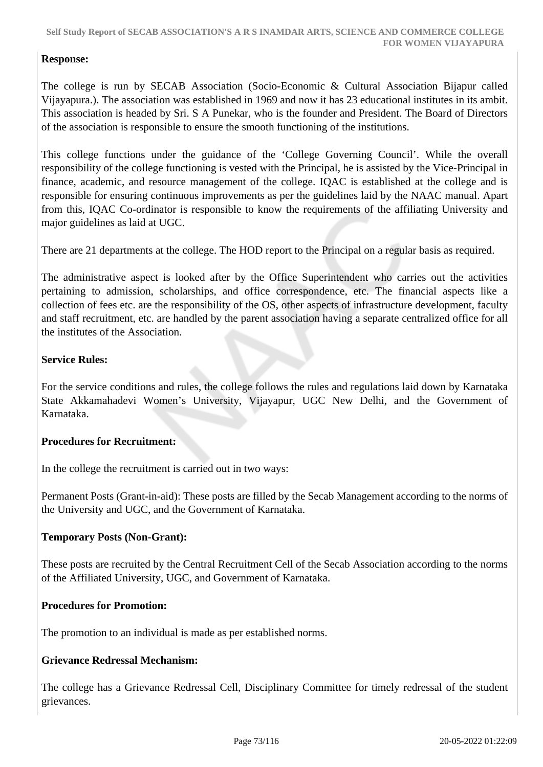## **Response:**

The college is run by SECAB Association (Socio-Economic & Cultural Association Bijapur called Vijayapura.). The association was established in 1969 and now it has 23 educational institutes in its ambit. This association is headed by Sri. S A Punekar, who is the founder and President. The Board of Directors of the association is responsible to ensure the smooth functioning of the institutions.

This college functions under the guidance of the 'College Governing Council'. While the overall responsibility of the college functioning is vested with the Principal, he is assisted by the Vice-Principal in finance, academic, and resource management of the college. IQAC is established at the college and is responsible for ensuring continuous improvements as per the guidelines laid by the NAAC manual. Apart from this, IQAC Co-ordinator is responsible to know the requirements of the affiliating University and major guidelines as laid at UGC.

There are 21 departments at the college. The HOD report to the Principal on a regular basis as required.

The administrative aspect is looked after by the Office Superintendent who carries out the activities pertaining to admission, scholarships, and office correspondence, etc. The financial aspects like a collection of fees etc. are the responsibility of the OS, other aspects of infrastructure development, faculty and staff recruitment, etc. are handled by the parent association having a separate centralized office for all the institutes of the Association.

## **Service Rules:**

For the service conditions and rules, the college follows the rules and regulations laid down by Karnataka State Akkamahadevi Women's University, Vijayapur, UGC New Delhi, and the Government of Karnataka.

#### **Procedures for Recruitment:**

In the college the recruitment is carried out in two ways:

Permanent Posts (Grant-in-aid): These posts are filled by the Secab Management according to the norms of the University and UGC, and the Government of Karnataka.

#### **Temporary Posts (Non-Grant):**

These posts are recruited by the Central Recruitment Cell of the Secab Association according to the norms of the Affiliated University, UGC, and Government of Karnataka.

#### **Procedures for Promotion:**

The promotion to an individual is made as per established norms.

## **Grievance Redressal Mechanism:**

The college has a Grievance Redressal Cell, Disciplinary Committee for timely redressal of the student grievances.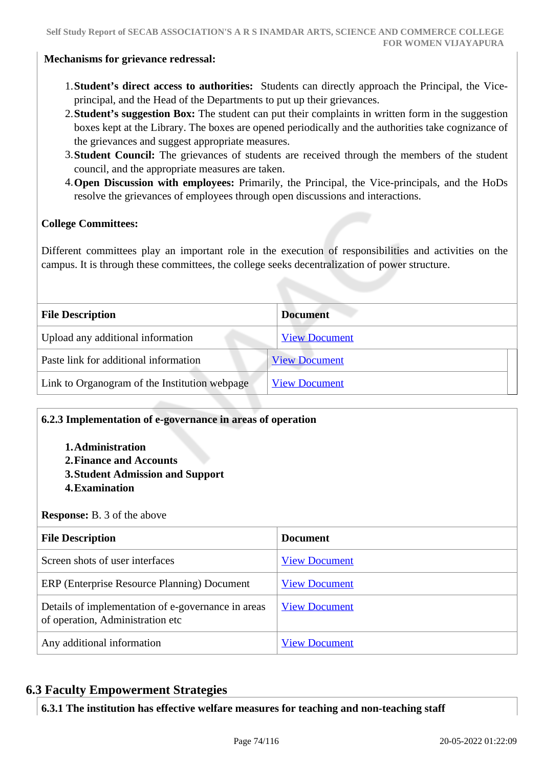#### **Mechanisms for grievance redressal:**

- 1.**Student's direct access to authorities:** Students can directly approach the Principal, the Viceprincipal, and the Head of the Departments to put up their grievances.
- 2.**Student's suggestion Box:** The student can put their complaints in written form in the suggestion boxes kept at the Library. The boxes are opened periodically and the authorities take cognizance of the grievances and suggest appropriate measures.
- 3.**Student Council:** The grievances of students are received through the members of the student council, and the appropriate measures are taken.
- 4.**Open Discussion with employees:** Primarily, the Principal, the Vice-principals, and the HoDs resolve the grievances of employees through open discussions and interactions.

#### **College Committees:**

Different committees play an important role in the execution of responsibilities and activities on the campus. It is through these committees, the college seeks decentralization of power structure.

| <b>Document</b>      |
|----------------------|
| <b>View Document</b> |
| <b>View Document</b> |
| <b>View Document</b> |
|                      |

#### **6.2.3 Implementation of e-governance in areas of operation**

- **1.Administration**
- **2.Finance and Accounts**
- **3.Student Admission and Support**
- **4.Examination**

#### **Response:** B. 3 of the above

| <b>File Description</b>                                                                | <b>Document</b>      |
|----------------------------------------------------------------------------------------|----------------------|
| Screen shots of user interfaces                                                        | <b>View Document</b> |
| ERP (Enterprise Resource Planning) Document                                            | <b>View Document</b> |
| Details of implementation of e-governance in areas<br>of operation, Administration etc | <b>View Document</b> |
| Any additional information                                                             | <b>View Document</b> |

## **6.3 Faculty Empowerment Strategies**

**6.3.1 The institution has effective welfare measures for teaching and non-teaching staff**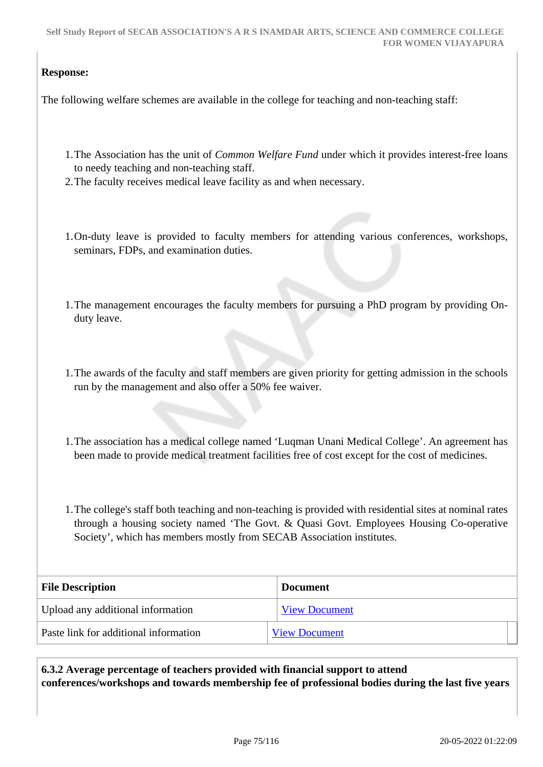## **Response:**

The following welfare schemes are available in the college for teaching and non-teaching staff:

- 1.The Association has the unit of *Common Welfare Fund* under which it provides interest-free loans to needy teaching and non-teaching staff.
- 2.The faculty receives medical leave facility as and when necessary.
- 1.On-duty leave is provided to faculty members for attending various conferences, workshops, seminars, FDPs, and examination duties.
- 1.The management encourages the faculty members for pursuing a PhD program by providing Onduty leave.
- 1.The awards of the faculty and staff members are given priority for getting admission in the schools run by the management and also offer a 50% fee waiver.
- 1.The association has a medical college named 'Luqman Unani Medical College'. An agreement has been made to provide medical treatment facilities free of cost except for the cost of medicines.
- 1.The college's staff both teaching and non-teaching is provided with residential sites at nominal rates through a housing society named 'The Govt. & Quasi Govt. Employees Housing Co-operative Society', which has members mostly from SECAB Association institutes.

| <b>File Description</b>               | <b>Document</b>      |
|---------------------------------------|----------------------|
| Upload any additional information     | <b>View Document</b> |
| Paste link for additional information | <b>View Document</b> |

 **6.3.2 Average percentage of teachers provided with financial support to attend conferences/workshops and towards membership fee of professional bodies during the last five years**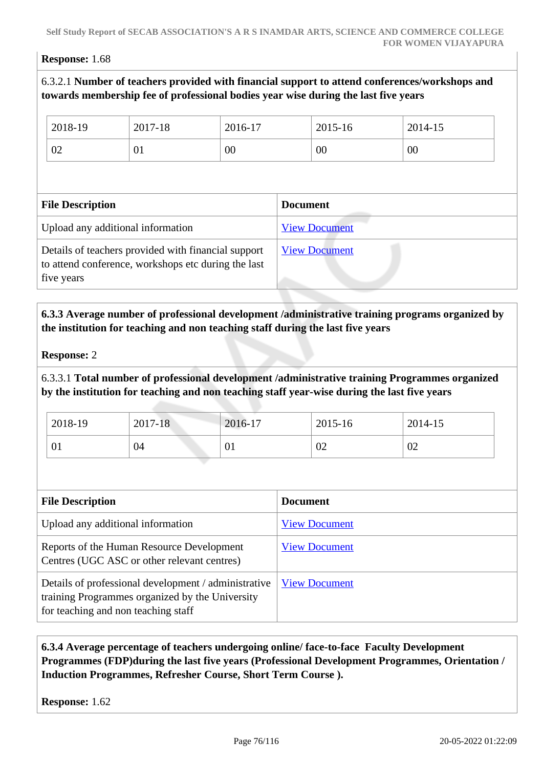#### **Response:** 1.68

## 6.3.2.1 **Number of teachers provided with financial support to attend conferences/workshops and towards membership fee of professional bodies year wise during the last five years**

| 2018-19                                                                                                                  | 2017-18 | 2016-17 |                      | 2015-16              | 2014-15 |
|--------------------------------------------------------------------------------------------------------------------------|---------|---------|----------------------|----------------------|---------|
| 02                                                                                                                       | 01      | 00      | 00                   |                      | 00      |
|                                                                                                                          |         |         |                      |                      |         |
| <b>File Description</b>                                                                                                  |         |         | <b>Document</b>      |                      |         |
| Upload any additional information                                                                                        |         |         |                      | <b>View Document</b> |         |
| Details of teachers provided with financial support<br>to attend conference, workshops etc during the last<br>five years |         |         | <b>View Document</b> |                      |         |

## **6.3.3 Average number of professional development /administrative training programs organized by the institution for teaching and non teaching staff during the last five years**

#### **Response:** 2

6.3.3.1 **Total number of professional development /administrative training Programmes organized by the institution for teaching and non teaching staff year-wise during the last five years**

| 2018-19 | 2017-18 | 2016-17              | 2015-16 | 2014-15 |
|---------|---------|----------------------|---------|---------|
| 01      | 04      | $\Omega$<br><u>v</u> | 02      | 02      |

| <b>File Description</b>                                                                                                                        | <b>Document</b>      |
|------------------------------------------------------------------------------------------------------------------------------------------------|----------------------|
| Upload any additional information                                                                                                              | <b>View Document</b> |
| Reports of the Human Resource Development<br>Centres (UGC ASC or other relevant centres)                                                       | <b>View Document</b> |
| Details of professional development / administrative<br>training Programmes organized by the University<br>for teaching and non teaching staff | <b>View Document</b> |

## **6.3.4 Average percentage of teachers undergoing online/ face-to-face Faculty Development Programmes (FDP)during the last five years (Professional Development Programmes, Orientation / Induction Programmes, Refresher Course, Short Term Course ).**

**Response:** 1.62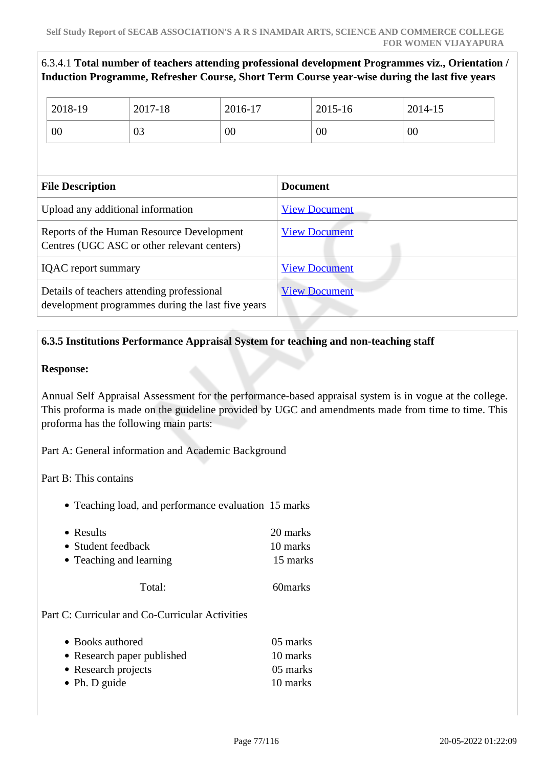## 6.3.4.1 **Total number of teachers attending professional development Programmes viz., Orientation / Induction Programme, Refresher Course, Short Term Course year-wise during the last five years**

| 2018-19                                                                                  | 2017-18                                                                                         | 2016-17              |                      | 2015-16              | 2014-15 |
|------------------------------------------------------------------------------------------|-------------------------------------------------------------------------------------------------|----------------------|----------------------|----------------------|---------|
| 00                                                                                       | 03                                                                                              | 00                   |                      | 00                   | 00      |
|                                                                                          |                                                                                                 |                      |                      |                      |         |
| <b>File Description</b>                                                                  |                                                                                                 |                      | <b>Document</b>      |                      |         |
|                                                                                          | Upload any additional information                                                               |                      | <b>View Document</b> |                      |         |
| Reports of the Human Resource Development<br>Centres (UGC ASC or other relevant centers) |                                                                                                 |                      | <b>View Document</b> |                      |         |
| <b>IQAC</b> report summary                                                               |                                                                                                 | <b>View Document</b> |                      |                      |         |
|                                                                                          | Details of teachers attending professional<br>development programmes during the last five years |                      |                      | <b>View Document</b> |         |

## **6.3.5 Institutions Performance Appraisal System for teaching and non-teaching staff**

#### **Response:**

Annual Self Appraisal Assessment for the performance-based appraisal system is in vogue at the college. This proforma is made on the guideline provided by UGC and amendments made from time to time. This proforma has the following main parts:

Part A: General information and Academic Background

Part B: This contains

• Teaching load, and performance evaluation 15 marks

| • Results               | 20 marks |
|-------------------------|----------|
| • Student feedback      | 10 marks |
| • Teaching and learning | 15 marks |
|                         |          |

Total: 60marks

Part C: Curricular and Co-Curricular Activities

| • Books authored           | 05 marks |
|----------------------------|----------|
| • Research paper published | 10 marks |
| • Research projects        | 05 marks |
| • Ph. D guide              | 10 marks |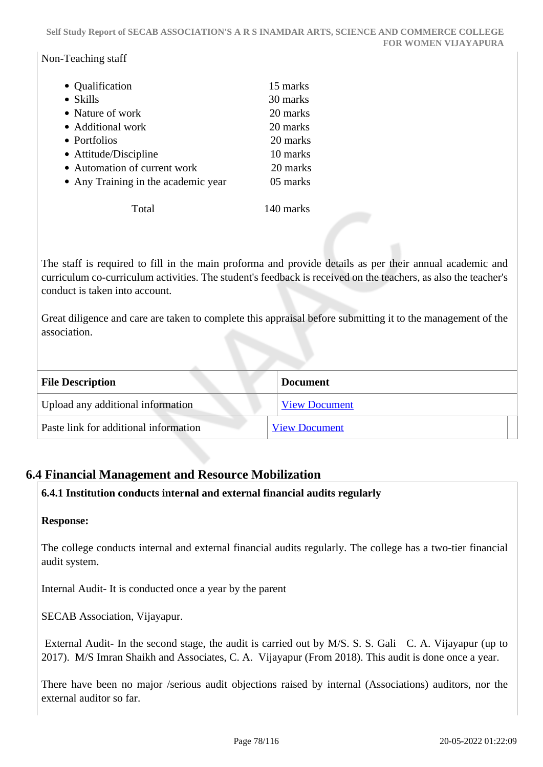#### Non-Teaching staff

| • Qualification                     | 15 marks |
|-------------------------------------|----------|
| • Skills                            | 30 marks |
| • Nature of work                    | 20 marks |
| • Additional work                   | 20 marks |
| • Portfolios                        | 20 marks |
| • Attitude/Discipline               | 10 marks |
| • Automation of current work        | 20 marks |
| • Any Training in the academic year | 05 marks |
|                                     |          |

Total 140 marks

The staff is required to fill in the main proforma and provide details as per their annual academic and curriculum co-curriculum activities. The student's feedback is received on the teachers, as also the teacher's conduct is taken into account.

Great diligence and care are taken to complete this appraisal before submitting it to the management of the association.

| <b>File Description</b>               | <b>Document</b>      |
|---------------------------------------|----------------------|
| Upload any additional information     | <b>View Document</b> |
| Paste link for additional information | <b>View Document</b> |

## **6.4 Financial Management and Resource Mobilization**

## **6.4.1 Institution conducts internal and external financial audits regularly**

#### **Response:**

The college conducts internal and external financial audits regularly. The college has a two-tier financial audit system.

Internal Audit- It is conducted once a year by the parent

SECAB Association, Vijayapur.

 External Audit- In the second stage, the audit is carried out by M/S. S. S. Gali C. A. Vijayapur (up to 2017). M/S Imran Shaikh and Associates, C. A. Vijayapur (From 2018). This audit is done once a year.

There have been no major /serious audit objections raised by internal (Associations) auditors, nor the external auditor so far.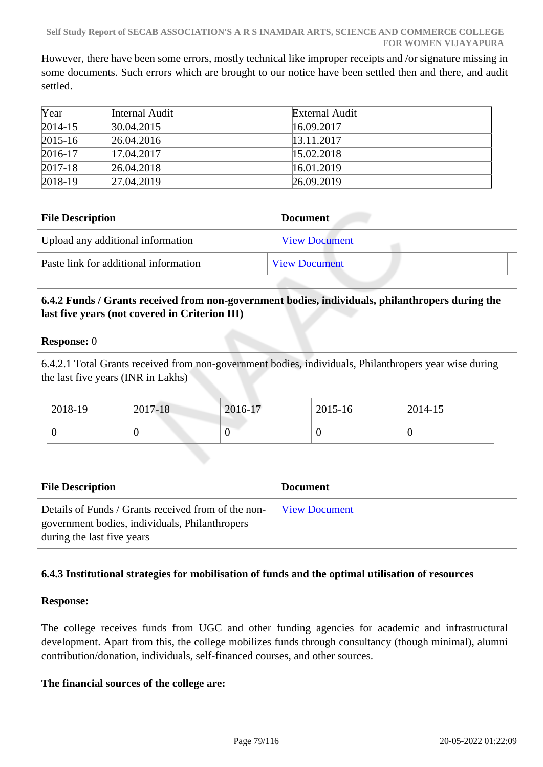However, there have been some errors, mostly technical like improper receipts and /or signature missing in some documents. Such errors which are brought to our notice have been settled then and there, and audit settled.

| Year        | Internal Audit | External Audit |  |
|-------------|----------------|----------------|--|
| $2014 - 15$ | 30.04.2015     | 16.09.2017     |  |
| $2015 - 16$ | 26.04.2016     | 13.11.2017     |  |
| $2016-17$   | 17.04.2017     | 15.02.2018     |  |
| $2017 - 18$ | 26.04.2018     | 16.01.2019     |  |
| $2018-19$   | 27.04.2019     | 26.09.2019     |  |

| <b>File Description</b>               | <b>Document</b>      |
|---------------------------------------|----------------------|
| Upload any additional information     | <b>View Document</b> |
| Paste link for additional information | <b>View Document</b> |

## **6.4.2 Funds / Grants received from non-government bodies, individuals, philanthropers during the last five years (not covered in Criterion III)**

#### **Response:** 0

6.4.2.1 Total Grants received from non-government bodies, individuals, Philanthropers year wise during the last five years (INR in Lakhs)

| 2018-19 | 2017-18 | 2016-17 | 2015-16 | 2014-15 |
|---------|---------|---------|---------|---------|
|         |         | v       |         | ν       |

| <b>File Description</b>                                                                                                             | <b>Document</b>      |
|-------------------------------------------------------------------------------------------------------------------------------------|----------------------|
| Details of Funds / Grants received from of the non-<br>government bodies, individuals, Philanthropers<br>during the last five years | <b>View Document</b> |

## **6.4.3 Institutional strategies for mobilisation of funds and the optimal utilisation of resources**

#### **Response:**

The college receives funds from UGC and other funding agencies for academic and infrastructural development. Apart from this, the college mobilizes funds through consultancy (though minimal), alumni contribution/donation, individuals, self-financed courses, and other sources.

#### **The financial sources of the college are:**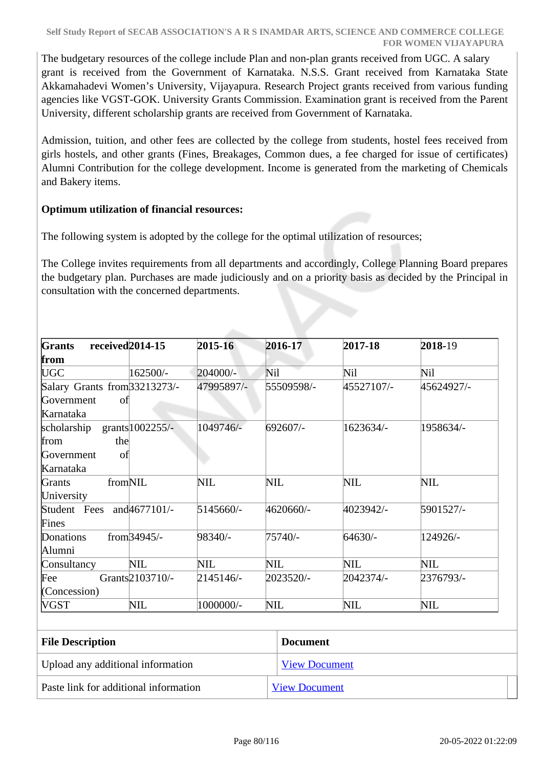The budgetary resources of the college include Plan and non-plan grants received from UGC. A salary grant is received from the Government of Karnataka. N.S.S. Grant received from Karnataka State Akkamahadevi Women's University, Vijayapura. Research Project grants received from various funding agencies like VGST-GOK. University Grants Commission. Examination grant is received from the Parent University, different scholarship grants are received from Government of Karnataka.

Admission, tuition, and other fees are collected by the college from students, hostel fees received from girls hostels, and other grants (Fines, Breakages, Common dues, a fee charged for issue of certificates) Alumni Contribution for the college development. Income is generated from the marketing of Chemicals and Bakery items.

## **Optimum utilization of financial resources:**

The following system is adopted by the college for the optimal utilization of resources;

The College invites requirements from all departments and accordingly, College Planning Board prepares the budgetary plan. Purchases are made judiciously and on a priority basis as decided by the Principal in consultation with the concerned departments.

| Grants<br>received <sub>2014-15</sub>                          |                             | 2015-16    | 2016-17              | 2017-18    | 2018-19    |
|----------------------------------------------------------------|-----------------------------|------------|----------------------|------------|------------|
| from                                                           |                             |            |                      |            |            |
| UGC                                                            | 162500/-                    | 204000/-   | Nil                  | Nil        | Nil        |
| Salary Grants from 33213273/-<br>Government<br>of<br>Karnataka |                             | 47995897/- | 55509598/-           | 45527107/- | 45624927/- |
| scholarship<br>the<br>from<br>Government<br>οf<br>Karnataka    | grants 1002255/-            | 1049746/-  | 692607/-             | 1623634/-  | 1958634/-  |
| fromNIL<br>Grants<br>University                                |                             | NIL        | NIL                  | NIL        | <b>NIL</b> |
| Student Fees and 4677101/-<br>Fines                            |                             | 5145660/-  | 4620660/-            | 4023942/-  | 5901527/-  |
| Donations<br>Alumni                                            | from $34945/-$              | 98340/-    | 75740/-              | 64630/-    | 124926/-   |
| Consultancy                                                    | <b>NIL</b>                  | NIL        | NIL                  | NIL        | <b>NIL</b> |
| Fee<br>(Concession)                                            | Grants <sup>2103710/-</sup> | 2145146/-  | 2023520/-            | 2042374/-  | 2376793/-  |
| VGST                                                           | NIL                         | 1000000/-  | NIL                  | NIL        | NIL        |
| <b>File Description</b>                                        |                             |            | <b>Document</b>      |            |            |
| Upload any additional information                              |                             |            | <b>View Document</b> |            |            |

Paste link for additional information [View Document](http://arsi.secab.org/arsissr/crt6/6.4.3.pdf)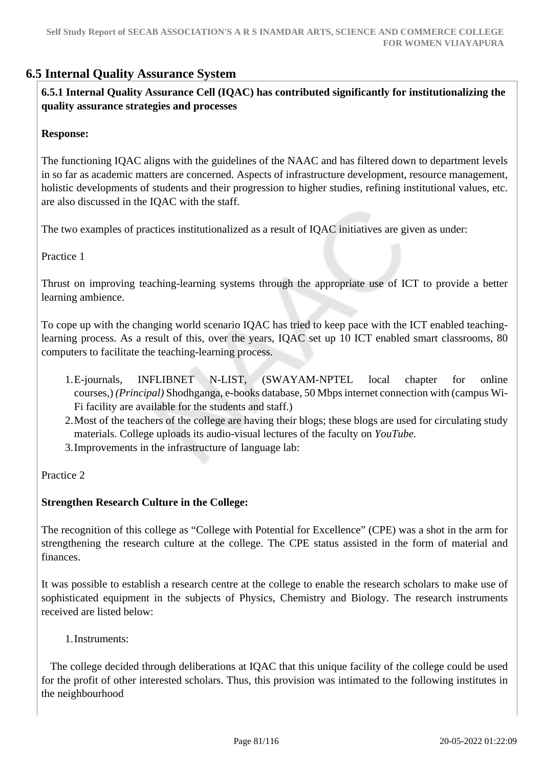## **6.5 Internal Quality Assurance System**

 **6.5.1 Internal Quality Assurance Cell (IQAC) has contributed significantly for institutionalizing the quality assurance strategies and processes**

#### **Response:**

The functioning IQAC aligns with the guidelines of the NAAC and has filtered down to department levels in so far as academic matters are concerned. Aspects of infrastructure development, resource management, holistic developments of students and their progression to higher studies, refining institutional values, etc. are also discussed in the IQAC with the staff.

The two examples of practices institutionalized as a result of IQAC initiatives are given as under:

Practice 1

Thrust on improving teaching-learning systems through the appropriate use of ICT to provide a better learning ambience.

To cope up with the changing world scenario IQAC has tried to keep pace with the ICT enabled teachinglearning process. As a result of this, over the years, IQAC set up 10 ICT enabled smart classrooms, 80 computers to facilitate the teaching-learning process.

- 1.E-journals, INFLIBNET N-LIST, (SWAYAM-NPTEL local chapter for online courses,) *(Principal)* Shodhganga, e-books database, 50 Mbps internet connection with (campus Wi-Fi facility are available for the students and staff.)
- 2.Most of the teachers of the college are having their blogs; these blogs are used for circulating study materials. College uploads its audio-visual lectures of the faculty on *YouTube.*
- 3.Improvements in the infrastructure of language lab:

Practice 2

#### **Strengthen Research Culture in the College:**

The recognition of this college as "College with Potential for Excellence" (CPE) was a shot in the arm for strengthening the research culture at the college. The CPE status assisted in the form of material and finances.

It was possible to establish a research centre at the college to enable the research scholars to make use of sophisticated equipment in the subjects of Physics, Chemistry and Biology. The research instruments received are listed below:

1.Instruments:

 The college decided through deliberations at IQAC that this unique facility of the college could be used for the profit of other interested scholars. Thus, this provision was intimated to the following institutes in the neighbourhood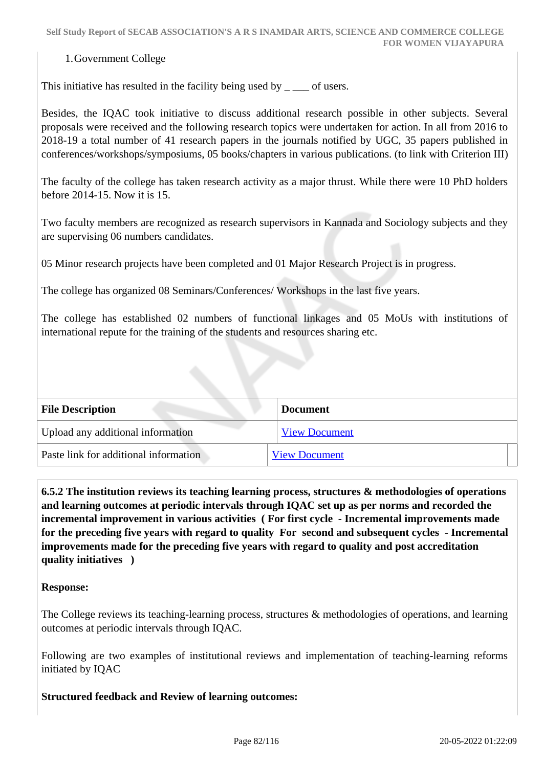#### 1.Government College

This initiative has resulted in the facility being used by  $\overline{\phantom{a}}$  =  $\overline{\phantom{a}}$  of users.

Besides, the IQAC took initiative to discuss additional research possible in other subjects. Several proposals were received and the following research topics were undertaken for action. In all from 2016 to 2018-19 a total number of 41 research papers in the journals notified by UGC, 35 papers published in conferences/workshops/symposiums, 05 books/chapters in various publications. (to link with Criterion III)

The faculty of the college has taken research activity as a major thrust. While there were 10 PhD holders before 2014-15. Now it is 15.

Two faculty members are recognized as research supervisors in Kannada and Sociology subjects and they are supervising 06 numbers candidates.

05 Minor research projects have been completed and 01 Major Research Project is in progress.

The college has organized 08 Seminars/Conferences/ Workshops in the last five years.

The college has established 02 numbers of functional linkages and 05 MoUs with institutions of international repute for the training of the students and resources sharing etc.

| <b>File Description</b>               | <b>Document</b>      |
|---------------------------------------|----------------------|
| Upload any additional information     | <b>View Document</b> |
| Paste link for additional information | <b>View Document</b> |

 **6.5.2 The institution reviews its teaching learning process, structures & methodologies of operations and learning outcomes at periodic intervals through IQAC set up as per norms and recorded the incremental improvement in various activities ( For first cycle - Incremental improvements made for the preceding five years with regard to quality For second and subsequent cycles - Incremental improvements made for the preceding five years with regard to quality and post accreditation quality initiatives )** 

#### **Response:**

The College reviews its teaching-learning process, structures & methodologies of operations, and learning outcomes at periodic intervals through IQAC.

Following are two examples of institutional reviews and implementation of teaching-learning reforms initiated by IQAC

**Structured feedback and Review of learning outcomes:**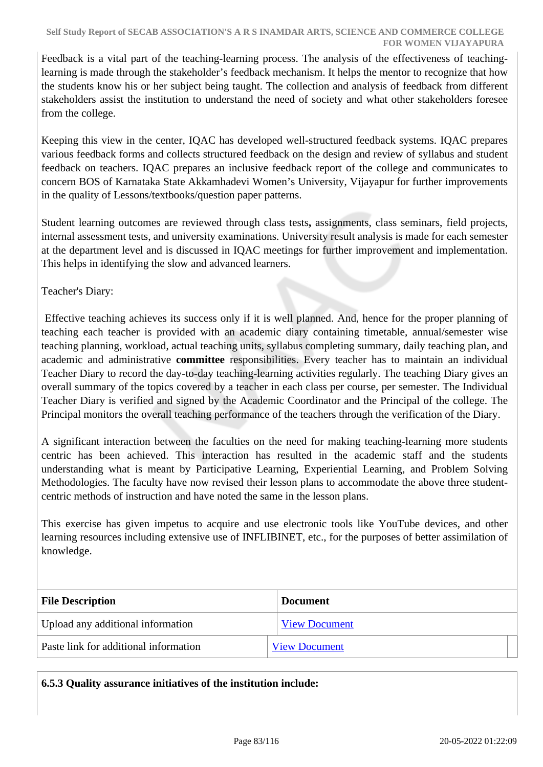Feedback is a vital part of the teaching-learning process. The analysis of the effectiveness of teachinglearning is made through the stakeholder's feedback mechanism. It helps the mentor to recognize that how the students know his or her subject being taught. The collection and analysis of feedback from different stakeholders assist the institution to understand the need of society and what other stakeholders foresee from the college.

Keeping this view in the center, IQAC has developed well-structured feedback systems. IQAC prepares various feedback forms and collects structured feedback on the design and review of syllabus and student feedback on teachers. IQAC prepares an inclusive feedback report of the college and communicates to concern BOS of Karnataka State Akkamhadevi Women's University, Vijayapur for further improvements in the quality of Lessons/textbooks/question paper patterns.

Student learning outcomes are reviewed through class tests**,** assignments, class seminars, field projects, internal assessment tests, and university examinations. University result analysis is made for each semester at the department level and is discussed in IQAC meetings for further improvement and implementation. This helps in identifying the slow and advanced learners.

Teacher's Diary:

 Effective teaching achieves its success only if it is well planned. And, hence for the proper planning of teaching each teacher is provided with an academic diary containing timetable, annual/semester wise teaching planning, workload, actual teaching units, syllabus completing summary, daily teaching plan, and academic and administrative **committee** responsibilities. Every teacher has to maintain an individual Teacher Diary to record the day-to-day teaching-learning activities regularly. The teaching Diary gives an overall summary of the topics covered by a teacher in each class per course, per semester. The Individual Teacher Diary is verified and signed by the Academic Coordinator and the Principal of the college. The Principal monitors the overall teaching performance of the teachers through the verification of the Diary.

A significant interaction between the faculties on the need for making teaching-learning more students centric has been achieved. This interaction has resulted in the academic staff and the students understanding what is meant by Participative Learning, Experiential Learning, and Problem Solving Methodologies. The faculty have now revised their lesson plans to accommodate the above three studentcentric methods of instruction and have noted the same in the lesson plans.

This exercise has given impetus to acquire and use electronic tools like YouTube devices, and other learning resources including extensive use of INFLIBINET, etc., for the purposes of better assimilation of knowledge.

| <b>File Description</b>               | <b>Document</b>      |
|---------------------------------------|----------------------|
| Upload any additional information     | <b>View Document</b> |
| Paste link for additional information | <b>View Document</b> |

**6.5.3 Quality assurance initiatives of the institution include:**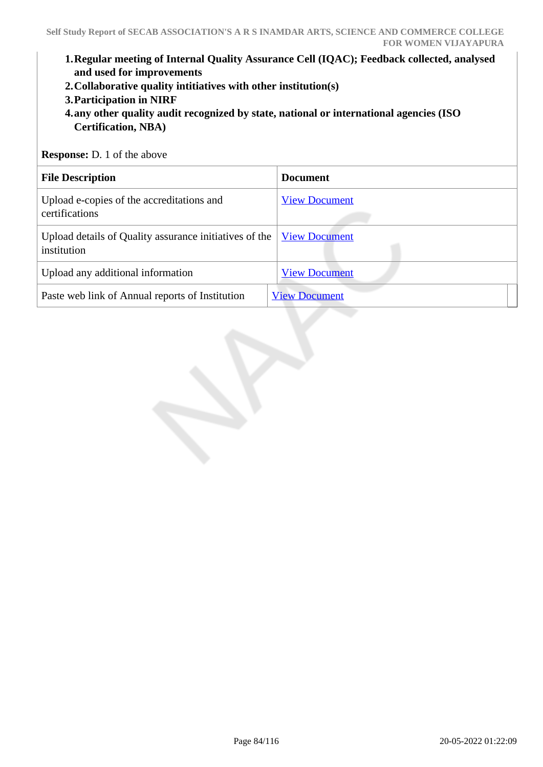- **1.Regular meeting of Internal Quality Assurance Cell (IQAC); Feedback collected, analysed and used for improvements**
- **2.Collaborative quality intitiatives with other institution(s)**
- **3.Participation in NIRF**
- **4.any other quality audit recognized by state, national or international agencies (ISO Certification, NBA)**

**Response:** D. 1 of the above

| <b>File Description</b>                                               | <b>Document</b>      |
|-----------------------------------------------------------------------|----------------------|
| Upload e-copies of the accreditations and<br>certifications           | <b>View Document</b> |
| Upload details of Quality assurance initiatives of the<br>institution | <b>View Document</b> |
| Upload any additional information                                     | <b>View Document</b> |
| Paste web link of Annual reports of Institution                       | <b>View Document</b> |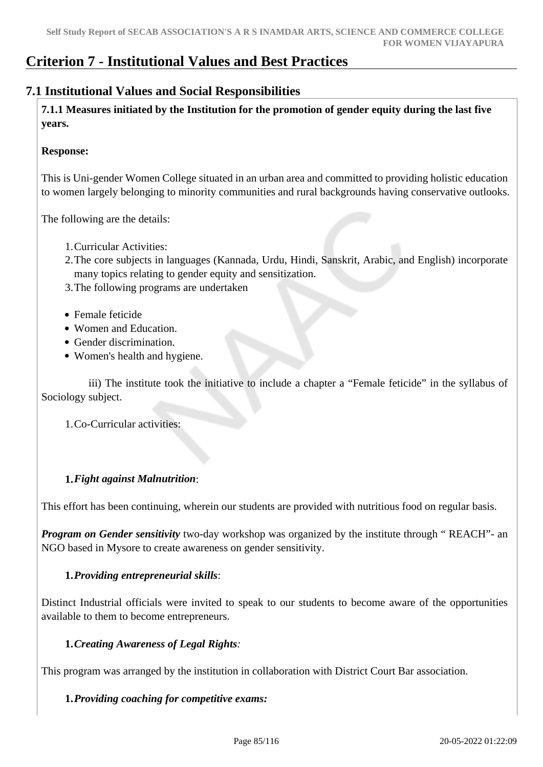## **Criterion 7 - Institutional Values and Best Practices**

## **7.1 Institutional Values and Social Responsibilities**

 **7.1.1 Measures initiated by the Institution for the promotion of gender equity during the last five years.**

#### **Response:**

This is Uni-gender Women College situated in an urban area and committed to providing holistic education to women largely belonging to minority communities and rural backgrounds having conservative outlooks.

The following are the details:

- 1.Curricular Activities:
- 2.The core subjects in languages (Kannada, Urdu, Hindi, Sanskrit, Arabic, and English) incorporate many topics relating to gender equity and sensitization.
- 3.The following programs are undertaken
- Female feticide
- Women and Education.
- Gender discrimination.
- Women's health and hygiene.

 iii) The institute took the initiative to include a chapter a "Female feticide" in the syllabus of Sociology subject.

1.Co-Curricular activities:

#### **1.***Fight against Malnutrition*:

This effort has been continuing, wherein our students are provided with nutritious food on regular basis.

*Program on Gender sensitivity* two-day workshop was organized by the institute through " REACH"- an NGO based in Mysore to create awareness on gender sensitivity.

#### **1.***Providing entrepreneurial skills*:

Distinct Industrial officials were invited to speak to our students to become aware of the opportunities available to them to become entrepreneurs.

#### **1.***Creating Awareness of Legal Rights:*

This program was arranged by the institution in collaboration with District Court Bar association.

#### **1.***Providing coaching for competitive exams:*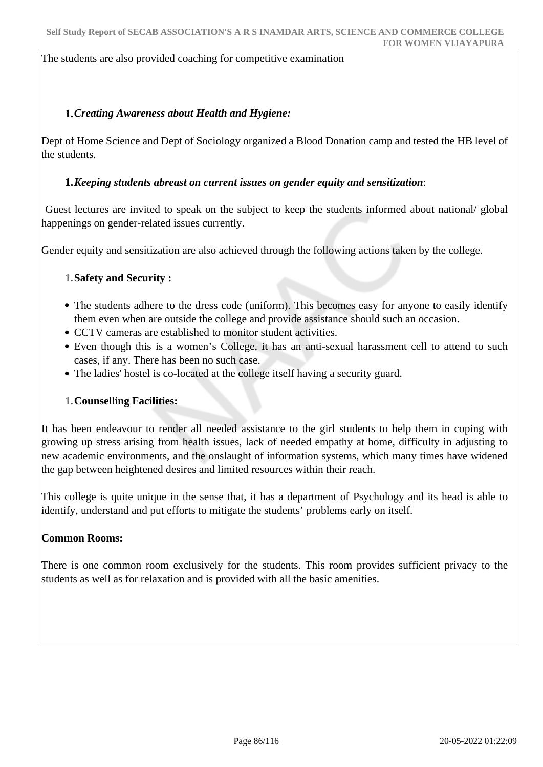The students are also provided coaching for competitive examination

## **1.***Creating Awareness about Health and Hygiene:*

Dept of Home Science and Dept of Sociology organized a Blood Donation camp and tested the HB level of the students.

#### **1.***Keeping students abreast on current issues on gender equity and sensitization*:

 Guest lectures are invited to speak on the subject to keep the students informed about national/ global happenings on gender-related issues currently.

Gender equity and sensitization are also achieved through the following actions taken by the college.

#### 1.**Safety and Security :**

- The students adhere to the dress code (uniform). This becomes easy for anyone to easily identify them even when are outside the college and provide assistance should such an occasion.
- CCTV cameras are established to monitor student activities.
- Even though this is a women's College, it has an anti-sexual harassment cell to attend to such cases, if any. There has been no such case.
- The ladies' hostel is co-located at the college itself having a security guard.

#### 1.**Counselling Facilities:**

It has been endeavour to render all needed assistance to the girl students to help them in coping with growing up stress arising from health issues, lack of needed empathy at home, difficulty in adjusting to new academic environments, and the onslaught of information systems, which many times have widened the gap between heightened desires and limited resources within their reach.

This college is quite unique in the sense that, it has a department of Psychology and its head is able to identify, understand and put efforts to mitigate the students' problems early on itself.

#### **Common Rooms:**

There is one common room exclusively for the students. This room provides sufficient privacy to the students as well as for relaxation and is provided with all the basic amenities.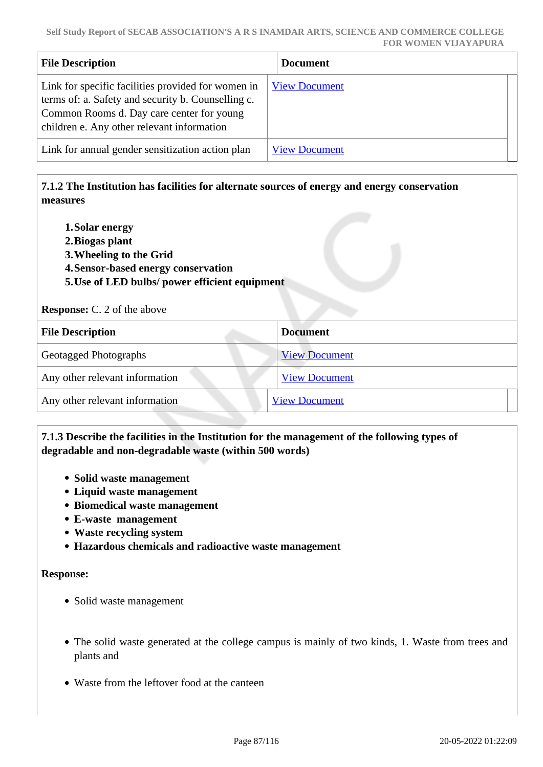| <b>File Description</b>                                                                                                                                                                             | <b>Document</b>      |
|-----------------------------------------------------------------------------------------------------------------------------------------------------------------------------------------------------|----------------------|
| Link for specific facilities provided for women in<br>terms of: a. Safety and security b. Counselling c.<br>Common Rooms d. Day care center for young<br>children e. Any other relevant information | <b>View Document</b> |
| Link for annual gender sensitization action plan                                                                                                                                                    | <b>View Document</b> |

## **7.1.2 The Institution has facilities for alternate sources of energy and energy conservation measures**

- **1.Solar energy**
- **2.Biogas plant**
- **3.Wheeling to the Grid**
- **4.Sensor-based energy conservation**
- **5.Use of LED bulbs/ power efficient equipment**

**Response:** C. 2 of the above

| <b>File Description</b>        | <b>Document</b>      |
|--------------------------------|----------------------|
| <b>Geotagged Photographs</b>   | <b>View Document</b> |
| Any other relevant information | <b>View Document</b> |
| Any other relevant information | <b>View Document</b> |

## **7.1.3 Describe the facilities in the Institution for the management of the following types of degradable and non-degradable waste (within 500 words)**

- **Solid waste management**
- **Liquid waste management**
- **Biomedical waste management**
- **E-waste management**
- **Waste recycling system**
- **Hazardous chemicals and radioactive waste management**

#### **Response:**

- Solid waste management
- The solid waste generated at the college campus is mainly of two kinds, 1. Waste from trees and plants and
- Waste from the leftover food at the canteen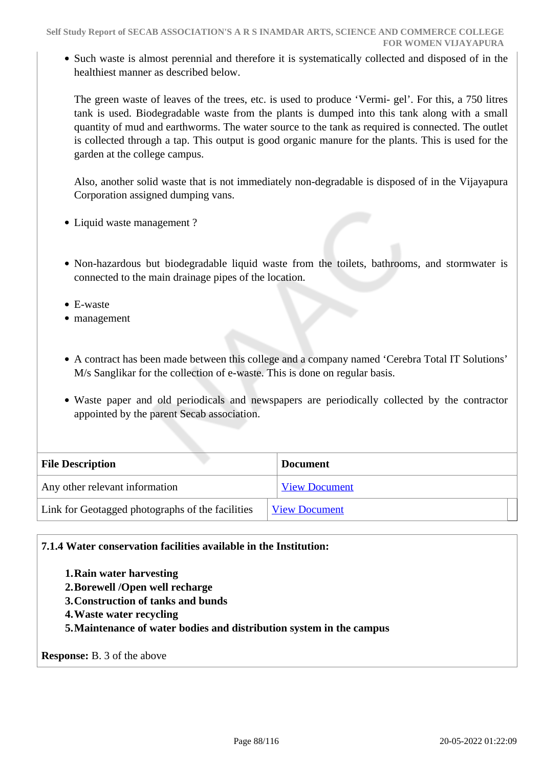Such waste is almost perennial and therefore it is systematically collected and disposed of in the healthiest manner as described below.

The green waste of leaves of the trees, etc. is used to produce 'Vermi- gel'. For this, a 750 litres tank is used. Biodegradable waste from the plants is dumped into this tank along with a small quantity of mud and earthworms. The water source to the tank as required is connected. The outlet is collected through a tap. This output is good organic manure for the plants. This is used for the garden at the college campus.

Also, another solid waste that is not immediately non-degradable is disposed of in the Vijayapura Corporation assigned dumping vans.

- Liquid waste management ?
- Non-hazardous but biodegradable liquid waste from the toilets, bathrooms, and stormwater is connected to the main drainage pipes of the location.
- E-waste
- management
- A contract has been made between this college and a company named 'Cerebra Total IT Solutions' M/s Sanglikar for the collection of e-waste. This is done on regular basis.
- Waste paper and old periodicals and newspapers are periodically collected by the contractor appointed by the parent Secab association.

| <b>File Description</b>                          | <b>Document</b>      |
|--------------------------------------------------|----------------------|
| Any other relevant information                   | <b>View Document</b> |
| Link for Geotagged photographs of the facilities | <b>View Document</b> |

#### **7.1.4 Water conservation facilities available in the Institution:**

**1.Rain water harvesting 2.Borewell /Open well recharge 3.Construction of tanks and bunds 4.Waste water recycling 5.Maintenance of water bodies and distribution system in the campus**

**Response:** B. 3 of the above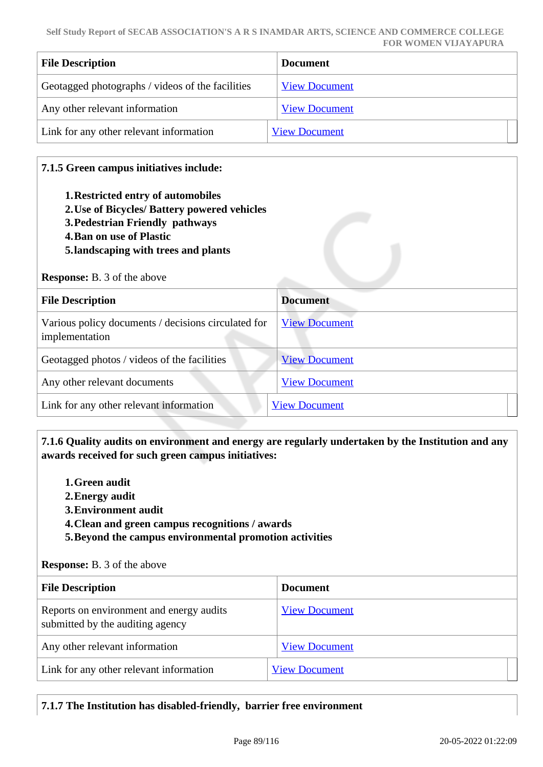| <b>File Description</b>                          | <b>Document</b>      |
|--------------------------------------------------|----------------------|
| Geotagged photographs / videos of the facilities | <b>View Document</b> |
| Any other relevant information                   | <b>View Document</b> |
| Link for any other relevant information          | <b>View Document</b> |

## **7.1.5 Green campus initiatives include:**

- **1.Restricted entry of automobiles**
- **2.Use of Bicycles/ Battery powered vehicles**
- **3.Pedestrian Friendly pathways**
- **4.Ban on use of Plastic**
- **5.landscaping with trees and plants**

#### **Response:** B. 3 of the above

| <b>File Description</b>                                               | <b>Document</b>      |
|-----------------------------------------------------------------------|----------------------|
| Various policy documents / decisions circulated for<br>implementation | <b>View Document</b> |
| Geotagged photos / videos of the facilities                           | <b>View Document</b> |
| Any other relevant documents                                          | <b>View Document</b> |
| Link for any other relevant information                               | <b>View Document</b> |

## **7.1.6 Quality audits on environment and energy are regularly undertaken by the Institution and any awards received for such green campus initiatives:**

- **1.Green audit**
- **2.Energy audit**
- **3.Environment audit**
- **4.Clean and green campus recognitions / awards**
- **5.Beyond the campus environmental promotion activities**

#### **Response:** B. 3 of the above

| <b>File Description</b>                                                      | <b>Document</b>      |
|------------------------------------------------------------------------------|----------------------|
| Reports on environment and energy audits<br>submitted by the auditing agency | <b>View Document</b> |
| Any other relevant information                                               | <b>View Document</b> |
| Link for any other relevant information                                      | <b>View Document</b> |

## **7.1.7 The Institution has disabled-friendly, barrier free environment**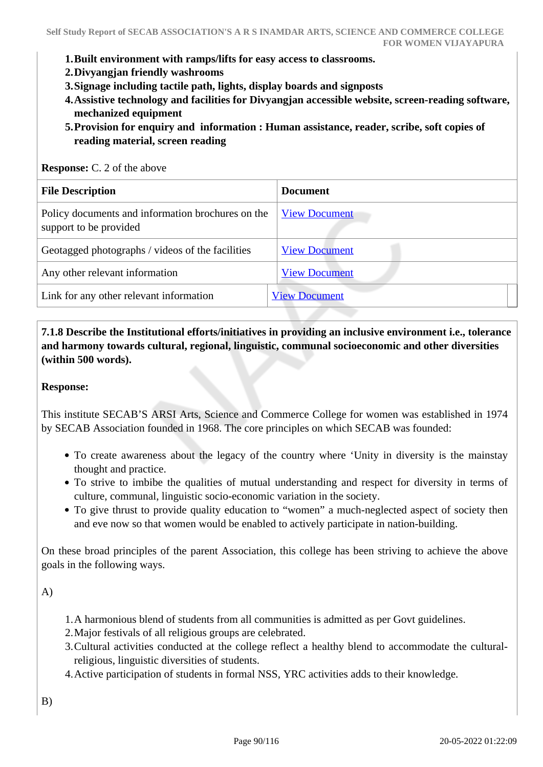- **1.Built environment with ramps/lifts for easy access to classrooms.**
- **2.Divyangjan friendly washrooms**
- **3.Signage including tactile path, lights, display boards and signposts**
- **4.Assistive technology and facilities for Divyangjan accessible website, screen-reading software, mechanized equipment**
- **5.Provision for enquiry and information : Human assistance, reader, scribe, soft copies of reading material, screen reading**

**Response:** C. 2 of the above

| <b>File Description</b>                                                     | <b>Document</b>      |
|-----------------------------------------------------------------------------|----------------------|
| Policy documents and information brochures on the<br>support to be provided | <b>View Document</b> |
| Geotagged photographs / videos of the facilities                            | <b>View Document</b> |
| Any other relevant information                                              | <b>View Document</b> |
| Link for any other relevant information                                     | <b>View Document</b> |

 **7.1.8 Describe the Institutional efforts/initiatives in providing an inclusive environment i.e., tolerance and harmony towards cultural, regional, linguistic, communal socioeconomic and other diversities (within 500 words).**

#### **Response:**

This institute SECAB'S ARSI Arts, Science and Commerce College for women was established in 1974 by SECAB Association founded in 1968. The core principles on which SECAB was founded:

- To create awareness about the legacy of the country where 'Unity in diversity is the mainstay thought and practice.
- To strive to imbibe the qualities of mutual understanding and respect for diversity in terms of culture, communal, linguistic socio-economic variation in the society.
- To give thrust to provide quality education to "women" a much-neglected aspect of society then and eve now so that women would be enabled to actively participate in nation-building.

On these broad principles of the parent Association, this college has been striving to achieve the above goals in the following ways.

A)

- 1.A harmonious blend of students from all communities is admitted as per Govt guidelines.
- 2.Major festivals of all religious groups are celebrated.
- 3.Cultural activities conducted at the college reflect a healthy blend to accommodate the culturalreligious, linguistic diversities of students.
- 4.Active participation of students in formal NSS, YRC activities adds to their knowledge.

B)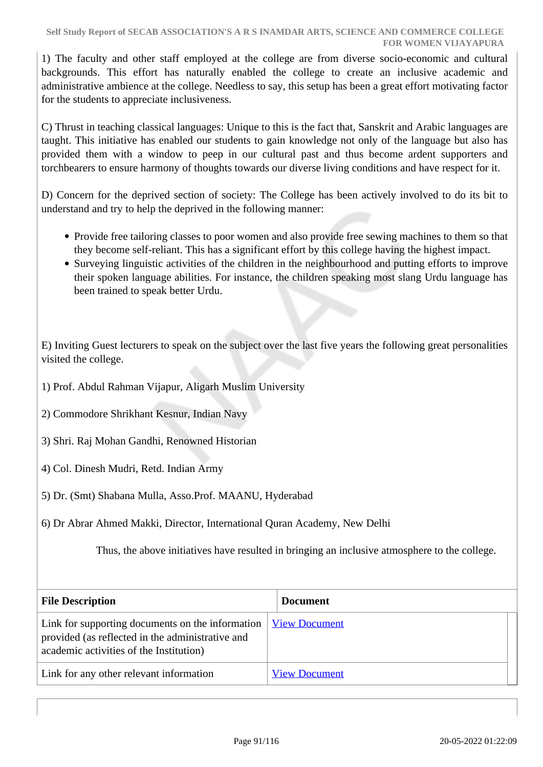1) The faculty and other staff employed at the college are from diverse socio-economic and cultural backgrounds. This effort has naturally enabled the college to create an inclusive academic and administrative ambience at the college. Needless to say, this setup has been a great effort motivating factor for the students to appreciate inclusiveness.

C) Thrust in teaching classical languages: Unique to this is the fact that, Sanskrit and Arabic languages are taught. This initiative has enabled our students to gain knowledge not only of the language but also has provided them with a window to peep in our cultural past and thus become ardent supporters and torchbearers to ensure harmony of thoughts towards our diverse living conditions and have respect for it.

D) Concern for the deprived section of society: The College has been actively involved to do its bit to understand and try to help the deprived in the following manner:

- Provide free tailoring classes to poor women and also provide free sewing machines to them so that they become self-reliant. This has a significant effort by this college having the highest impact.
- Surveying linguistic activities of the children in the neighbourhood and putting efforts to improve their spoken language abilities. For instance, the children speaking most slang Urdu language has been trained to speak better Urdu.

E) Inviting Guest lecturers to speak on the subject over the last five years the following great personalities visited the college.

- 1) Prof. Abdul Rahman Vijapur, Aligarh Muslim University
- 2) Commodore Shrikhant Kesnur, Indian Navy
- 3) Shri. Raj Mohan Gandhi, Renowned Historian
- 4) Col. Dinesh Mudri, Retd. Indian Army
- 5) Dr. (Smt) Shabana Mulla, Asso.Prof. MAANU, Hyderabad
- 6) Dr Abrar Ahmed Makki, Director, International Quran Academy, New Delhi

Thus, the above initiatives have resulted in bringing an inclusive atmosphere to the college.

| <b>File Description</b>                                                                                                                         | <b>Document</b>      |
|-------------------------------------------------------------------------------------------------------------------------------------------------|----------------------|
| Link for supporting documents on the information<br>provided (as reflected in the administrative and<br>academic activities of the Institution) | <b>View Document</b> |
| Link for any other relevant information                                                                                                         | <b>View Document</b> |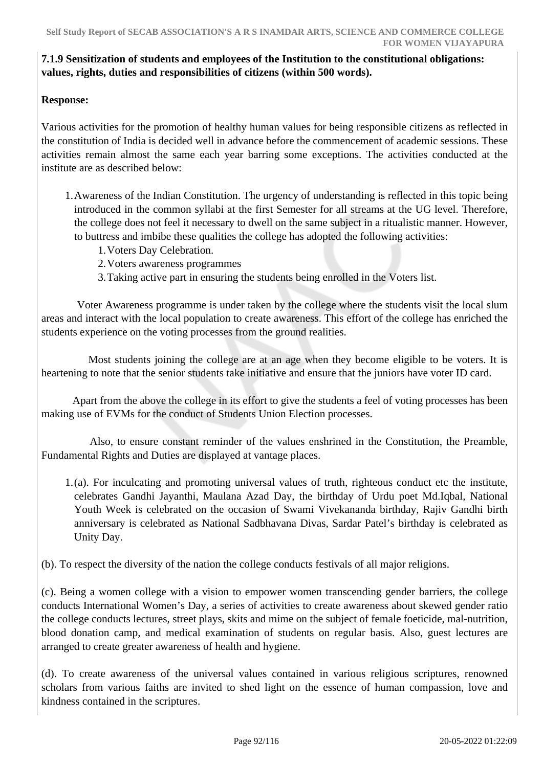## **7.1.9 Sensitization of students and employees of the Institution to the constitutional obligations: values, rights, duties and responsibilities of citizens (within 500 words).**

## **Response:**

Various activities for the promotion of healthy human values for being responsible citizens as reflected in the constitution of India is decided well in advance before the commencement of academic sessions. These activities remain almost the same each year barring some exceptions. The activities conducted at the institute are as described below:

- 1.Awareness of the Indian Constitution. The urgency of understanding is reflected in this topic being introduced in the common syllabi at the first Semester for all streams at the UG level. Therefore, the college does not feel it necessary to dwell on the same subject in a ritualistic manner. However, to buttress and imbibe these qualities the college has adopted the following activities:
	- 1.Voters Day Celebration.
	- 2.Voters awareness programmes
	- 3.Taking active part in ensuring the students being enrolled in the Voters list.

 Voter Awareness programme is under taken by the college where the students visit the local slum areas and interact with the local population to create awareness. This effort of the college has enriched the students experience on the voting processes from the ground realities.

 Most students joining the college are at an age when they become eligible to be voters. It is heartening to note that the senior students take initiative and ensure that the juniors have voter ID card.

 Apart from the above the college in its effort to give the students a feel of voting processes has been making use of EVMs for the conduct of Students Union Election processes.

 Also, to ensure constant reminder of the values enshrined in the Constitution, the Preamble, Fundamental Rights and Duties are displayed at vantage places.

1.(a). For inculcating and promoting universal values of truth, righteous conduct etc the institute, celebrates Gandhi Jayanthi, Maulana Azad Day, the birthday of Urdu poet Md.Iqbal, National Youth Week is celebrated on the occasion of Swami Vivekananda birthday, Rajiv Gandhi birth anniversary is celebrated as National Sadbhavana Divas, Sardar Patel's birthday is celebrated as Unity Day.

(b). To respect the diversity of the nation the college conducts festivals of all major religions.

(c). Being a women college with a vision to empower women transcending gender barriers, the college conducts International Women's Day, a series of activities to create awareness about skewed gender ratio the college conducts lectures, street plays, skits and mime on the subject of female foeticide, mal-nutrition, blood donation camp, and medical examination of students on regular basis. Also, guest lectures are arranged to create greater awareness of health and hygiene.

(d). To create awareness of the universal values contained in various religious scriptures, renowned scholars from various faiths are invited to shed light on the essence of human compassion, love and kindness contained in the scriptures.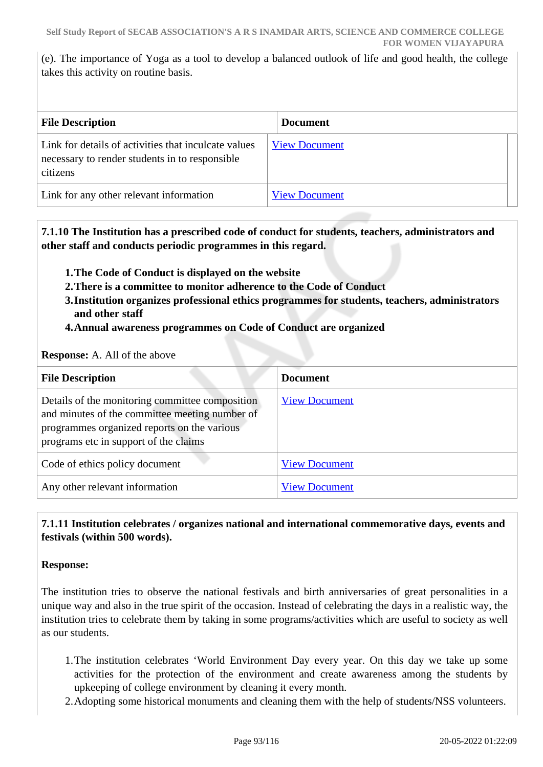(e). The importance of Yoga as a tool to develop a balanced outlook of life and good health, the college takes this activity on routine basis.

| <b>File Description</b>                                                                                            | <b>Document</b>      |
|--------------------------------------------------------------------------------------------------------------------|----------------------|
| Link for details of activities that inculcate values<br>necessary to render students in to responsible<br>citizens | <b>View Document</b> |
| Link for any other relevant information                                                                            | <b>View Document</b> |

 **7.1.10 The Institution has a prescribed code of conduct for students, teachers, administrators and other staff and conducts periodic programmes in this regard.** 

- **1.The Code of Conduct is displayed on the website**
- **2.There is a committee to monitor adherence to the Code of Conduct**
- **3.Institution organizes professional ethics programmes for students, teachers, administrators and other staff**
- **4.Annual awareness programmes on Code of Conduct are organized**

#### **Response:** A. All of the above

| <b>File Description</b>                                                                                                                                                                   | <b>Document</b>      |
|-------------------------------------------------------------------------------------------------------------------------------------------------------------------------------------------|----------------------|
| Details of the monitoring committee composition<br>and minutes of the committee meeting number of<br>programmes organized reports on the various<br>programs etc in support of the claims | <b>View Document</b> |
| Code of ethics policy document                                                                                                                                                            | <b>View Document</b> |
| Any other relevant information                                                                                                                                                            | <b>View Document</b> |

## **7.1.11 Institution celebrates / organizes national and international commemorative days, events and festivals (within 500 words).**

#### **Response:**

The institution tries to observe the national festivals and birth anniversaries of great personalities in a unique way and also in the true spirit of the occasion. Instead of celebrating the days in a realistic way, the institution tries to celebrate them by taking in some programs/activities which are useful to society as well as our students.

- 1.The institution celebrates 'World Environment Day every year. On this day we take up some activities for the protection of the environment and create awareness among the students by upkeeping of college environment by cleaning it every month.
- 2.Adopting some historical monuments and cleaning them with the help of students/NSS volunteers.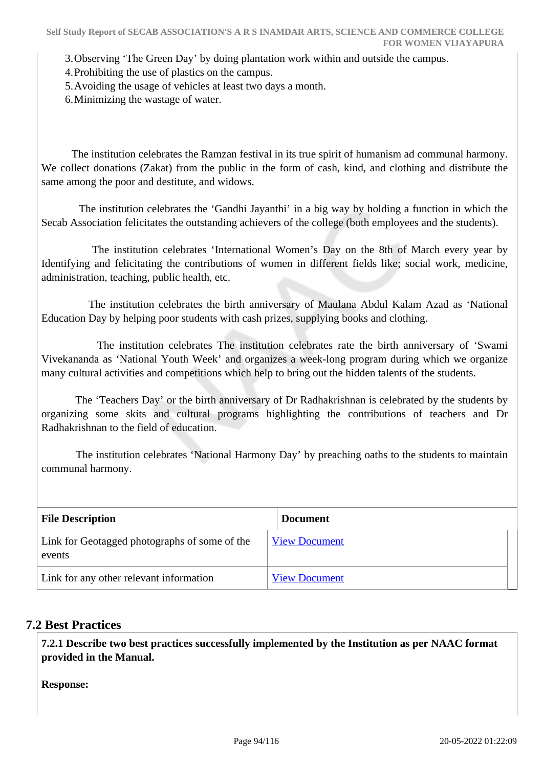3.Observing 'The Green Day' by doing plantation work within and outside the campus.

4.Prohibiting the use of plastics on the campus.

5.Avoiding the usage of vehicles at least two days a month.

6.Minimizing the wastage of water.

 The institution celebrates the Ramzan festival in its true spirit of humanism ad communal harmony. We collect donations (Zakat) from the public in the form of cash, kind, and clothing and distribute the same among the poor and destitute, and widows.

 The institution celebrates the 'Gandhi Jayanthi' in a big way by holding a function in which the Secab Association felicitates the outstanding achievers of the college (both employees and the students).

 The institution celebrates 'International Women's Day on the 8th of March every year by Identifying and felicitating the contributions of women in different fields like; social work, medicine, administration, teaching, public health, etc.

 The institution celebrates the birth anniversary of Maulana Abdul Kalam Azad as 'National Education Day by helping poor students with cash prizes, supplying books and clothing.

 The institution celebrates The institution celebrates rate the birth anniversary of 'Swami Vivekananda as 'National Youth Week' and organizes a week-long program during which we organize many cultural activities and competitions which help to bring out the hidden talents of the students.

 The 'Teachers Day' or the birth anniversary of Dr Radhakrishnan is celebrated by the students by organizing some skits and cultural programs highlighting the contributions of teachers and Dr Radhakrishnan to the field of education.

 The institution celebrates 'National Harmony Day' by preaching oaths to the students to maintain communal harmony.

| <b>File Description</b>                                 | <b>Document</b>      |
|---------------------------------------------------------|----------------------|
| Link for Geotagged photographs of some of the<br>events | <b>View Document</b> |
| Link for any other relevant information                 | <b>View Document</b> |

## **7.2 Best Practices**

 **7.2.1 Describe two best practices successfully implemented by the Institution as per NAAC format provided in the Manual.**

**Response:**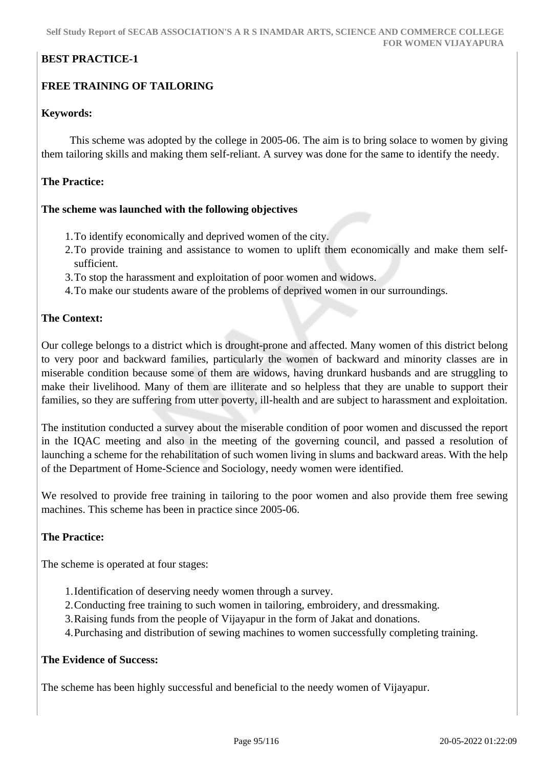## **BEST PRACTICE-1**

## **FREE TRAINING OF TAILORING**

#### **Keywords:**

 This scheme was adopted by the college in 2005-06. The aim is to bring solace to women by giving them tailoring skills and making them self-reliant. A survey was done for the same to identify the needy.

#### **The Practice:**

#### **The scheme was launched with the following objectives**

- 1.To identify economically and deprived women of the city.
- 2.To provide training and assistance to women to uplift them economically and make them selfsufficient.
- 3.To stop the harassment and exploitation of poor women and widows.
- 4.To make our students aware of the problems of deprived women in our surroundings.

#### **The Context:**

Our college belongs to a district which is drought-prone and affected. Many women of this district belong to very poor and backward families, particularly the women of backward and minority classes are in miserable condition because some of them are widows, having drunkard husbands and are struggling to make their livelihood. Many of them are illiterate and so helpless that they are unable to support their families, so they are suffering from utter poverty, ill-health and are subject to harassment and exploitation.

The institution conducted a survey about the miserable condition of poor women and discussed the report in the IQAC meeting and also in the meeting of the governing council, and passed a resolution of launching a scheme for the rehabilitation of such women living in slums and backward areas. With the help of the Department of Home-Science and Sociology, needy women were identified.

We resolved to provide free training in tailoring to the poor women and also provide them free sewing machines. This scheme has been in practice since 2005-06.

#### **The Practice:**

The scheme is operated at four stages:

- 1.Identification of deserving needy women through a survey.
- 2.Conducting free training to such women in tailoring, embroidery, and dressmaking.
- 3.Raising funds from the people of Vijayapur in the form of Jakat and donations.
- 4.Purchasing and distribution of sewing machines to women successfully completing training.

#### **The Evidence of Success:**

The scheme has been highly successful and beneficial to the needy women of Vijayapur.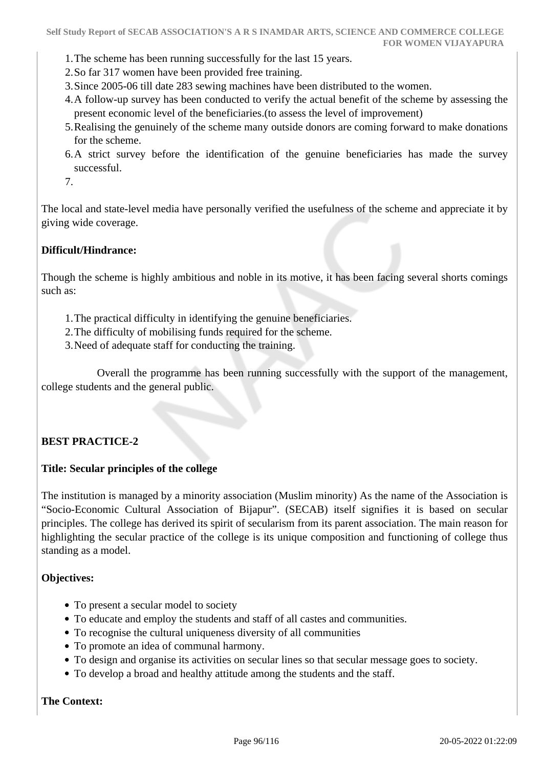- 1.The scheme has been running successfully for the last 15 years.
- 2.So far 317 women have been provided free training.
- 3.Since 2005-06 till date 283 sewing machines have been distributed to the women.
- 4.A follow-up survey has been conducted to verify the actual benefit of the scheme by assessing the present economic level of the beneficiaries.(to assess the level of improvement)
- 5.Realising the genuinely of the scheme many outside donors are coming forward to make donations for the scheme.
- 6.A strict survey before the identification of the genuine beneficiaries has made the survey successful.
- 7.

The local and state-level media have personally verified the usefulness of the scheme and appreciate it by giving wide coverage.

## **Difficult/Hindrance:**

Though the scheme is highly ambitious and noble in its motive, it has been facing several shorts comings such as:

- 1.The practical difficulty in identifying the genuine beneficiaries.
- 2.The difficulty of mobilising funds required for the scheme.
- 3.Need of adequate staff for conducting the training.

 Overall the programme has been running successfully with the support of the management, college students and the general public.

#### **BEST PRACTICE-2**

#### **Title: Secular principles of the college**

The institution is managed by a minority association (Muslim minority) As the name of the Association is "Socio-Economic Cultural Association of Bijapur". (SECAB) itself signifies it is based on secular principles. The college has derived its spirit of secularism from its parent association. The main reason for highlighting the secular practice of the college is its unique composition and functioning of college thus standing as a model.

#### **Objectives:**

- To present a secular model to society
- To educate and employ the students and staff of all castes and communities.
- To recognise the cultural uniqueness diversity of all communities
- To promote an idea of communal harmony.
- To design and organise its activities on secular lines so that secular message goes to society.
- To develop a broad and healthy attitude among the students and the staff.

#### **The Context:**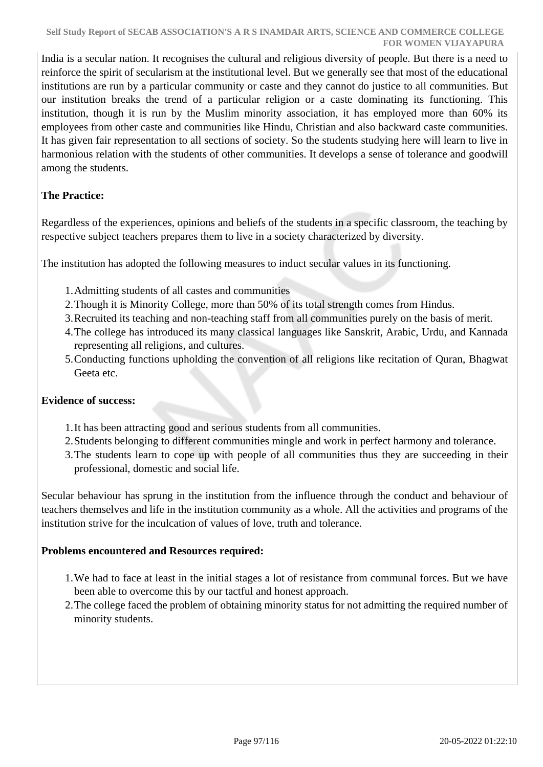India is a secular nation. It recognises the cultural and religious diversity of people. But there is a need to reinforce the spirit of secularism at the institutional level. But we generally see that most of the educational institutions are run by a particular community or caste and they cannot do justice to all communities. But our institution breaks the trend of a particular religion or a caste dominating its functioning. This institution, though it is run by the Muslim minority association, it has employed more than 60% its employees from other caste and communities like Hindu, Christian and also backward caste communities. It has given fair representation to all sections of society. So the students studying here will learn to live in harmonious relation with the students of other communities. It develops a sense of tolerance and goodwill among the students.

## **The Practice:**

Regardless of the experiences, opinions and beliefs of the students in a specific classroom, the teaching by respective subject teachers prepares them to live in a society characterized by diversity.

The institution has adopted the following measures to induct secular values in its functioning.

- 1.Admitting students of all castes and communities
- 2.Though it is Minority College, more than 50% of its total strength comes from Hindus.
- 3.Recruited its teaching and non-teaching staff from all communities purely on the basis of merit.
- 4.The college has introduced its many classical languages like Sanskrit, Arabic, Urdu, and Kannada representing all religions, and cultures.
- 5.Conducting functions upholding the convention of all religions like recitation of Quran, Bhagwat Geeta etc.

#### **Evidence of success:**

- 1.It has been attracting good and serious students from all communities.
- 2.Students belonging to different communities mingle and work in perfect harmony and tolerance.
- 3.The students learn to cope up with people of all communities thus they are succeeding in their professional, domestic and social life.

Secular behaviour has sprung in the institution from the influence through the conduct and behaviour of teachers themselves and life in the institution community as a whole. All the activities and programs of the institution strive for the inculcation of values of love, truth and tolerance.

#### **Problems encountered and Resources required:**

- 1.We had to face at least in the initial stages a lot of resistance from communal forces. But we have been able to overcome this by our tactful and honest approach.
- 2.The college faced the problem of obtaining minority status for not admitting the required number of minority students.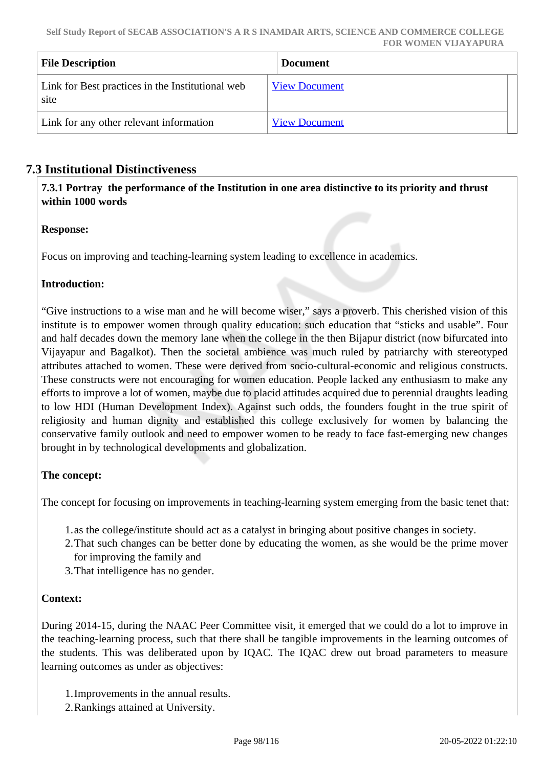| <b>File Description</b>                                  | <b>Document</b>      |
|----------------------------------------------------------|----------------------|
| Link for Best practices in the Institutional web<br>site | <b>View Document</b> |
| Link for any other relevant information                  | <b>View Document</b> |

## **7.3 Institutional Distinctiveness**

 **7.3.1 Portray the performance of the Institution in one area distinctive to its priority and thrust within 1000 words**

#### **Response:**

Focus on improving and teaching-learning system leading to excellence in academics.

## **Introduction:**

"Give instructions to a wise man and he will become wiser," says a proverb. This cherished vision of this institute is to empower women through quality education: such education that "sticks and usable". Four and half decades down the memory lane when the college in the then Bijapur district (now bifurcated into Vijayapur and Bagalkot). Then the societal ambience was much ruled by patriarchy with stereotyped attributes attached to women. These were derived from socio-cultural-economic and religious constructs. These constructs were not encouraging for women education. People lacked any enthusiasm to make any efforts to improve a lot of women, maybe due to placid attitudes acquired due to perennial draughts leading to low HDI (Human Development Index). Against such odds, the founders fought in the true spirit of religiosity and human dignity and established this college exclusively for women by balancing the conservative family outlook and need to empower women to be ready to face fast-emerging new changes brought in by technological developments and globalization.

## **The concept:**

The concept for focusing on improvements in teaching-learning system emerging from the basic tenet that:

- 1.as the college/institute should act as a catalyst in bringing about positive changes in society.
- 2.That such changes can be better done by educating the women, as she would be the prime mover for improving the family and
- 3.That intelligence has no gender.

## **Context:**

During 2014-15, during the NAAC Peer Committee visit, it emerged that we could do a lot to improve in the teaching-learning process, such that there shall be tangible improvements in the learning outcomes of the students. This was deliberated upon by IQAC. The IQAC drew out broad parameters to measure learning outcomes as under as objectives:

- 1.Improvements in the annual results.
- 2.Rankings attained at University.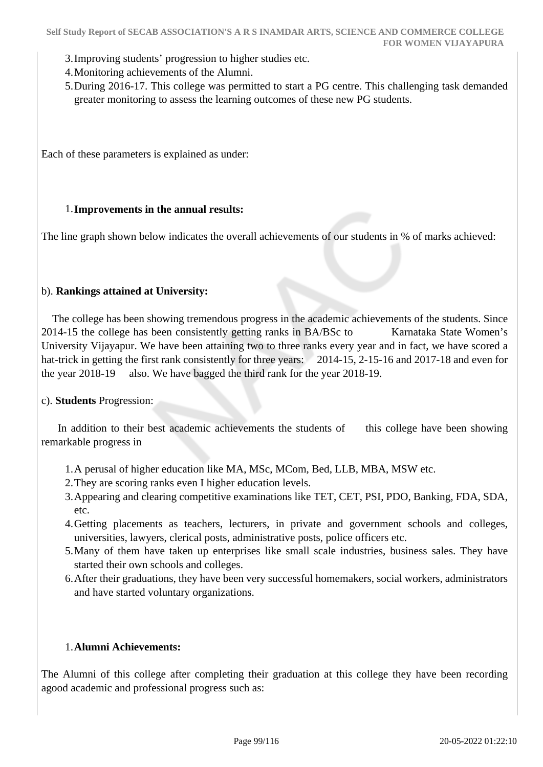- 3.Improving students' progression to higher studies etc.
- 4.Monitoring achievements of the Alumni.
- 5.During 2016-17. This college was permitted to start a PG centre. This challenging task demanded greater monitoring to assess the learning outcomes of these new PG students.

Each of these parameters is explained as under:

#### 1.**Improvements in the annual results:**

The line graph shown below indicates the overall achievements of our students in % of marks achieved:

#### b). **Rankings attained at University:**

 The college has been showing tremendous progress in the academic achievements of the students. Since 2014-15 the college has been consistently getting ranks in BA/BSc to Karnataka State Women's University Vijayapur. We have been attaining two to three ranks every year and in fact, we have scored a hat-trick in getting the first rank consistently for three years: 2014-15, 2-15-16 and 2017-18 and even for the year 2018-19 also. We have bagged the third rank for the year 2018-19.

#### c). **Students** Progression:

In addition to their best academic achievements the students of this college have been showing remarkable progress in

- 1.A perusal of higher education like MA, MSc, MCom, Bed, LLB, MBA, MSW etc.
- 2.They are scoring ranks even I higher education levels.
- 3.Appearing and clearing competitive examinations like TET, CET, PSI, PDO, Banking, FDA, SDA, etc.
- 4.Getting placements as teachers, lecturers, in private and government schools and colleges, universities, lawyers, clerical posts, administrative posts, police officers etc.
- 5.Many of them have taken up enterprises like small scale industries, business sales. They have started their own schools and colleges.
- 6.After their graduations, they have been very successful homemakers, social workers, administrators and have started voluntary organizations.

#### 1.**Alumni Achievements:**

The Alumni of this college after completing their graduation at this college they have been recording agood academic and professional progress such as: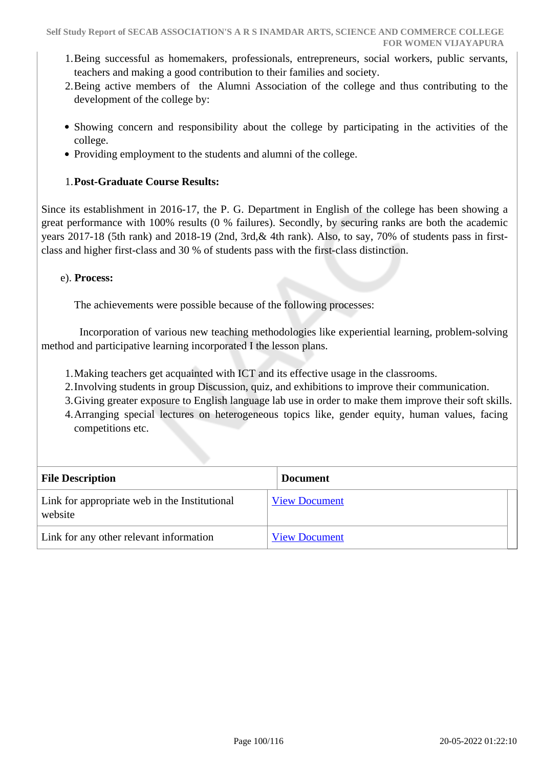- 1.Being successful as homemakers, professionals, entrepreneurs, social workers, public servants, teachers and making a good contribution to their families and society.
- 2.Being active members of the Alumni Association of the college and thus contributing to the development of the college by:
- Showing concern and responsibility about the college by participating in the activities of the college.
- Providing employment to the students and alumni of the college.

#### 1.**Post-Graduate Course Results:**

Since its establishment in 2016-17, the P. G. Department in English of the college has been showing a great performance with 100% results (0 % failures). Secondly, by securing ranks are both the academic years 2017-18 (5th rank) and 2018-19 (2nd, 3rd,& 4th rank). Also, to say, 70% of students pass in firstclass and higher first-class and 30 % of students pass with the first-class distinction.

#### e). **Process:**

The achievements were possible because of the following processes:

 Incorporation of various new teaching methodologies like experiential learning, problem-solving method and participative learning incorporated I the lesson plans.

- 1.Making teachers get acquainted with ICT and its effective usage in the classrooms.
- 2.Involving students in group Discussion, quiz, and exhibitions to improve their communication.
- 3.Giving greater exposure to English language lab use in order to make them improve their soft skills.
- 4.Arranging special lectures on heterogeneous topics like, gender equity, human values, facing competitions etc.

| <b>File Description</b>                                  | <b>Document</b>      |
|----------------------------------------------------------|----------------------|
| Link for appropriate web in the Institutional<br>website | <b>View Document</b> |
| Link for any other relevant information                  | <b>View Document</b> |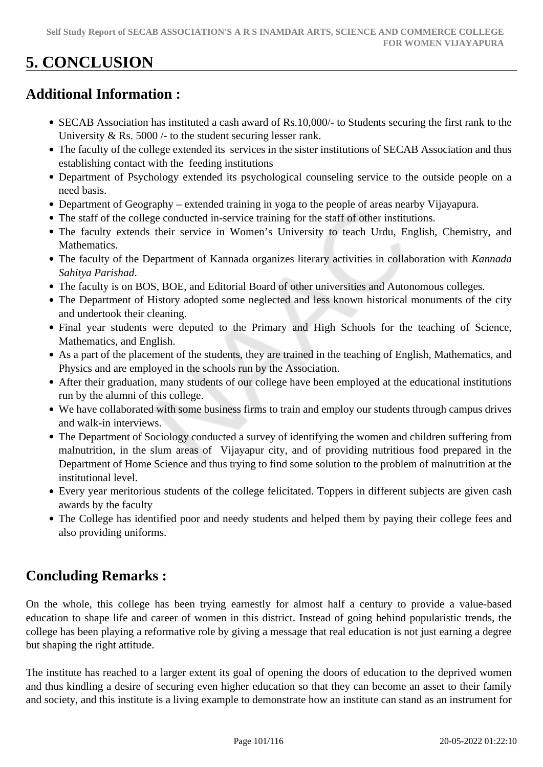# **5. CONCLUSION**

## **Additional Information :**

- SECAB Association has instituted a cash award of Rs.10,000/- to Students securing the first rank to the University & Rs. 5000 /- to the student securing lesser rank.
- The faculty of the college extended its services in the sister institutions of SECAB Association and thus establishing contact with the feeding institutions
- Department of Psychology extended its psychological counseling service to the outside people on a need basis.
- Department of Geography extended training in yoga to the people of areas nearby Vijayapura.
- The staff of the college conducted in-service training for the staff of other institutions.
- The faculty extends their service in Women's University to teach Urdu, English, Chemistry, and Mathematics.
- The faculty of the Department of Kannada organizes literary activities in collaboration with *Kannada Sahitya Parishad*.
- The faculty is on BOS, BOE, and Editorial Board of other universities and Autonomous colleges.
- The Department of History adopted some neglected and less known historical monuments of the city and undertook their cleaning.
- Final year students were deputed to the Primary and High Schools for the teaching of Science, Mathematics, and English.
- As a part of the placement of the students, they are trained in the teaching of English, Mathematics, and Physics and are employed in the schools run by the Association.
- After their graduation, many students of our college have been employed at the educational institutions run by the alumni of this college.
- We have collaborated with some business firms to train and employ our students through campus drives and walk-in interviews.
- The Department of Sociology conducted a survey of identifying the women and children suffering from malnutrition, in the slum areas of Vijayapur city, and of providing nutritious food prepared in the Department of Home Science and thus trying to find some solution to the problem of malnutrition at the institutional level.
- Every year meritorious students of the college felicitated. Toppers in different subjects are given cash awards by the faculty
- The College has identified poor and needy students and helped them by paying their college fees and also providing uniforms.

## **Concluding Remarks :**

On the whole, this college has been trying earnestly for almost half a century to provide a value-based education to shape life and career of women in this district. Instead of going behind popularistic trends, the college has been playing a reformative role by giving a message that real education is not just earning a degree but shaping the right attitude.

The institute has reached to a larger extent its goal of opening the doors of education to the deprived women and thus kindling a desire of securing even higher education so that they can become an asset to their family and society, and this institute is a living example to demonstrate how an institute can stand as an instrument for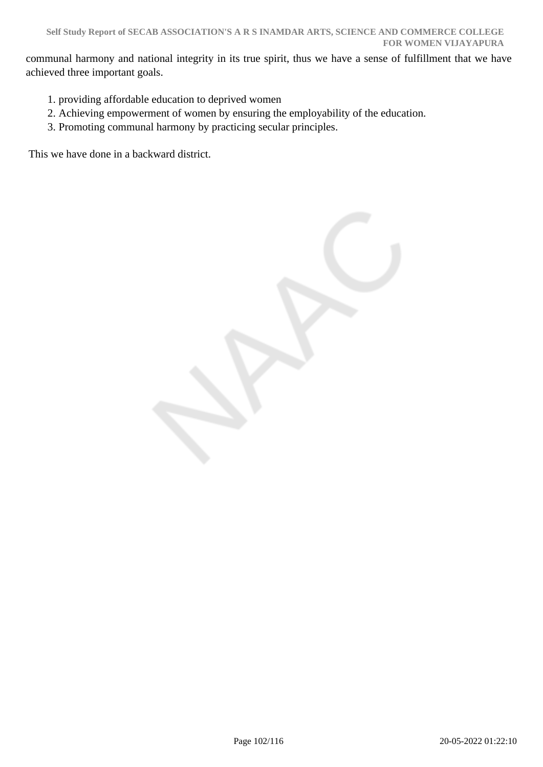communal harmony and national integrity in its true spirit, thus we have a sense of fulfillment that we have achieved three important goals.

- 1. providing affordable education to deprived women
- 2. Achieving empowerment of women by ensuring the employability of the education.
- 3. Promoting communal harmony by practicing secular principles.

This we have done in a backward district.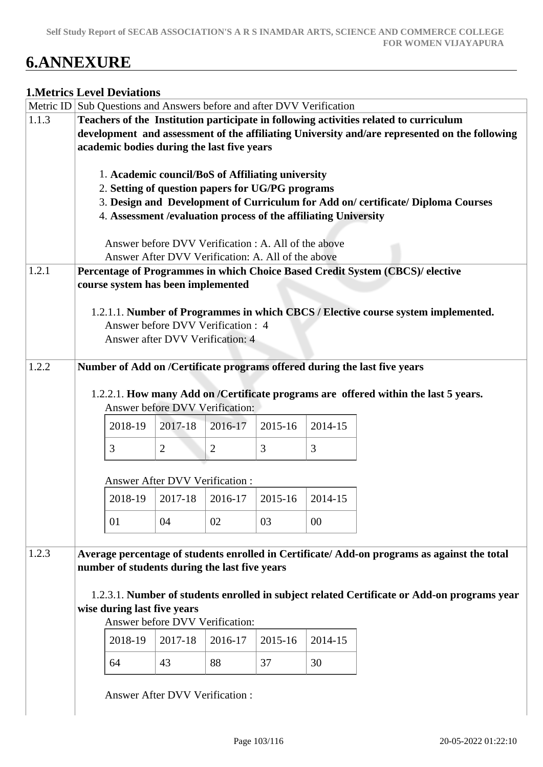# **6.ANNEXURE**

#### **1.Metrics Level Deviations**

|       | Metric ID Sub Questions and Answers before and after DVV Verification                                 |                                                    |         |         |         |                                                                                              |  |  |  |  |
|-------|-------------------------------------------------------------------------------------------------------|----------------------------------------------------|---------|---------|---------|----------------------------------------------------------------------------------------------|--|--|--|--|
| 1.1.3 | Teachers of the Institution participate in following activities related to curriculum                 |                                                    |         |         |         |                                                                                              |  |  |  |  |
|       | development and assessment of the affiliating University and/are represented on the following         |                                                    |         |         |         |                                                                                              |  |  |  |  |
|       | academic bodies during the last five years                                                            |                                                    |         |         |         |                                                                                              |  |  |  |  |
|       |                                                                                                       |                                                    |         |         |         |                                                                                              |  |  |  |  |
|       |                                                                                                       |                                                    |         |         |         |                                                                                              |  |  |  |  |
|       | 1. Academic council/BoS of Affiliating university<br>2. Setting of question papers for UG/PG programs |                                                    |         |         |         |                                                                                              |  |  |  |  |
|       | 3. Design and Development of Curriculum for Add on/certificate/Diploma Courses                        |                                                    |         |         |         |                                                                                              |  |  |  |  |
|       | 4. Assessment / evaluation process of the affiliating University                                      |                                                    |         |         |         |                                                                                              |  |  |  |  |
|       |                                                                                                       |                                                    |         |         |         |                                                                                              |  |  |  |  |
|       | Answer before DVV Verification : A. All of the above                                                  |                                                    |         |         |         |                                                                                              |  |  |  |  |
|       |                                                                                                       |                                                    |         |         |         |                                                                                              |  |  |  |  |
|       |                                                                                                       | Answer After DVV Verification: A. All of the above |         |         |         |                                                                                              |  |  |  |  |
| 1.2.1 |                                                                                                       |                                                    |         |         |         | Percentage of Programmes in which Choice Based Credit System (CBCS)/ elective                |  |  |  |  |
|       | course system has been implemented                                                                    |                                                    |         |         |         |                                                                                              |  |  |  |  |
|       |                                                                                                       |                                                    |         |         |         |                                                                                              |  |  |  |  |
|       |                                                                                                       |                                                    |         |         |         | 1.2.1.1. Number of Programmes in which CBCS / Elective course system implemented.            |  |  |  |  |
|       |                                                                                                       | Answer before DVV Verification : 4                 |         |         |         |                                                                                              |  |  |  |  |
|       |                                                                                                       | Answer after DVV Verification: 4                   |         |         |         |                                                                                              |  |  |  |  |
|       |                                                                                                       |                                                    |         |         |         |                                                                                              |  |  |  |  |
| 1.2.2 | Number of Add on /Certificate programs offered during the last five years                             |                                                    |         |         |         |                                                                                              |  |  |  |  |
|       |                                                                                                       |                                                    |         |         |         |                                                                                              |  |  |  |  |
|       |                                                                                                       |                                                    |         |         |         | 1.2.2.1. How many Add on /Certificate programs are offered within the last 5 years.          |  |  |  |  |
|       | Answer before DVV Verification:                                                                       |                                                    |         |         |         |                                                                                              |  |  |  |  |
|       |                                                                                                       |                                                    |         |         |         |                                                                                              |  |  |  |  |
|       | 2014-15<br>2018-19<br>2017-18<br>2016-17<br>2015-16                                                   |                                                    |         |         |         |                                                                                              |  |  |  |  |
|       | 3<br>3<br>$\overline{2}$<br>3<br>$\overline{2}$                                                       |                                                    |         |         |         |                                                                                              |  |  |  |  |
|       |                                                                                                       |                                                    |         |         |         |                                                                                              |  |  |  |  |
|       |                                                                                                       |                                                    |         |         |         |                                                                                              |  |  |  |  |
|       |                                                                                                       | <b>Answer After DVV Verification:</b>              |         |         |         |                                                                                              |  |  |  |  |
|       | 2018-19                                                                                               | 2017-18                                            | 2016-17 | 2015-16 | 2014-15 |                                                                                              |  |  |  |  |
|       |                                                                                                       |                                                    |         |         |         |                                                                                              |  |  |  |  |
|       | 01                                                                                                    | 04                                                 | 02      | 03      | $00\,$  |                                                                                              |  |  |  |  |
|       |                                                                                                       |                                                    |         |         |         |                                                                                              |  |  |  |  |
| 1.2.3 |                                                                                                       |                                                    |         |         |         | Average percentage of students enrolled in Certificate/ Add-on programs as against the total |  |  |  |  |
|       | number of students during the last five years                                                         |                                                    |         |         |         |                                                                                              |  |  |  |  |
|       |                                                                                                       |                                                    |         |         |         |                                                                                              |  |  |  |  |
|       |                                                                                                       |                                                    |         |         |         | 1.2.3.1. Number of students enrolled in subject related Certificate or Add-on programs year  |  |  |  |  |
|       | wise during last five years                                                                           |                                                    |         |         |         |                                                                                              |  |  |  |  |
|       |                                                                                                       | Answer before DVV Verification:                    |         |         |         |                                                                                              |  |  |  |  |
|       |                                                                                                       |                                                    |         |         |         |                                                                                              |  |  |  |  |
|       | 2018-19                                                                                               | 2017-18                                            | 2016-17 | 2015-16 | 2014-15 |                                                                                              |  |  |  |  |
|       | 64                                                                                                    | 43                                                 | 88      | 37      | 30      |                                                                                              |  |  |  |  |
|       |                                                                                                       |                                                    |         |         |         |                                                                                              |  |  |  |  |
|       |                                                                                                       |                                                    |         |         |         |                                                                                              |  |  |  |  |
|       |                                                                                                       | <b>Answer After DVV Verification:</b>              |         |         |         |                                                                                              |  |  |  |  |
|       |                                                                                                       |                                                    |         |         |         |                                                                                              |  |  |  |  |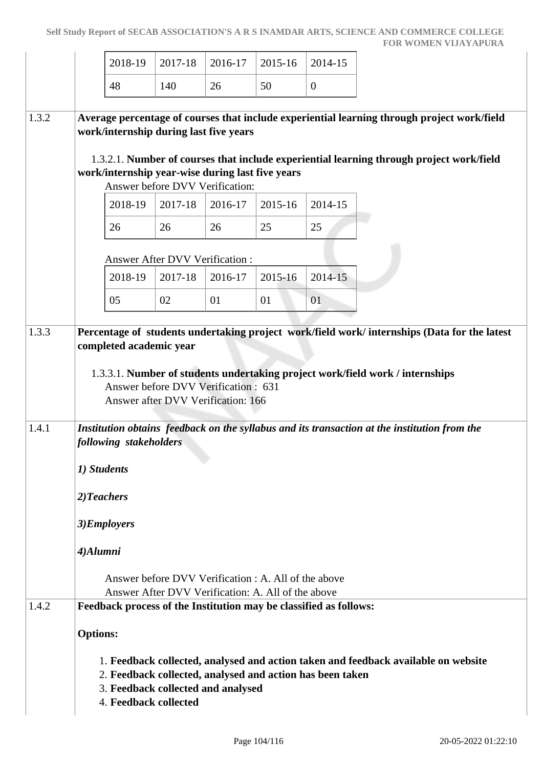|       |                                                                                | 2018-19 | 2017-18                                | 2016-17                                                                                                    | 2015-16 | 2014-15                                                           |                                                                                                                                                                                         |
|-------|--------------------------------------------------------------------------------|---------|----------------------------------------|------------------------------------------------------------------------------------------------------------|---------|-------------------------------------------------------------------|-----------------------------------------------------------------------------------------------------------------------------------------------------------------------------------------|
|       | 48                                                                             |         | 140                                    | 26                                                                                                         | 50      | $\mathbf{0}$                                                      |                                                                                                                                                                                         |
| 1.3.2 |                                                                                |         | work/internship during last five years | work/internship year-wise during last five years                                                           |         |                                                                   | Average percentage of courses that include experiential learning through project work/field<br>1.3.2.1. Number of courses that include experiential learning through project work/field |
|       |                                                                                | 2018-19 | 2017-18                                | Answer before DVV Verification:<br>2016-17                                                                 | 2015-16 | 2014-15                                                           |                                                                                                                                                                                         |
|       | 26                                                                             |         | 26                                     | 26                                                                                                         | 25      | 25                                                                |                                                                                                                                                                                         |
|       |                                                                                |         | <b>Answer After DVV Verification:</b>  |                                                                                                            |         |                                                                   |                                                                                                                                                                                         |
|       |                                                                                | 2018-19 | 2017-18                                | 2016-17                                                                                                    | 2015-16 | 2014-15                                                           |                                                                                                                                                                                         |
|       | 05                                                                             |         | 02                                     | 01                                                                                                         | 01      | 01                                                                |                                                                                                                                                                                         |
|       |                                                                                |         | completed academic year                | Answer before DVV Verification: 631<br>Answer after DVV Verification: 166                                  |         |                                                                   | 1.3.3.1. Number of students undertaking project work/field work / internships                                                                                                           |
| 1.4.1 | following stakeholders<br>1) Students<br>2)Teachers<br>3)Employers<br>4)Alumni |         |                                        | Answer before DVV Verification : A. All of the above<br>Answer After DVV Verification: A. All of the above |         |                                                                   | Institution obtains feedback on the syllabus and its transaction at the institution from the                                                                                            |
| 1.4.2 |                                                                                |         |                                        |                                                                                                            |         | Feedback process of the Institution may be classified as follows: |                                                                                                                                                                                         |
|       | <b>Options:</b>                                                                |         | 4. Feedback collected                  | 3. Feedback collected and analysed                                                                         |         | 2. Feedback collected, analysed and action has been taken         | 1. Feedback collected, analysed and action taken and feedback available on website                                                                                                      |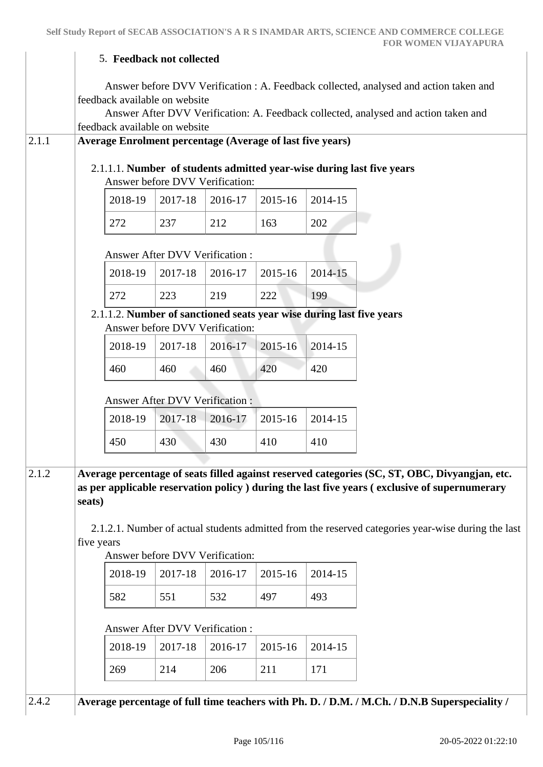|       |            |                                                                  | 5. Feedback not collected                                      |         |         |                                                                      |                                                                                                                                                                              |
|-------|------------|------------------------------------------------------------------|----------------------------------------------------------------|---------|---------|----------------------------------------------------------------------|------------------------------------------------------------------------------------------------------------------------------------------------------------------------------|
|       |            |                                                                  | feedback available on website<br>feedback available on website |         |         |                                                                      | Answer before DVV Verification : A. Feedback collected, analysed and action taken and<br>Answer After DVV Verification: A. Feedback collected, analysed and action taken and |
| 2.1.1 |            | <b>Average Enrolment percentage (Average of last five years)</b> |                                                                |         |         |                                                                      |                                                                                                                                                                              |
|       |            |                                                                  | Answer before DVV Verification:                                |         |         |                                                                      | 2.1.1.1. Number of students admitted year-wise during last five years                                                                                                        |
|       |            | 2018-19                                                          | 2017-18                                                        | 2016-17 | 2015-16 | 2014-15                                                              |                                                                                                                                                                              |
|       |            | 272                                                              | 237                                                            | 212     | 163     | 202                                                                  |                                                                                                                                                                              |
|       |            |                                                                  | <b>Answer After DVV Verification:</b>                          |         |         |                                                                      |                                                                                                                                                                              |
|       |            | 2018-19                                                          | 2017-18                                                        | 2016-17 | 2015-16 | 2014-15                                                              |                                                                                                                                                                              |
|       |            | 272                                                              | 223                                                            | 219     | 222     | 199                                                                  |                                                                                                                                                                              |
|       |            |                                                                  | Answer before DVV Verification:                                |         |         | 2.1.1.2. Number of sanctioned seats year wise during last five years |                                                                                                                                                                              |
|       |            | 2018-19                                                          | 2017-18                                                        | 2016-17 | 2015-16 | 2014-15                                                              |                                                                                                                                                                              |
|       |            | 460                                                              | 460                                                            | 460     | 420     | 420                                                                  |                                                                                                                                                                              |
|       |            |                                                                  | <b>Answer After DVV Verification:</b>                          |         |         |                                                                      |                                                                                                                                                                              |
|       |            | 2018-19                                                          | 2017-18                                                        | 2016-17 | 2015-16 | 2014-15                                                              |                                                                                                                                                                              |
|       |            | 450                                                              | 430                                                            | 430     | 410     | 410                                                                  |                                                                                                                                                                              |
| 2.1.2 |            |                                                                  |                                                                |         |         |                                                                      | Average percentage of seats filled against reserved categories (SC, ST, OBC, Divyangjan, etc.                                                                                |
|       |            |                                                                  |                                                                |         |         |                                                                      | as per applicable reservation policy ) during the last five years (exclusive of supernumerary                                                                                |
|       | seats)     |                                                                  |                                                                |         |         |                                                                      |                                                                                                                                                                              |
|       |            |                                                                  |                                                                |         |         |                                                                      | 2.1.2.1. Number of actual students admitted from the reserved categories year-wise during the last                                                                           |
|       | five years |                                                                  | Answer before DVV Verification:                                |         |         |                                                                      |                                                                                                                                                                              |
|       |            | 2018-19                                                          | 2017-18                                                        | 2016-17 | 2015-16 | 2014-15                                                              |                                                                                                                                                                              |
|       |            | 582                                                              | 551                                                            | 532     | 497     | 493                                                                  |                                                                                                                                                                              |
|       |            |                                                                  | Answer After DVV Verification:                                 |         |         |                                                                      |                                                                                                                                                                              |
|       |            | 2018-19                                                          | 2017-18                                                        | 2016-17 | 2015-16 | 2014-15                                                              |                                                                                                                                                                              |
|       |            | 269                                                              | 214                                                            | 206     | 211     | 171                                                                  |                                                                                                                                                                              |
|       |            |                                                                  |                                                                |         |         |                                                                      |                                                                                                                                                                              |
| 2.4.2 |            |                                                                  |                                                                |         |         |                                                                      | Average percentage of full time teachers with Ph. D. / D.M. / M.Ch. / D.N.B Superspeciality /                                                                                |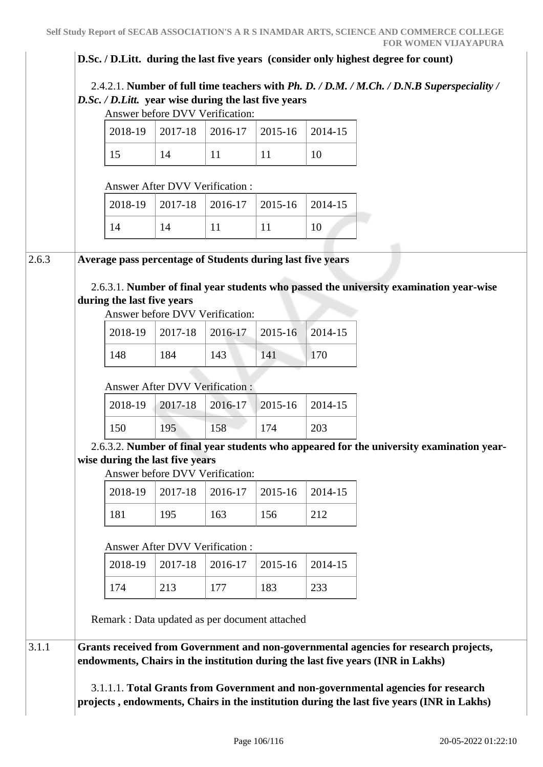#### **D.Sc. / D.Litt. during the last five years (consider only highest degree for count)**

 2.4.2.1. **Number of full time teachers with** *Ph. D. / D.M. / M.Ch. / D.N.B Superspeciality / D.Sc. / D.Litt.* **year wise during the last five years**

Answer before DVV Verification:

|  | $2018-19$   2017-18   2016-17   2015-16   2014-15 |  |  |
|--|---------------------------------------------------|--|--|
|  |                                                   |  |  |

Answer After DVV Verification :

|  | $2018-19$   2017-18   2016-17   2015-16   2014-15 |  |  |
|--|---------------------------------------------------|--|--|
|  |                                                   |  |  |

#### 2.6.3 **Average pass percentage of Students during last five years**

 2.6.3.1. **Number of final year students who passed the university examination year-wise during the last five years**

Answer before DVV Verification:

|     |     | 2018-19   2017-18   2016-17   2015-16   2014-15 |     |     |
|-----|-----|-------------------------------------------------|-----|-----|
| 148 | 184 | 143                                             | 141 | 170 |

#### Answer After DVV Verification :

| $\mid$ 2018-19 $\mid$ 2017-18 $\mid$ 2016-17 $\mid$ 2015-16 $\mid$ 2014-15 |     |     |     |     |
|----------------------------------------------------------------------------|-----|-----|-----|-----|
| 150                                                                        | 195 | 158 | 174 | 203 |

 2.6.3.2. **Number of final year students who appeared for the university examination yearwise during the last five years**

Answer before DVV Verification:

|     |     | $2018-19$   2017-18   2016-17   2015-16   2014-15 |     |  |
|-----|-----|---------------------------------------------------|-----|--|
| 181 | 195 | 163                                               | 156 |  |

#### Answer After DVV Verification :

|  |     | $2018-19$   2017-18   2016-17   2015-16   2014-15 |     |     |
|--|-----|---------------------------------------------------|-----|-----|
|  | 213 | 177                                               | 183 | 233 |

Remark : Data updated as per document attached

3.1.1 **Grants received from Government and non-governmental agencies for research projects, endowments, Chairs in the institution during the last five years (INR in Lakhs)** 

> 3.1.1.1. **Total Grants from Government and non-governmental agencies for research projects , endowments, Chairs in the institution during the last five years (INR in Lakhs)**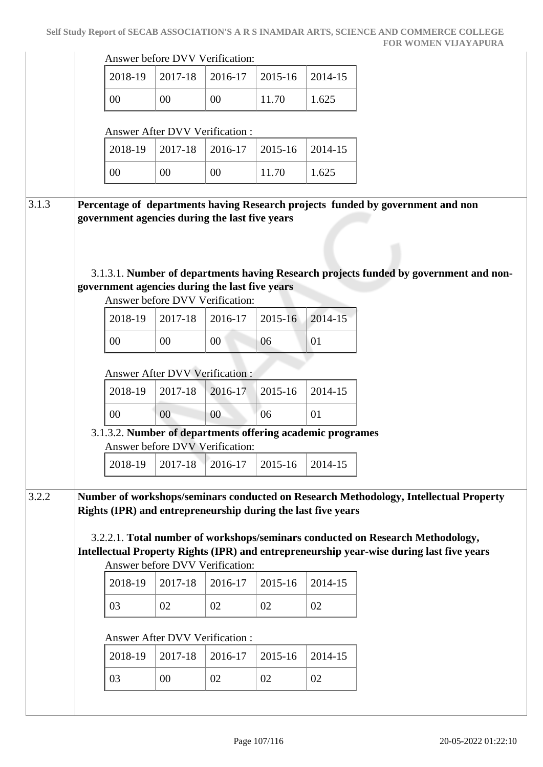|                                                                                          |                                       | Answer before DVV Verification: |         |         |
|------------------------------------------------------------------------------------------|---------------------------------------|---------------------------------|---------|---------|
| 2018-19                                                                                  | 2017-18                               | 2016-17                         | 2015-16 | 2014-15 |
| 00                                                                                       | 00                                    | 00                              | 11.70   | 1.625   |
|                                                                                          | <b>Answer After DVV Verification:</b> |                                 |         |         |
| 2018-19                                                                                  | 2017-18                               | 2016-17                         | 2015-16 | 2014-15 |
| 00                                                                                       | 00                                    | 00                              | 11.70   | 1.625   |
| Percentage of departments having Research projects funded by government and non          |                                       |                                 |         |         |
| government agencies during the last five years                                           |                                       |                                 |         |         |
|                                                                                          |                                       |                                 |         |         |
|                                                                                          |                                       |                                 |         |         |
|                                                                                          |                                       |                                 |         |         |
| 3.1.3.1. Number of departments having Research projects funded by government and non-    |                                       |                                 |         |         |
| government agencies during the last five years                                           |                                       |                                 |         |         |
|                                                                                          | Answer before DVV Verification:       |                                 |         |         |
| 2018-19                                                                                  | 2017-18                               | 2016-17                         | 2015-16 | 2014-15 |
| 00                                                                                       | 00                                    | 00                              | 06      | 01      |
|                                                                                          |                                       |                                 |         |         |
|                                                                                          | <b>Answer After DVV Verification:</b> |                                 |         |         |
|                                                                                          |                                       |                                 | 2015-16 | 2014-15 |
| 2018-19                                                                                  | 2017-18                               | 2016-17                         |         |         |
| 00                                                                                       | 00                                    | 00                              | 06      | 01      |
| 3.1.3.2. Number of departments offering academic programes                               |                                       |                                 |         |         |
|                                                                                          | Answer before DVV Verification:       |                                 |         |         |
| 2018-19                                                                                  | 2017-18                               | 2016-17                         | 2015-16 | 2014-15 |
|                                                                                          |                                       |                                 |         |         |
| Number of workshops/seminars conducted on Research Methodology, Intellectual Property    |                                       |                                 |         |         |
| Rights (IPR) and entrepreneurship during the last five years                             |                                       |                                 |         |         |
|                                                                                          |                                       |                                 |         |         |
| 3.2.2.1. Total number of workshops/seminars conducted on Research Methodology,           |                                       |                                 |         |         |
| Intellectual Property Rights (IPR) and entrepreneurship year-wise during last five years |                                       |                                 |         |         |
|                                                                                          | Answer before DVV Verification:       |                                 |         |         |
| 2018-19                                                                                  | 2017-18                               | 2016-17                         | 2015-16 | 2014-15 |
| 03                                                                                       | 02                                    | 02                              | 02      | 02      |
|                                                                                          |                                       |                                 |         |         |
|                                                                                          | <b>Answer After DVV Verification:</b> |                                 |         |         |
| 2018-19                                                                                  | 2017-18                               | 2016-17                         | 2015-16 | 2014-15 |
| 03                                                                                       | 00                                    | 02                              | 02      | 02      |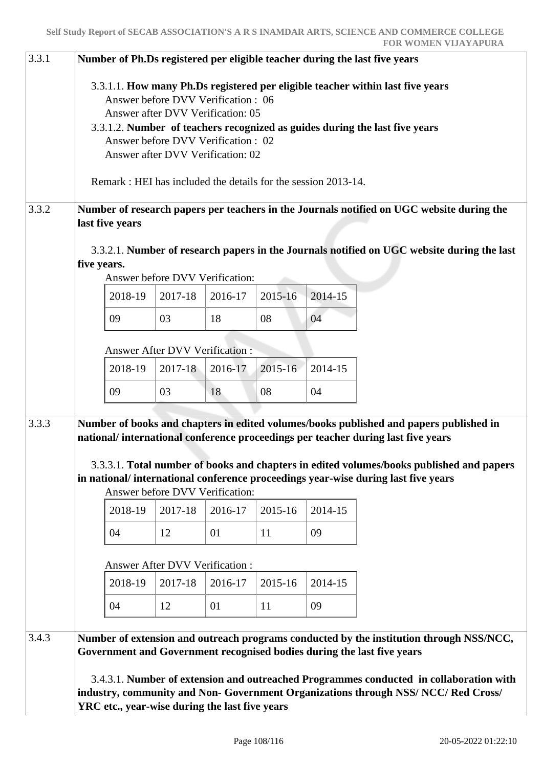| 3.3.1 | Number of Ph.Ds registered per eligible teacher during the last five years<br>3.3.1.1. How many Ph.Ds registered per eligible teacher within last five years<br>Answer before DVV Verification: 06<br>Answer after DVV Verification: 05<br>3.3.1.2. Number of teachers recognized as guides during the last five years<br>Answer before DVV Verification : 02<br>Answer after DVV Verification: 02 |                                                                                                              |         |                                            |                                                               |         |                                                                                                                                                                                                                                                                                                                                                             |  |  |  |  |
|-------|----------------------------------------------------------------------------------------------------------------------------------------------------------------------------------------------------------------------------------------------------------------------------------------------------------------------------------------------------------------------------------------------------|--------------------------------------------------------------------------------------------------------------|---------|--------------------------------------------|---------------------------------------------------------------|---------|-------------------------------------------------------------------------------------------------------------------------------------------------------------------------------------------------------------------------------------------------------------------------------------------------------------------------------------------------------------|--|--|--|--|
|       |                                                                                                                                                                                                                                                                                                                                                                                                    |                                                                                                              |         |                                            |                                                               |         |                                                                                                                                                                                                                                                                                                                                                             |  |  |  |  |
|       |                                                                                                                                                                                                                                                                                                                                                                                                    |                                                                                                              |         |                                            | Remark: HEI has included the details for the session 2013-14. |         |                                                                                                                                                                                                                                                                                                                                                             |  |  |  |  |
| 3.3.2 |                                                                                                                                                                                                                                                                                                                                                                                                    | Number of research papers per teachers in the Journals notified on UGC website during the<br>last five years |         |                                            |                                                               |         |                                                                                                                                                                                                                                                                                                                                                             |  |  |  |  |
|       | 3.3.2.1. Number of research papers in the Journals notified on UGC website during the last<br>five years.<br>Answer before DVV Verification:                                                                                                                                                                                                                                                       |                                                                                                              |         |                                            |                                                               |         |                                                                                                                                                                                                                                                                                                                                                             |  |  |  |  |
|       |                                                                                                                                                                                                                                                                                                                                                                                                    | 2018-19                                                                                                      | 2017-18 | 2016-17                                    | 2015-16                                                       | 2014-15 |                                                                                                                                                                                                                                                                                                                                                             |  |  |  |  |
|       |                                                                                                                                                                                                                                                                                                                                                                                                    | 09                                                                                                           | 03      | 18                                         | 08                                                            | 04      |                                                                                                                                                                                                                                                                                                                                                             |  |  |  |  |
|       | <b>Answer After DVV Verification:</b>                                                                                                                                                                                                                                                                                                                                                              |                                                                                                              |         |                                            |                                                               |         |                                                                                                                                                                                                                                                                                                                                                             |  |  |  |  |
|       |                                                                                                                                                                                                                                                                                                                                                                                                    | 2018-19                                                                                                      | 2017-18 | 2016-17                                    | 2015-16                                                       | 2014-15 |                                                                                                                                                                                                                                                                                                                                                             |  |  |  |  |
|       |                                                                                                                                                                                                                                                                                                                                                                                                    | 09                                                                                                           | 03      | 18                                         | 08                                                            | 04      |                                                                                                                                                                                                                                                                                                                                                             |  |  |  |  |
| 3.3.3 |                                                                                                                                                                                                                                                                                                                                                                                                    |                                                                                                              |         |                                            |                                                               |         | Number of books and chapters in edited volumes/books published and papers published in<br>national/international conference proceedings per teacher during last five years<br>3.3.3.1. Total number of books and chapters in edited volumes/books published and papers<br>in national/international conference proceedings year-wise during last five years |  |  |  |  |
|       |                                                                                                                                                                                                                                                                                                                                                                                                    | 2018-19                                                                                                      | 2017-18 | Answer before DVV Verification:<br>2016-17 | 2015-16                                                       | 2014-15 |                                                                                                                                                                                                                                                                                                                                                             |  |  |  |  |
|       |                                                                                                                                                                                                                                                                                                                                                                                                    | 04                                                                                                           | 12      | 01                                         | 11                                                            | 09      |                                                                                                                                                                                                                                                                                                                                                             |  |  |  |  |
|       | <b>Answer After DVV Verification:</b>                                                                                                                                                                                                                                                                                                                                                              |                                                                                                              |         |                                            |                                                               |         |                                                                                                                                                                                                                                                                                                                                                             |  |  |  |  |
|       |                                                                                                                                                                                                                                                                                                                                                                                                    | 2018-19                                                                                                      | 2017-18 | 2016-17                                    | 2015-16                                                       | 2014-15 |                                                                                                                                                                                                                                                                                                                                                             |  |  |  |  |
|       |                                                                                                                                                                                                                                                                                                                                                                                                    | 04                                                                                                           | 12      | 01                                         | 11                                                            | 09      |                                                                                                                                                                                                                                                                                                                                                             |  |  |  |  |
| 3.4.3 |                                                                                                                                                                                                                                                                                                                                                                                                    |                                                                                                              |         |                                            |                                                               |         | Number of extension and outreach programs conducted by the institution through NSS/NCC,<br>Government and Government recognised bodies during the last five years<br>3.4.3.1. Number of extension and outreached Programmes conducted in collaboration with<br>industry, community and Non- Government Organizations through NSS/NCC/Red Cross/             |  |  |  |  |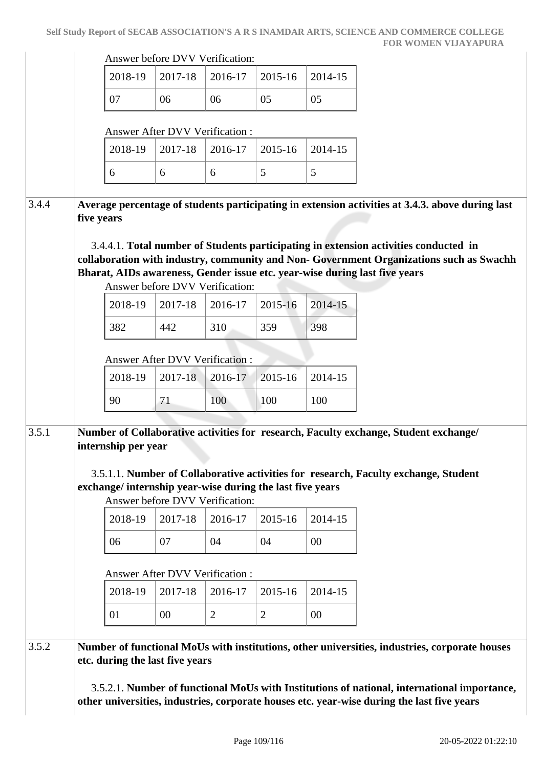|       |            | Answer before DVV Verification:                                                                                                                                                                                                                                                                                                                                   |                                       |                |                |         |  |  |  |  |
|-------|------------|-------------------------------------------------------------------------------------------------------------------------------------------------------------------------------------------------------------------------------------------------------------------------------------------------------------------------------------------------------------------|---------------------------------------|----------------|----------------|---------|--|--|--|--|
|       |            | 2018-19                                                                                                                                                                                                                                                                                                                                                           | 2017-18                               | 2016-17        | 2015-16        | 2014-15 |  |  |  |  |
|       |            | 07                                                                                                                                                                                                                                                                                                                                                                | 06                                    | 06             | 05             | 05      |  |  |  |  |
|       |            |                                                                                                                                                                                                                                                                                                                                                                   | <b>Answer After DVV Verification:</b> |                |                |         |  |  |  |  |
|       |            | 2018-19                                                                                                                                                                                                                                                                                                                                                           | 2017-18                               | 2016-17        | 2015-16        | 2014-15 |  |  |  |  |
|       |            | 6                                                                                                                                                                                                                                                                                                                                                                 | 6                                     | 6              | 5              | 5       |  |  |  |  |
| 3.4.4 | five years | Average percentage of students participating in extension activities at 3.4.3. above during last<br>3.4.4.1. Total number of Students participating in extension activities conducted in<br>collaboration with industry, community and Non- Government Organizations such as Swachh<br>Bharat, AIDs awareness, Gender issue etc. year-wise during last five years |                                       |                |                |         |  |  |  |  |
|       |            |                                                                                                                                                                                                                                                                                                                                                                   | Answer before DVV Verification:       |                |                |         |  |  |  |  |
|       |            | 2018-19                                                                                                                                                                                                                                                                                                                                                           | 2017-18                               | 2016-17        | 2015-16        | 2014-15 |  |  |  |  |
|       |            | 382                                                                                                                                                                                                                                                                                                                                                               | 442                                   | 310            | 359            | 398     |  |  |  |  |
|       |            | <b>Answer After DVV Verification:</b>                                                                                                                                                                                                                                                                                                                             |                                       |                |                |         |  |  |  |  |
|       |            | 2018-19                                                                                                                                                                                                                                                                                                                                                           | 2017-18                               | 2016-17        | 2015-16        | 2014-15 |  |  |  |  |
|       |            | 90                                                                                                                                                                                                                                                                                                                                                                | 71                                    | 100            | 100            | 100     |  |  |  |  |
| 3.5.1 |            | Number of Collaborative activities for research, Faculty exchange, Student exchange/<br>internship per year<br>3.5.1.1. Number of Collaborative activities for research, Faculty exchange, Student                                                                                                                                                                |                                       |                |                |         |  |  |  |  |
|       |            | exchange/ internship year-wise during the last five years                                                                                                                                                                                                                                                                                                         | Answer before DVV Verification:       |                |                |         |  |  |  |  |
|       |            | 2018-19                                                                                                                                                                                                                                                                                                                                                           | 2017-18                               | 2016-17        | 2015-16        | 2014-15 |  |  |  |  |
|       |            | 06                                                                                                                                                                                                                                                                                                                                                                | 07                                    | 04             | 04             | $00\,$  |  |  |  |  |
|       |            |                                                                                                                                                                                                                                                                                                                                                                   | <b>Answer After DVV Verification:</b> |                |                |         |  |  |  |  |
|       |            | 2018-19                                                                                                                                                                                                                                                                                                                                                           | 2017-18                               | 2016-17        | 2015-16        | 2014-15 |  |  |  |  |
|       |            | 01                                                                                                                                                                                                                                                                                                                                                                | 00                                    | $\overline{2}$ | $\overline{2}$ | $00\,$  |  |  |  |  |
|       |            |                                                                                                                                                                                                                                                                                                                                                                   |                                       |                |                |         |  |  |  |  |
| 3.5.2 |            | Number of functional MoUs with institutions, other universities, industries, corporate houses<br>etc. during the last five years                                                                                                                                                                                                                                  |                                       |                |                |         |  |  |  |  |
|       |            | 3.5.2.1. Number of functional MoUs with Institutions of national, international importance,<br>other universities, industries, corporate houses etc. year-wise during the last five years                                                                                                                                                                         |                                       |                |                |         |  |  |  |  |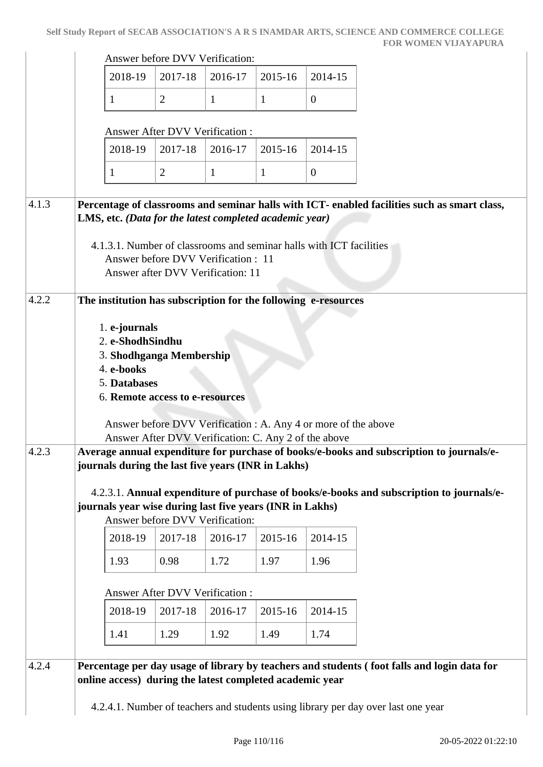|       | Answer before DVV Verification:                                                                                                                                                                                                                                                                           |                                                                                                                                                                                                                                                                                                                 |                                 |              |         |                |                                                                                          |  |  |  |
|-------|-----------------------------------------------------------------------------------------------------------------------------------------------------------------------------------------------------------------------------------------------------------------------------------------------------------|-----------------------------------------------------------------------------------------------------------------------------------------------------------------------------------------------------------------------------------------------------------------------------------------------------------------|---------------------------------|--------------|---------|----------------|------------------------------------------------------------------------------------------|--|--|--|
|       |                                                                                                                                                                                                                                                                                                           | 2018-19                                                                                                                                                                                                                                                                                                         | 2017-18                         | 2016-17      | 2015-16 | 2014-15        |                                                                                          |  |  |  |
|       |                                                                                                                                                                                                                                                                                                           | 1                                                                                                                                                                                                                                                                                                               | $\overline{2}$                  | $\mathbf{1}$ | 1       | $\overline{0}$ |                                                                                          |  |  |  |
|       |                                                                                                                                                                                                                                                                                                           |                                                                                                                                                                                                                                                                                                                 | Answer After DVV Verification : |              |         |                |                                                                                          |  |  |  |
|       |                                                                                                                                                                                                                                                                                                           | 2018-19                                                                                                                                                                                                                                                                                                         | 2017-18                         | 2016-17      | 2015-16 | 2014-15        |                                                                                          |  |  |  |
|       |                                                                                                                                                                                                                                                                                                           | 1                                                                                                                                                                                                                                                                                                               | $\overline{2}$                  | $\mathbf{1}$ | 1       | $\overline{0}$ |                                                                                          |  |  |  |
| 4.1.3 | Percentage of classrooms and seminar halls with ICT- enabled facilities such as smart class,<br>LMS, etc. (Data for the latest completed academic year)<br>4.1.3.1. Number of classrooms and seminar halls with ICT facilities<br>Answer before DVV Verification: 11<br>Answer after DVV Verification: 11 |                                                                                                                                                                                                                                                                                                                 |                                 |              |         |                |                                                                                          |  |  |  |
| 4.2.2 |                                                                                                                                                                                                                                                                                                           | The institution has subscription for the following e-resources                                                                                                                                                                                                                                                  |                                 |              |         |                |                                                                                          |  |  |  |
| 4.2.3 |                                                                                                                                                                                                                                                                                                           | 3. Shodhganga Membership<br>4. e-books<br>5. Databases<br>6. Remote access to e-resources<br>Answer before DVV Verification : A. Any 4 or more of the above<br>Answer After DVV Verification: C. Any 2 of the above<br>Average annual expenditure for purchase of books/e-books and subscription to journals/e- |                                 |              |         |                |                                                                                          |  |  |  |
|       |                                                                                                                                                                                                                                                                                                           | journals during the last five years (INR in Lakhs)<br>journals year wise during last five years (INR in Lakhs)                                                                                                                                                                                                  | Answer before DVV Verification: |              |         |                | 4.2.3.1. Annual expenditure of purchase of books/e-books and subscription to journals/e- |  |  |  |
|       |                                                                                                                                                                                                                                                                                                           | 2018-19                                                                                                                                                                                                                                                                                                         | 2017-18                         | 2016-17      | 2015-16 | 2014-15        |                                                                                          |  |  |  |
|       |                                                                                                                                                                                                                                                                                                           | 1.93                                                                                                                                                                                                                                                                                                            | 0.98                            | 1.72         | 1.97    | 1.96           |                                                                                          |  |  |  |
|       |                                                                                                                                                                                                                                                                                                           | Answer After DVV Verification :                                                                                                                                                                                                                                                                                 |                                 |              |         |                |                                                                                          |  |  |  |
|       |                                                                                                                                                                                                                                                                                                           | 2018-19                                                                                                                                                                                                                                                                                                         | 2017-18                         | 2016-17      | 2015-16 | 2014-15        |                                                                                          |  |  |  |
|       |                                                                                                                                                                                                                                                                                                           | 1.41                                                                                                                                                                                                                                                                                                            | 1.29                            | 1.92         | 1.49    | 1.74           |                                                                                          |  |  |  |
| 4.2.4 | Percentage per day usage of library by teachers and students (foot falls and login data for                                                                                                                                                                                                               |                                                                                                                                                                                                                                                                                                                 |                                 |              |         |                |                                                                                          |  |  |  |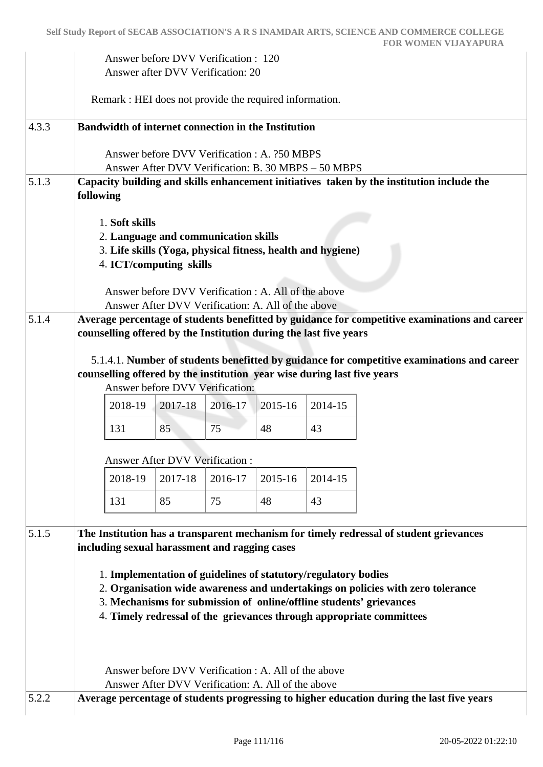|       | Answer before DVV Verification : 120<br>Answer after DVV Verification: 20                                                                                                                                                                                                                                                                                                                                                                                                                                                                                 |                                                         |         |         |         |                                                                                           |  |  |  |  |
|-------|-----------------------------------------------------------------------------------------------------------------------------------------------------------------------------------------------------------------------------------------------------------------------------------------------------------------------------------------------------------------------------------------------------------------------------------------------------------------------------------------------------------------------------------------------------------|---------------------------------------------------------|---------|---------|---------|-------------------------------------------------------------------------------------------|--|--|--|--|
|       |                                                                                                                                                                                                                                                                                                                                                                                                                                                                                                                                                           | Remark : HEI does not provide the required information. |         |         |         |                                                                                           |  |  |  |  |
| 4.3.3 | <b>Bandwidth of internet connection in the Institution</b>                                                                                                                                                                                                                                                                                                                                                                                                                                                                                                |                                                         |         |         |         |                                                                                           |  |  |  |  |
|       | Answer before DVV Verification: A. 250 MBPS<br>Answer After DVV Verification: B. 30 MBPS – 50 MBPS                                                                                                                                                                                                                                                                                                                                                                                                                                                        |                                                         |         |         |         |                                                                                           |  |  |  |  |
| 5.1.3 | following                                                                                                                                                                                                                                                                                                                                                                                                                                                                                                                                                 |                                                         |         |         |         | Capacity building and skills enhancement initiatives taken by the institution include the |  |  |  |  |
|       | 1. Soft skills<br>2. Language and communication skills<br>3. Life skills (Yoga, physical fitness, health and hygiene)<br>4. ICT/computing skills                                                                                                                                                                                                                                                                                                                                                                                                          |                                                         |         |         |         |                                                                                           |  |  |  |  |
|       | Answer before DVV Verification : A. All of the above<br>Answer After DVV Verification: A. All of the above                                                                                                                                                                                                                                                                                                                                                                                                                                                |                                                         |         |         |         |                                                                                           |  |  |  |  |
| 5.1.4 | Average percentage of students benefitted by guidance for competitive examinations and career<br>counselling offered by the Institution during the last five years                                                                                                                                                                                                                                                                                                                                                                                        |                                                         |         |         |         |                                                                                           |  |  |  |  |
|       | 5.1.4.1. Number of students benefitted by guidance for competitive examinations and career<br>counselling offered by the institution year wise during last five years<br>Answer before DVV Verification:                                                                                                                                                                                                                                                                                                                                                  |                                                         |         |         |         |                                                                                           |  |  |  |  |
|       | 2018-19                                                                                                                                                                                                                                                                                                                                                                                                                                                                                                                                                   | 2017-18                                                 | 2016-17 | 2015-16 | 2014-15 |                                                                                           |  |  |  |  |
|       | 131                                                                                                                                                                                                                                                                                                                                                                                                                                                                                                                                                       | 85                                                      | 75      | 48      | 43      |                                                                                           |  |  |  |  |
|       | <b>Answer After DVV Verification:</b>                                                                                                                                                                                                                                                                                                                                                                                                                                                                                                                     |                                                         |         |         |         |                                                                                           |  |  |  |  |
|       | 2018-19                                                                                                                                                                                                                                                                                                                                                                                                                                                                                                                                                   | 2017-18                                                 | 2016-17 | 2015-16 | 2014-15 |                                                                                           |  |  |  |  |
|       | 131                                                                                                                                                                                                                                                                                                                                                                                                                                                                                                                                                       | 85                                                      | 75      | 48      | 43      |                                                                                           |  |  |  |  |
| 5.1.5 | The Institution has a transparent mechanism for timely redressal of student grievances<br>including sexual harassment and ragging cases<br>1. Implementation of guidelines of statutory/regulatory bodies<br>2. Organisation wide awareness and undertakings on policies with zero tolerance<br>3. Mechanisms for submission of online/offline students' grievances<br>4. Timely redressal of the grievances through appropriate committees<br>Answer before DVV Verification : A. All of the above<br>Answer After DVV Verification: A. All of the above |                                                         |         |         |         |                                                                                           |  |  |  |  |
| 5.2.2 |                                                                                                                                                                                                                                                                                                                                                                                                                                                                                                                                                           |                                                         |         |         |         | Average percentage of students progressing to higher education during the last five years |  |  |  |  |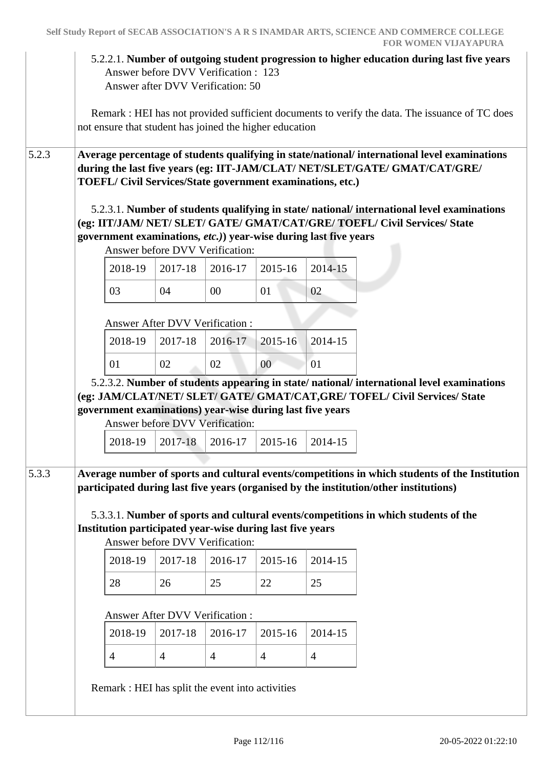5.2.2.1. **Number of outgoing student progression to higher education during last five years**

 Answer before DVV Verification : 123 Answer after DVV Verification: 50 Remark : HEI has not provided sufficient documents to verify the data. The issuance of TC does not ensure that student has joined the higher education 5.2.3 **Average percentage of students qualifying in state/national/ international level examinations during the last five years (eg: IIT-JAM/CLAT/ NET/SLET/GATE/ GMAT/CAT/GRE/ TOEFL/ Civil Services/State government examinations, etc.)** 5.2.3.1. **Number of students qualifying in state/ national/ international level examinations (eg: IIT/JAM/ NET/ SLET/ GATE/ GMAT/CAT/GRE/ TOEFL/ Civil Services/ State government examinations***, etc.)***) year-wise during last five years** Answer before DVV Verification: 2018-19 2017-18 2016-17 2015-16 2014-15 03 | 04 | 00 | 01 | 02 Answer After DVV Verification : 2018-19 2017-18 2016-17 2015-16 2014-15 01 02 02 00 01 5.2.3.2. **Number of students appearing in state/ national/ international level examinations (eg: JAM/CLAT/NET/ SLET/ GATE/ GMAT/CAT,GRE/ TOFEL/ Civil Services/ State government examinations) year-wise during last five years** Answer before DVV Verification: 2018-19 2017-18 2016-17 2015-16 2014-15 5.3.3 **Average number of sports and cultural events/competitions in which students of the Institution participated during last five years (organised by the institution/other institutions)** 5.3.3.1. **Number of sports and cultural events/competitions in which students of the Institution participated year-wise during last five years** Answer before DVV Verification: 2018-19 2017-18 2016-17 2015-16 2014-15 28 26 25 22 25 Answer After DVV Verification : 2018-19 2017-18 2016-17 2015-16 2014-15 4 4 4 4 Remark : HEI has split the event into activities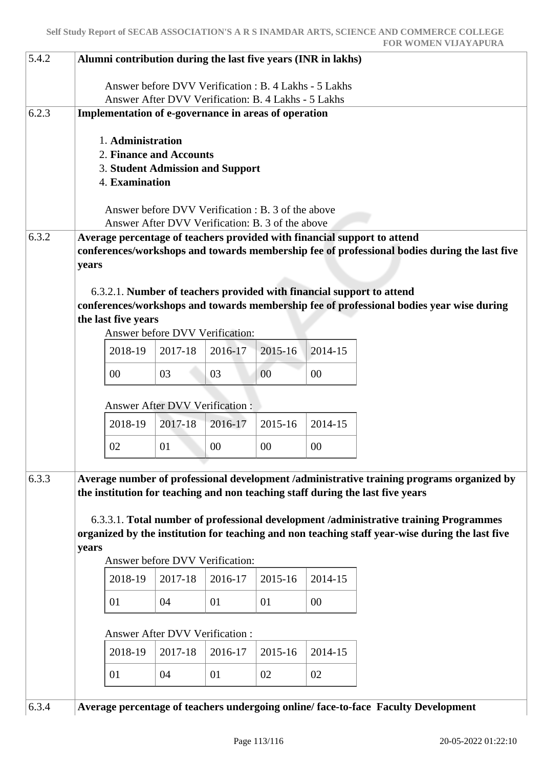| 5.4.2<br>Alumni contribution during the last five years (INR in lakhs) |                                                                                                                                                                                                                                                                      |                                                                                                                                                                                                                                                                                                                                                        |                                                                                                           |         |         |         |                                                                                   |  |  |  |  |
|------------------------------------------------------------------------|----------------------------------------------------------------------------------------------------------------------------------------------------------------------------------------------------------------------------------------------------------------------|--------------------------------------------------------------------------------------------------------------------------------------------------------------------------------------------------------------------------------------------------------------------------------------------------------------------------------------------------------|-----------------------------------------------------------------------------------------------------------|---------|---------|---------|-----------------------------------------------------------------------------------|--|--|--|--|
|                                                                        | Answer before DVV Verification : B. 4 Lakhs - 5 Lakhs<br>Answer After DVV Verification: B. 4 Lakhs - 5 Lakhs                                                                                                                                                         |                                                                                                                                                                                                                                                                                                                                                        |                                                                                                           |         |         |         |                                                                                   |  |  |  |  |
| 6.2.3                                                                  | Implementation of e-governance in areas of operation                                                                                                                                                                                                                 |                                                                                                                                                                                                                                                                                                                                                        |                                                                                                           |         |         |         |                                                                                   |  |  |  |  |
|                                                                        |                                                                                                                                                                                                                                                                      |                                                                                                                                                                                                                                                                                                                                                        | 1. Administration<br>2. Finance and Accounts<br><b>3. Student Admission and Support</b><br>4. Examination |         |         |         |                                                                                   |  |  |  |  |
|                                                                        |                                                                                                                                                                                                                                                                      |                                                                                                                                                                                                                                                                                                                                                        | Answer before DVV Verification : B. 3 of the above                                                        |         |         |         |                                                                                   |  |  |  |  |
|                                                                        |                                                                                                                                                                                                                                                                      |                                                                                                                                                                                                                                                                                                                                                        | Answer After DVV Verification: B. 3 of the above                                                          |         |         |         |                                                                                   |  |  |  |  |
| 6.3.2                                                                  |                                                                                                                                                                                                                                                                      | Average percentage of teachers provided with financial support to attend<br>conferences/workshops and towards membership fee of professional bodies during the last five<br>years<br>6.3.2.1. Number of teachers provided with financial support to attend<br>conferences/workshops and towards membership fee of professional bodies year wise during |                                                                                                           |         |         |         |                                                                                   |  |  |  |  |
|                                                                        |                                                                                                                                                                                                                                                                      | the last five years                                                                                                                                                                                                                                                                                                                                    |                                                                                                           |         |         |         |                                                                                   |  |  |  |  |
|                                                                        |                                                                                                                                                                                                                                                                      |                                                                                                                                                                                                                                                                                                                                                        | Answer before DVV Verification:                                                                           |         |         |         |                                                                                   |  |  |  |  |
|                                                                        |                                                                                                                                                                                                                                                                      | 2018-19                                                                                                                                                                                                                                                                                                                                                | 2017-18                                                                                                   | 2016-17 | 2015-16 | 2014-15 |                                                                                   |  |  |  |  |
|                                                                        |                                                                                                                                                                                                                                                                      | 00                                                                                                                                                                                                                                                                                                                                                     | 03                                                                                                        | 03      | 00      | 00      |                                                                                   |  |  |  |  |
|                                                                        |                                                                                                                                                                                                                                                                      | <b>Answer After DVV Verification:</b>                                                                                                                                                                                                                                                                                                                  |                                                                                                           |         |         |         |                                                                                   |  |  |  |  |
|                                                                        |                                                                                                                                                                                                                                                                      | 2018-19                                                                                                                                                                                                                                                                                                                                                | 2017-18                                                                                                   | 2016-17 | 2015-16 | 2014-15 |                                                                                   |  |  |  |  |
|                                                                        |                                                                                                                                                                                                                                                                      | 02                                                                                                                                                                                                                                                                                                                                                     | 01                                                                                                        | 00      | 00      | 00      |                                                                                   |  |  |  |  |
| 6.3.3                                                                  | Average number of professional development /administrative training programs organized by<br>the institution for teaching and non teaching staff during the last five years<br>6.3.3.1. Total number of professional development /administrative training Programmes |                                                                                                                                                                                                                                                                                                                                                        |                                                                                                           |         |         |         |                                                                                   |  |  |  |  |
|                                                                        | organized by the institution for teaching and non teaching staff year-wise during the last five<br>years                                                                                                                                                             |                                                                                                                                                                                                                                                                                                                                                        |                                                                                                           |         |         |         |                                                                                   |  |  |  |  |
|                                                                        |                                                                                                                                                                                                                                                                      |                                                                                                                                                                                                                                                                                                                                                        | Answer before DVV Verification:                                                                           |         |         |         |                                                                                   |  |  |  |  |
|                                                                        |                                                                                                                                                                                                                                                                      | 2018-19                                                                                                                                                                                                                                                                                                                                                | 2017-18                                                                                                   | 2016-17 | 2015-16 | 2014-15 |                                                                                   |  |  |  |  |
|                                                                        |                                                                                                                                                                                                                                                                      | 01                                                                                                                                                                                                                                                                                                                                                     | 04                                                                                                        | 01      | 01      | 00      |                                                                                   |  |  |  |  |
|                                                                        |                                                                                                                                                                                                                                                                      |                                                                                                                                                                                                                                                                                                                                                        | <b>Answer After DVV Verification:</b>                                                                     |         |         |         |                                                                                   |  |  |  |  |
|                                                                        |                                                                                                                                                                                                                                                                      | 2018-19                                                                                                                                                                                                                                                                                                                                                | 2017-18                                                                                                   | 2016-17 | 2015-16 | 2014-15 |                                                                                   |  |  |  |  |
|                                                                        |                                                                                                                                                                                                                                                                      | 01                                                                                                                                                                                                                                                                                                                                                     | 04                                                                                                        | 01      | 02      | 02      |                                                                                   |  |  |  |  |
| 6.3.4                                                                  |                                                                                                                                                                                                                                                                      |                                                                                                                                                                                                                                                                                                                                                        |                                                                                                           |         |         |         | Average percentage of teachers undergoing online/face-to-face Faculty Development |  |  |  |  |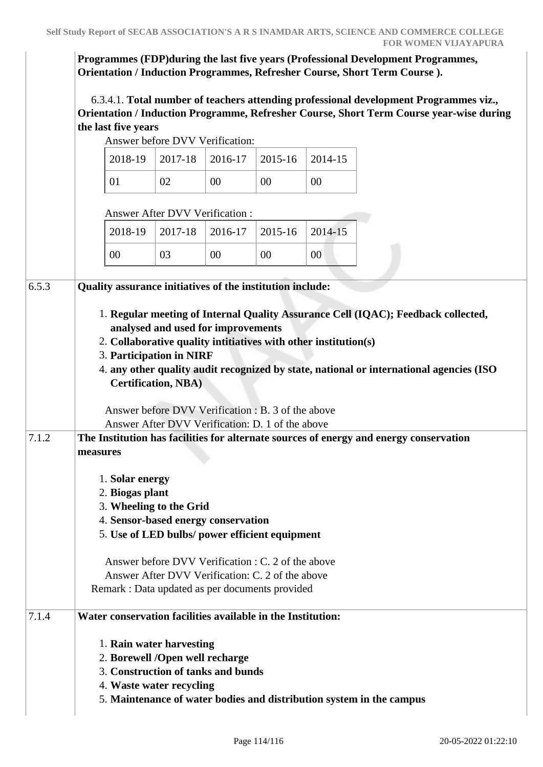**Programmes (FDP)during the last five years (Professional Development Programmes, Orientation / Induction Programmes, Refresher Course, Short Term Course ).**

 6.3.4.1. **Total number of teachers attending professional development Programmes viz., Orientation / Induction Programme, Refresher Course, Short Term Course year-wise during the last five years**

Answer before DVV Verification:

|  |    | $2018-19$   2017-18   2016-17   2015-16   2014-15 |        |        |
|--|----|---------------------------------------------------|--------|--------|
|  | 02 | 00                                                | $00\,$ | $00\,$ |

Answer After DVV Verification :

|    |    | $2018-19$   2017-18   2016-17   2015-16   2014-15 |    |    |
|----|----|---------------------------------------------------|----|----|
| 00 | 03 | 00                                                | 00 | 00 |

| 6.5.3 | Quality assurance initiatives of the institution include:                               |  |  |  |  |  |  |  |  |
|-------|-----------------------------------------------------------------------------------------|--|--|--|--|--|--|--|--|
|       | 1. Regular meeting of Internal Quality Assurance Cell (IQAC); Feedback collected,       |  |  |  |  |  |  |  |  |
|       | analysed and used for improvements                                                      |  |  |  |  |  |  |  |  |
|       | 2. Collaborative quality intitiatives with other institution(s)                         |  |  |  |  |  |  |  |  |
|       | 3. Participation in NIRF                                                                |  |  |  |  |  |  |  |  |
|       | 4. any other quality audit recognized by state, national or international agencies (ISO |  |  |  |  |  |  |  |  |
|       | <b>Certification, NBA)</b>                                                              |  |  |  |  |  |  |  |  |
|       | Answer before DVV Verification : B. 3 of the above                                      |  |  |  |  |  |  |  |  |
|       | Answer After DVV Verification: D. 1 of the above                                        |  |  |  |  |  |  |  |  |
| 7.1.2 | The Institution has facilities for alternate sources of energy and energy conservation  |  |  |  |  |  |  |  |  |
|       | measures                                                                                |  |  |  |  |  |  |  |  |
|       | 1. Solar energy                                                                         |  |  |  |  |  |  |  |  |
|       | 2. Biogas plant                                                                         |  |  |  |  |  |  |  |  |
|       | 3. Wheeling to the Grid                                                                 |  |  |  |  |  |  |  |  |
|       | 4. Sensor-based energy conservation                                                     |  |  |  |  |  |  |  |  |
|       | 5. Use of LED bulbs/ power efficient equipment                                          |  |  |  |  |  |  |  |  |
|       | Answer before DVV Verification : C. 2 of the above                                      |  |  |  |  |  |  |  |  |
|       | Answer After DVV Verification: C. 2 of the above                                        |  |  |  |  |  |  |  |  |
|       | Remark : Data updated as per documents provided                                         |  |  |  |  |  |  |  |  |
| 7.1.4 | Water conservation facilities available in the Institution:                             |  |  |  |  |  |  |  |  |
|       | 1. Rain water harvesting                                                                |  |  |  |  |  |  |  |  |
|       | 2. Borewell /Open well recharge                                                         |  |  |  |  |  |  |  |  |
|       | 3. Construction of tanks and bunds                                                      |  |  |  |  |  |  |  |  |
|       | 4. Waste water recycling                                                                |  |  |  |  |  |  |  |  |
|       | 5. Maintenance of water bodies and distribution system in the campus                    |  |  |  |  |  |  |  |  |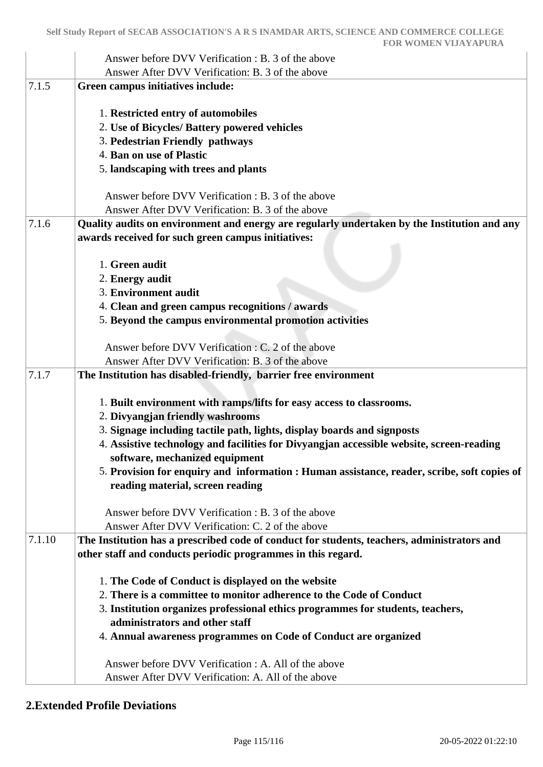|        | Answer before DVV Verification : B. 3 of the above                                           |
|--------|----------------------------------------------------------------------------------------------|
|        | Answer After DVV Verification: B. 3 of the above                                             |
| 7.1.5  | Green campus initiatives include:                                                            |
|        | 1. Restricted entry of automobiles                                                           |
|        | 2. Use of Bicycles/ Battery powered vehicles                                                 |
|        | 3. Pedestrian Friendly pathways                                                              |
|        | 4. Ban on use of Plastic                                                                     |
|        | 5. landscaping with trees and plants                                                         |
|        | Answer before DVV Verification : B. 3 of the above                                           |
|        | Answer After DVV Verification: B. 3 of the above                                             |
| 7.1.6  | Quality audits on environment and energy are regularly undertaken by the Institution and any |
|        | awards received for such green campus initiatives:                                           |
|        |                                                                                              |
|        | 1. Green audit                                                                               |
|        | 2. Energy audit                                                                              |
|        | 3. Environment audit                                                                         |
|        | 4. Clean and green campus recognitions / awards                                              |
|        | 5. Beyond the campus environmental promotion activities                                      |
|        |                                                                                              |
|        | Answer before DVV Verification : C. 2 of the above                                           |
|        | Answer After DVV Verification: B. 3 of the above                                             |
| 7.1.7  | The Institution has disabled-friendly, barrier free environment                              |
|        |                                                                                              |
|        | 1. Built environment with ramps/lifts for easy access to classrooms.                         |
|        | 2. Divyangjan friendly washrooms                                                             |
|        | 3. Signage including tactile path, lights, display boards and signposts                      |
|        | 4. Assistive technology and facilities for Divyangjan accessible website, screen-reading     |
|        | software, mechanized equipment                                                               |
|        | 5. Provision for enquiry and information: Human assistance, reader, scribe, soft copies of   |
|        | reading material, screen reading                                                             |
|        |                                                                                              |
|        | Answer before DVV Verification : B. 3 of the above                                           |
|        | Answer After DVV Verification: C. 2 of the above                                             |
| 7.1.10 | The Institution has a prescribed code of conduct for students, teachers, administrators and  |
|        | other staff and conducts periodic programmes in this regard.                                 |
|        | 1. The Code of Conduct is displayed on the website                                           |
|        | 2. There is a committee to monitor adherence to the Code of Conduct                          |
|        | 3. Institution organizes professional ethics programmes for students, teachers,              |
|        | administrators and other staff                                                               |
|        | 4. Annual awareness programmes on Code of Conduct are organized                              |
|        |                                                                                              |
|        | Answer before DVV Verification : A. All of the above                                         |
|        | Answer After DVV Verification: A. All of the above                                           |
|        |                                                                                              |

## **2.Extended Profile Deviations**